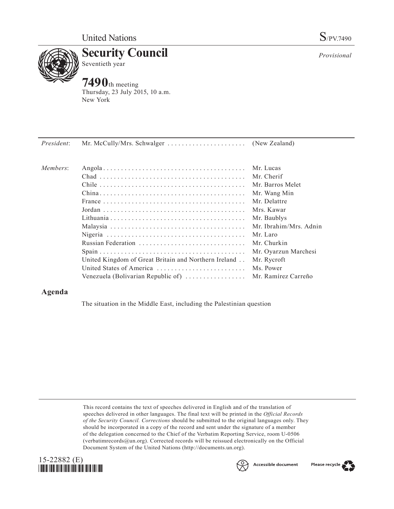

**Security Council** Seventieth year

# **7490**th meeting Thursday, 23 July 2015, 10 a.m. New York

*Provisional*

| President: |                                                                |                        |
|------------|----------------------------------------------------------------|------------------------|
| Members:   |                                                                | Mr. Lucas              |
|            |                                                                | Mr. Cherif             |
|            |                                                                | Mr Barros Melet        |
|            |                                                                | Mr. Wang Min           |
|            |                                                                | Mr. Delattre           |
|            |                                                                | Mrs. Kawar             |
|            |                                                                | Mr. Baublys            |
|            |                                                                | Mr. Ibrahim/Mrs. Adnin |
|            |                                                                | Mr. Laro               |
|            |                                                                | Mr. Churkin            |
|            |                                                                | Mr. Oyarzun Marchesi   |
|            | United Kingdom of Great Britain and Northern Ireland           | Mr. Rycroft            |
|            | United States of America                                       | Ms. Power              |
|            | Venezuela (Bolivarian Republic of) $\dots\dots\dots\dots\dots$ | Mr. Ramírez Carreño    |

## **Agenda**

The situation in the Middle East, including the Palestinian question

This record contains the text of speeches delivered in English and of the translation of speeches delivered in other languages. The final text will be printed in the *Official Records of the Security Council. Corrections* should be submitted to the original languages only. They should be incorporated in a copy of the record and sent under the signature of a member of the delegation concerned to the Chief of the Verbatim Reporting Service, room U-0506 (verbatimrecords $@un.org$ ). Corrected records will be reissued electronically on the Official Document System of the United Nations [\(http://documents.un.org\)](http://documents.un.org).





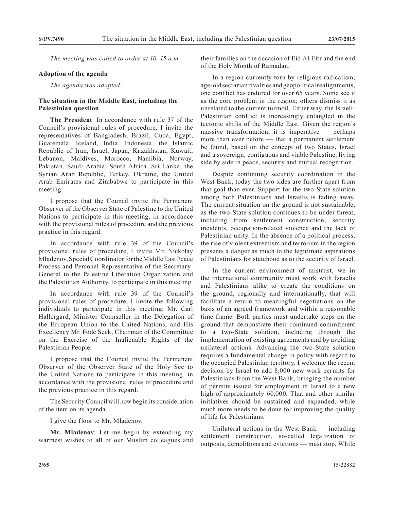*The meeting was called to order at 10. 15 a.m.*

#### **Adoption of the agenda**

*The agenda was adopted.*

## **The situation in the Middle East, including the Palestinian question**

**The President**: In accordance with rule 37 of the Council's provisional rules of procedure, I invite the representatives of Bangladesh, Brazil, Cuba, Egypt, Guatemala, Iceland, India, Indonesia, the Islamic Republic of Iran, Israel, Japan, Kazakhstan, Kuwait, Lebanon, Maldives, Morocco, Namibia, Norway, Pakistan, Saudi Arabia, South Africa, Sri Lanka, the Syrian Arab Republic, Turkey, Ukraine, the United Arab Emirates and Zimbabwe to participate in this meeting.

I propose that the Council invite the Permanent Observer of the Observer State of Palestine to the United Nations to participate in this meeting, in accordance with the provisional rules of procedure and the previous practice in this regard.

In accordance with rule 39 of the Council's provisional rules of procedure, I invite Mr. Nickolay Mladenov, Special Coordinator for the Middle East Peace Process and Personal Representative of the Secretary-General to the Palestine Liberation Organization and the Palestinian Authority, to participate in this meeting.

In accordance with rule 39 of the Council's provisional rules of procedure, I invite the following individuals to participate in this meeting: Mr. Carl Hallergard, Minister Counsellor in the Delegation of the European Union to the United Nations, and His Excellency Mr. Fodé Seck, Chairman of the Committee on the Exercise of the Inalienable Rights of the Palestinian People.

I propose that the Council invite the Permanent Observer of the Observer State of the Holy See to the United Nations to participate in this meeting, in accordance with the provisional rules of procedure and the previous practice in this regard.

The Security Council will now begin its consideration of the item on its agenda.

I give the floor to Mr. Mladenov.

**Mr. Mladenov**: Let me begin by extending my warmest wishes to all of our Muslim colleagues and their families on the occasion of Eid Al-Fitr and the end of the Holy Month of Ramadan.

In a region currently torn by religious radicalism, age-old sectarian rivalries and geopolitical realignments, one conflict has endured for over 65 years. Some see it as the core problem in the region; others dismiss it as unrelated to the current turmoil. Either way, the Israeli-Palestinian conflict is increasingly entangled in the tectonic shifts of the Middle East. Given the region's massive transformation, it is imperative — perhaps more than ever before — that a permanent settlement be found, based on the concept of two States, Israel and a sovereign, contiguous and viable Palestine, living side by side in peace, security and mutual recognition.

Despite continuing security coordination in the West Bank, today the two sides are further apart from that goal than ever. Support for the two-State solution among both Palestinians and Israelis is fading away. The current situation on the ground is not sustainable, as the two-State solution continues to be under threat, including from settlement construction, security incidents, occupation-related violence and the lack of Palestinian unity. In the absence of a political process, the rise of violent extremism and terrorism in the region presents a danger as much to the legitimate aspirations of Palestinians for statehood as to the security of Israel.

In the current environment of mistrust, we in the international community must work with Israelis and Palestinians alike to create the conditions on the ground, regionally and internationally, that will facilitate a return to meaningful negotiations on the basis of an agreed framework and within a reasonable time frame. Both parties must undertake steps on the ground that demonstrate their continued commitment to a two-State solution, including through the implementation of existing agreements and by avoiding unilateral actions. Advancing the two-State solution requires a fundamental change in policy with regard to the occupied Palestinian territory. I welcome the recent decision by Israel to add 8,000 new work permits for Palestinians from the West Bank, bringing the number of permits issued for employment in Israel to a new high of approximately 60,000. That and other similar initiatives should be sustained and expanded, while much more needs to be done for improving the quality of life for Palestinians.

Unilateral actions in the West Bank — including settlement construction, so-called legalization of outposts, demolitions and evictions — must stop. While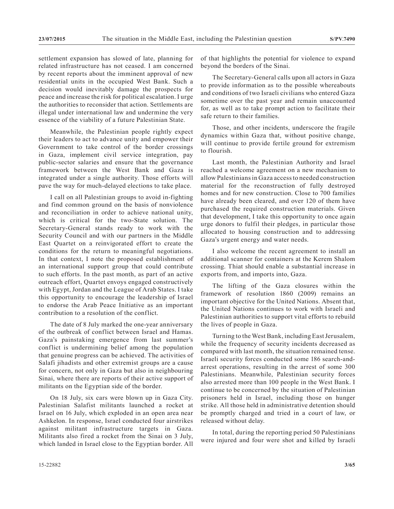settlement expansion has slowed of late, planning for related infrastructure has not ceased. I am concerned by recent reports about the imminent approval of new residential units in the occupied West Bank. Such a decision would inevitably damage the prospects for peace and increase the risk for political escalation. I urge the authorities to reconsider that action. Settlements are illegal under international law and undermine the very essence of the viability of a future Palestinian State.

Meanwhile, the Palestinian people rightly expect their leaders to act to advance unity and empower their Government to take control of the border crossings in Gaza, implement civil service integration, pay public-sector salaries and ensure that the governance framework between the West Bank and Gaza is integrated under a single authority. Those efforts will pave the way for much-delayed elections to take place.

I call on all Palestinian groups to avoid in-fighting and find common ground on the basis of nonviolence and reconciliation in order to achieve national unity, which is critical for the two-State solution. The Secretary-General stands ready to work with the Security Council and with our partners in the Middle East Quartet on a reinvigorated effort to create the conditions for the return to meaningful negotiations. In that context, I note the proposed establishment of an international support group that could contribute to such efforts. In the past month, as part of an active outreach effort, Quartet envoys engaged constructively with Egypt, Jordan and the League of Arab States. I take this opportunity to encourage the leadership of Israel to endorse the Arab Peace Initiative as an important contribution to a resolution of the conflict.

The date of 8 July marked the one-year anniversary of the outbreak of conflict between Israel and Hamas. Gaza's painstaking emergence from last summer's conflict is undermining belief among the population that genuine progress can be achieved. The activities of Salafi jihadists and other extremist groups are a cause for concern, not only in Gaza but also in neighbouring Sinai, where there are reports of their active support of militants on the Egyptian side of the border.

On 18 July, six cars were blown up in Gaza City. Palestinian Salafist militants launched a rocket at Israel on 16 July, which exploded in an open area near Ashkelon. In response, Israel conducted four airstrikes against militant infrastructure targets in Gaza. Militants also fired a rocket from the Sinai on 3 July, which landed in Israel close to the Egyptian border. All of that highlights the potential for violence to expand beyond the borders of the Sinai.

The Secretary-General calls upon all actors in Gaza to provide information as to the possible whereabouts and conditions of two Israeli civilians who entered Gaza sometime over the past year and remain unaccounted for, as well as to take prompt action to facilitate their safe return to their families.

Those, and other incidents, underscore the fragile dynamics within Gaza that, without positive change, will continue to provide fertile ground for extremism to flourish.

Last month, the Palestinian Authority and Israel reached a welcome agreement on a new mechanism to allow Palestinians in Gaza access to needed construction material for the reconstruction of fully destroyed homes and for new construction. Close to 700 families have already been cleared, and over 120 of them have purchased the required construction materials. Given that development, I take this opportunity to once again urge donors to fulfil their pledges, in particular those allocated to housing construction and to addressing Gaza's urgent energy and water needs.

I also welcome the recent agreement to install an additional scanner for containers at the Kerem Shalom crossing. Thiat should enable a substantial increase in exports from, and imports into, Gaza.

The lifting of the Gaza closures within the framework of resolution 1860 (2009) remains an important objective for the United Nations. Absent that, the United Nations continues to work with Israeli and Palestinian authorities to support vital efforts to rebuild the lives of people in Gaza.

Turning to the West Bank, including East Jerusalem, while the frequency of security incidents decreased as compared with last month, the situation remained tense. Israeli security forces conducted some 186 search-andarrest operations, resulting in the arrest of some 300 Palestinians. Meanwhile, Palestinian security forces also arrested more than 100 people in the West Bank. I continue to be concerned by the situation of Palestinian prisoners held in Israel, including those on hunger strike. All those held in administrative detention should be promptly charged and tried in a court of law, or released without delay.

In total, during the reporting period 50 Palestinians were injured and four were shot and killed by Israeli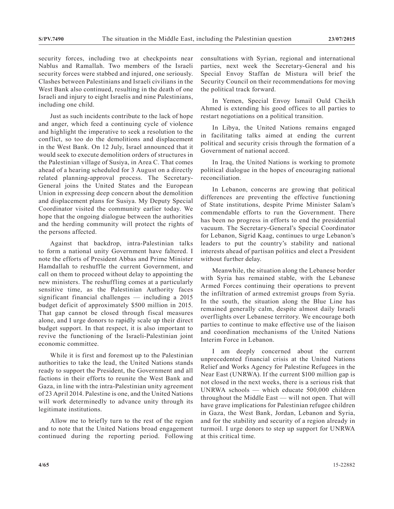security forces, including two at checkpoints near Nablus and Ramallah. Two members of the Israeli security forces were stabbed and injured, one seriously. Clashes between Palestinians and Israeli civilians in the West Bank also continued, resulting in the death of one Israeli and injury to eight Israelis and nine Palestinians, including one child.

Just as such incidents contribute to the lack of hope and anger, which feed a continuing cycle of violence and highlight the imperative to seek a resolution to the conflict, so too do the demolitions and displacement in the West Bank. On 12 July, Israel announced that it would seek to execute demolition orders of structures in the Palestinian village of Susiya, in Area C. That comes ahead of a hearing scheduled for 3 August on a directly related planning-approval process. The Secretary-General joins the United States and the European Union in expressing deep concern about the demolition and displacement plans for Susiya. My Deputy Special Coordinator visited the community earlier today. We hope that the ongoing dialogue between the authorities and the herding community will protect the rights of the persons affected.

Against that backdrop, intra-Palestinian talks to form a national unity Government have faltered. I note the efforts of President Abbas and Prime Minister Hamdallah to reshuffle the current Government, and call on them to proceed without delay to appointing the new ministers. The reshuffling comes at a particularly sensitive time, as the Palestinian Authority faces significant financial challenges — including a 2015 budget deficit of approximately \$500 million in 2015. That gap cannot be closed through fiscal measures alone, and I urge donors to rapidly scale up their direct budget support. In that respect, it is also important to revive the functioning of the Israeli-Palestinian joint economic committee.

While it is first and foremost up to the Palestinian authorities to take the lead, the United Nations stands ready to support the President, the Government and all factions in their efforts to reunite the West Bank and Gaza, in line with the intra-Palestinian unity agreement of 23 April 2014. Palestine is one, and the United Nations will work determinedly to advance unity through its legitimate institutions.

Allow me to briefly turn to the rest of the region and to note that the United Nations broad engagement continued during the reporting period. Following consultations with Syrian, regional and international parties, next week the Secretary-General and his Special Envoy Staffan de Mistura will brief the Security Council on their recommendations for moving the political track forward.

In Yemen, Special Envoy Ismail Ould Cheikh Ahmed is extending his good offices to all parties to restart negotiations on a political transition.

In Libya, the United Nations remains engaged in facilitating talks aimed at ending the current political and security crisis through the formation of a Government of national accord.

In Iraq, the United Nations is working to promote political dialogue in the hopes of encouraging national reconciliation.

In Lebanon, concerns are growing that political differences are preventing the effective functioning of State institutions, despite Prime Minister Salam's commendable efforts to run the Government. There has been no progress in efforts to end the presidential vacuum. The Secretary-General's Special Coordinator for Lebanon, Sigrid Kaag, continues to urge Lebanon's leaders to put the country's stability and national interests ahead of partisan politics and elect a President without further delay.

Meanwhile, the situation along the Lebanese border with Syria has remained stable, with the Lebanese Armed Forces continuing their operations to prevent the infiltration of armed extremist groups from Syria. In the south, the situation along the Blue Line has remained generally calm, despite almost daily Israeli overflights over Lebanese territory. We encourage both parties to continue to make effective use of the liaison and coordination mechanisms of the United Nations Interim Force in Lebanon.

I am deeply concerned about the current unprecedented financial crisis at the United Nations Relief and Works Agency for Palestine Refugees in the Near East (UNRWA). If the current \$100 million gap is not closed in the next weeks, there is a serious risk that UNRWA schools — which educate 500,000 children throughout the Middle East — will not open. That will have grave implications for Palestinian refugee children in Gaza, the West Bank, Jordan, Lebanon and Syria, and for the stability and security of a region already in turmoil. I urge donors to step up support for UNRWA at this critical time.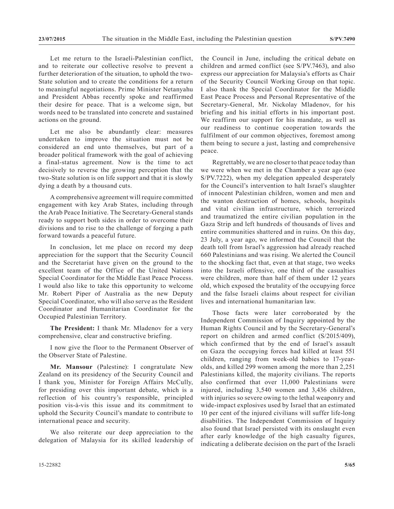Let me return to the Israeli-Palestinian conflict. and to reiterate our collective resolve to prevent a further deterioration of the situation, to uphold the two-State solution and to create the conditions for a return to meaningful negotiations. Prime Minister Netanyahu and President Abbas recently spoke and reaffirmed their desire for peace. That is a welcome sign, but words need to be translated into concrete and sustained actions on the ground.

Let me also be abundantly clear: measures undertaken to improve the situation must not be considered an end unto themselves, but part of a broader political framework with the goal of achieving a final-status agreement. Now is the time to act decisively to reverse the growing perception that the two-State solution is on life support and that it is slowly dying a death by a thousand cuts.

A comprehensive agreement will require committed engagement with key Arab States, including through the Arab Peace Initiative. The Secretary-General stands ready to support both sides in order to overcome their divisions and to rise to the challenge of forging a path forward towards a peaceful future.

In conclusion, let me place on record my deep appreciation for the support that the Security Council and the Secretariat have given on the ground to the excellent team of the Office of the United Nations Special Coordinator for the Middle East Peace Process. I would also like to take this opportunity to welcome Mr. Robert Piper of Australia as the new Deputy Special Coordinator, who will also serve as the Resident Coordinator and Humanitarian Coordinator for the Occupied Palestinian Territory.

**The President:** I thank Mr. Mladenov for a very comprehensive, clear and constructive briefing.

I now give the floor to the Permanent Observer of the Observer State of Palestine.

**Mr. Mansour** (Palestine): I congratulate New Zealand on its presidency of the Security Council and I thank you, Minister for Foreign Affairs McCully, for presiding over this important debate, which is a reflection of his country's responsible, principled position vis-à-vis this issue and its commitment to uphold the Security Council's mandate to contribute to international peace and security.

We also reiterate our deep appreciation to the delegation of Malaysia for its skilled leadership of the Council in June, including the critical debate on children and armed conflict (see S/PV.7463), and also express our appreciation for Malaysia's efforts as Chair of the Security Council Working Group on that topic. I also thank the Special Coordinator for the Middle East Peace Process and Personal Representative of the Secretary-General, Mr. Nickolay Mladenov, for his briefing and his initial efforts in his important post. We reaffirm our support for his mandate, as well as our readiness to continue cooperation towards the fulfilment of our common objectives, foremost among them being to secure a just, lasting and comprehensive peace.

Regrettably, we are no closer to that peace today than we were when we met in the Chamber a year ago (see S/PV.7222), when my delegation appealed desperately for the Council's intervention to halt Israel's slaughter of innocent Palestinian children, women and men and the wanton destruction of homes, schools, hospitals and vital civilian infrastructure, which terrorized and traumatized the entire civilian population in the Gaza Strip and left hundreds of thousands of lives and entire communities shattered and in ruins. On this day, 23 July, a year ago, we informed the Council that the death toll from Israel's aggression had already reached 660 Palestinians and was rising. We alerted the Council to the shocking fact that, even at that stage, two weeks into the Israeli offensive, one third of the casualties were children, more than half of them under 12 years old, which exposed the brutality of the occupying force and the false Israeli claims about respect for civilian lives and international humanitarian law.

Those facts were later corroborated by the Independent Commission of Inquiry appointed by the Human Rights Council and by the Secretary-General's report on children and armed conflict (S/2015/409), which confirmed that by the end of Israel's assault on Gaza the occupying forces had killed at least 551 children, ranging from week-old babies to 17-yearolds, and killed 299 women among the more than 2,251 Palestinians killed, the majority civilians. The reports also confirmed that over 11,000 Palestinians were injured, including 3,540 women and 3,436 children, with injuries so severe owing to the lethal weaponry and wide-impact explosives used by Israel that an estimated 10 per cent of the injured civilians will suffer life-long disabilities. The Independent Commission of Inquiry also found that Israel persisted with its onslaught even after early knowledge of the high casualty figures, indicating a deliberate decision on the part of the Israeli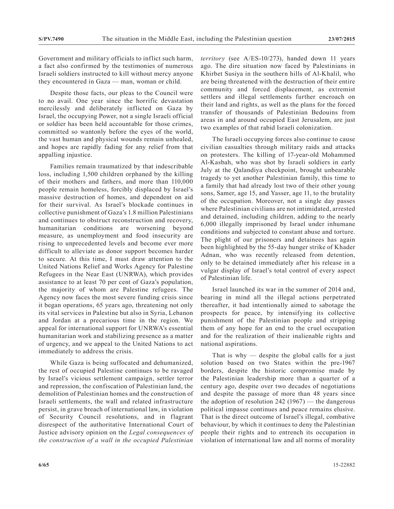Government and military officials to inflict such harm, a fact also confirmed by the testimonies of numerous Israeli soldiers instructed to kill without mercy anyone they encountered in Gaza — man, woman or child.

Despite those facts, our pleas to the Council were to no avail. One year since the horrific devastation mercilessly and deliberately inflicted on Gaza by Israel, the occupying Power, not a single Israeli official or soldier has been held accountable for those crimes, committed so wantonly before the eyes of the world, the vast human and physical wounds remain unhealed, and hopes are rapidly fading for any relief from that appalling injustice.

Families remain traumatized by that indescribable loss, including 1,500 children orphaned by the killing of their mothers and fathers, and more than 110,000 people remain homeless, forcibly displaced by Israel's massive destruction of homes, and dependent on aid for their survival. As Israel's blockade continues in collective punishment of Gaza's 1.8 million Palestinians and continues to obstruct reconstruction and recovery, humanitarian conditions are worsening beyond measure, as unemployment and food insecurity are rising to unprecedented levels and become ever more difficult to alleviate as donor support becomes harder to secure. At this time, I must draw attention to the United Nations Relief and Works Agency for Palestine Refugees in the Near East (UNRWA), which provides assistance to at least 70 per cent of Gaza's population, the majority of whom are Palestine refugees. The Agency now faces the most severe funding crisis since it began operations, 65 years ago, threatening not only its vital services in Palestine but also in Syria, Lebanon and Jordan at a precarious time in the region. We appeal for international support for UNRWA's essential humanitarian work and stabilizing presence as a matter of urgency, and we appeal to the United Nations to act immediately to address the crisis.

While Gaza is being suffocated and dehumanized, the rest of occupied Palestine continues to be ravaged by Israel's vicious settlement campaign, settler terror and repression, the confiscation of Palestinian land, the demolition of Palestinian homes and the construction of Israeli settlements, the wall and related infrastructure persist, in grave breach of international law, in violation of Security Council resolutions, and in flagrant disrespect of the authoritative International Court of Justice advisory opinion on the *Legal consequences of the construction of a wall in the occupied Palestinian* 

*territory* (see A/ES-10/273), handed down 11 years ago. The dire situation now faced by Palestinians in Khirbet Susiya in the southern hills of Al-Khalil, who are being threatened with the destruction of their entire community and forced displacement, as extremist settlers and illegal settlements further encroach on their land and rights, as well as the plans for the forced transfer of thousands of Palestinian Bedouins from areas in and around occupied East Jerusalem, are just two examples of that rabid Israeli colonization.

The Israeli occupying forces also continue to cause civilian casualties through military raids and attacks on protesters. The killing of 17-year-old Mohammed Al-Kasbah, who was shot by Israeli soldiers in early July at the Qalandiya checkpoint, brought unbearable tragedy to yet another Palestinian family, this time to a family that had already lost two of their other young sons, Samer, age 15, and Yasser, age 11, to the brutality of the occupation. Moreover, not a single day passes where Palestinian civilians are not intimidated, arrested and detained, including children, adding to the nearly 6,000 illegally imprisoned by Israel under inhumane conditions and subjected to constant abuse and torture. The plight of our prisoners and detainees has again been highlighted by the 55-day hunger strike of Khader Adnan, who was recently released from detention, only to be detained immediately after his release in a vulgar display of Israel's total control of every aspect of Palestinian life.

Israel launched its war in the summer of 2014 and, bearing in mind all the illegal actions perpetrated thereafter, it had intentionally aimed to sabotage the prospects for peace, by intensifying its collective punishment of the Palestinian people and stripping them of any hope for an end to the cruel occupation and for the realization of their inalienable rights and national aspirations.

That is why  $-$  despite the global calls for a just solution based on two States within the pre-1967 borders, despite the historic compromise made by the Palestinian leadership more than a quarter of a century ago, despite over two decades of negotiations and despite the passage of more than 48 years since the adoption of resolution  $242$  (1967) — the dangerous political impasse continues and peace remains elusive. That is the direct outcome of Israel's illegal, combative behaviour, by which it continues to deny the Palestinian people their rights and to entrench its occupation in violation of international law and all norms of morality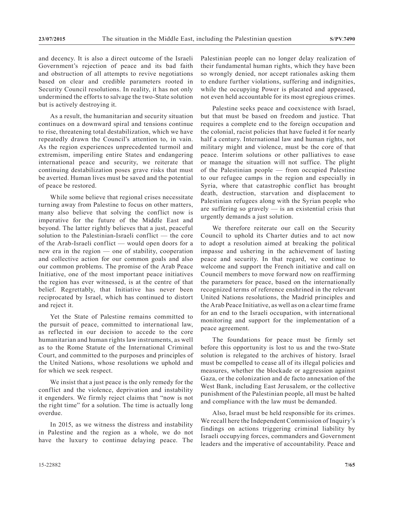and decency. It is also a direct outcome of the Israeli Government's rejection of peace and its bad faith and obstruction of all attempts to revive negotiations based on clear and credible parameters rooted in Security Council resolutions. In reality, it has not only undermined the efforts to salvage the two-State solution but is actively destroying it.

As a result, the humanitarian and security situation continues on a downward spiral and tensions continue to rise, threatening total destabilization, which we have repeatedly drawn the Council's attention to, in vain. As the region experiences unprecedented turmoil and extremism, imperiling entire States and endangering international peace and security, we reiterate that continuing destabilization poses grave risks that must be averted. Human lives must be saved and the potential of peace be restored.

While some believe that regional crises necessitate turning away from Palestine to focus on other matters, many also believe that solving the conflict now is imperative for the future of the Middle East and beyond. The latter rightly believes that a just, peaceful solution to the Palestinian-Israeli conflict — the core of the Arab-Israeli conflict — would open doors for a new era in the region — one of stability, cooperation and collective action for our common goals and also our common problems. The promise of the Arab Peace Initiative, one of the most important peace initiatives the region has ever witnessed, is at the centre of that belief. Regrettably, that Initiative has never been reciprocated by Israel, which has continued to distort and reject it.

Yet the State of Palestine remains committed to the pursuit of peace, committed to international law, as reflected in our decision to accede to the core humanitarian and human rights law instruments, as well as to the Rome Statute of the International Criminal Court, and committed to the purposes and principles of the United Nations, whose resolutions we uphold and for which we seek respect.

We insist that a just peace is the only remedy for the conflict and the violence, deprivation and instability it engenders. We firmly reject claims that "now is not the right time" for a solution. The time is actually long overdue.

In 2015, as we witness the distress and instability in Palestine and the region as a whole, we do not have the luxury to continue delaying peace. The

Palestinian people can no longer delay realization of their fundamental human rights, which they have been so wrongly denied, nor accept rationales asking them to endure further violations, suffering and indignities, while the occupying Power is placated and appeased, not even held accountable for its most egregious crimes.

Palestine seeks peace and coexistence with Israel, but that must be based on freedom and justice. That requires a complete end to the foreign occupation and the colonial, racist policies that have fueled it for nearly half a century. International law and human rights, not military might and violence, must be the core of that peace. Interim solutions or other palliatives to ease or manage the situation will not suffice. The plight of the Palestinian people — from occupied Palestine to our refugee camps in the region and especially in Syria, where that catastrophic conflict has brought death, destruction, starvation and displacement to Palestinian refugees along with the Syrian people who are suffering so gravely — is an existential crisis that urgently demands a just solution.

We therefore reiterate our call on the Security Council to uphold its Charter duties and to act now to adopt a resolution aimed at breaking the political impasse and ushering in the achievement of lasting peace and security. In that regard, we continue to welcome and support the French initiative and call on Council members to move forward now on reaffirming the parameters for peace, based on the internationally recognized terms of reference enshrined in the relevant United Nations resolutions, the Madrid principles and the Arab Peace Initiative, as well as on a clear time frame for an end to the Israeli occupation, with international monitoring and support for the implementation of a peace agreement.

The foundations for peace must be firmly set before this opportunity is lost to us and the two-State solution is relegated to the archives of history. Israel must be compelled to cease all of its illegal policies and measures, whether the blockade or aggression against Gaza, or the colonization and de facto annexation of the West Bank, including East Jerusalem, or the collective punishment of the Palestinian people, all must be halted and compliance with the law must be demanded.

Also, Israel must be held responsible for its crimes. We recall here the Independent Commission of Inquiry's findings on actions triggering criminal liability by Israeli occupying forces, commanders and Government leaders and the imperative of accountability. Peace and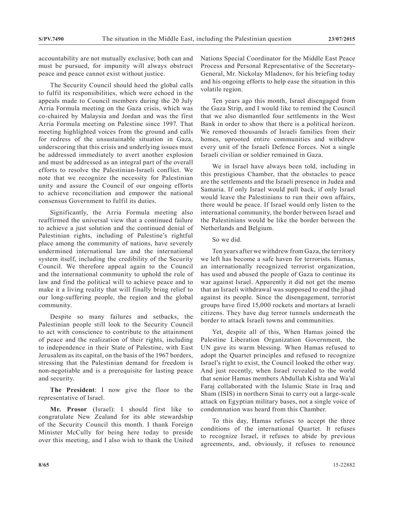accountability are not mutually exclusive; both can and must be pursued, for impunity will always obstruct peace and peace cannot exist without justice.

The Security Council should heed the global calls to fulfil its responsibilities, which were echoed in the appeals made to Council members during the 20 July Arria Formula meeting on the Gaza crisis, which was co-chaired by Malaysia and Jordan and was the first Arria Formula meeting on Palestine since 1997. That meeting highlighted voices from the ground and calls for redress of the unsustainable situation in Gaza, underscoring that this crisis and underlying issues must be addressed immediately to avert another explosion and must be addressed as an integral part of the overall efforts to resolve the Palestinian-Israeli conflict. We note that we recognize the necessity for Palestinian unity and assure the Council of our ongoing efforts to achieve reconciliation and empower the national consensus Government to fulfil its duties.

Significantly, the Arria Formula meeting also reaffirmed the universal view that a continued failure to achieve a just solution and the continued denial of Palestinian rights, including of Palestine's rightful place among the community of nations, have severely undermined international law and the international system itself, including the credibility of the Security Council. We therefore appeal again to the Council and the international community to uphold the rule of law and find the political will to achieve peace and to make it a living reality that will finally bring relief to our long-suffering people, the region and the global community.

Despite so many failures and setbacks, the Palestinian people still look to the Security Council to act with conscience to contribute to the attainment of peace and the realization of their rights, including to independence in their State of Palestine, with East Jerusalem as its capital, on the basis of the 1967 borders, stressing that the Palestinian demand for freedom is non-negotiable and is a prerequisite for lasting peace and security.

**The President**: I now give the floor to the representative of Israel.

**Mr. Prosor** (Israel): I should first like to congratulate New Zealand for its able stewardship of the Security Council this month. I thank Foreign Minister McCully for being here today to preside over this meeting, and I also wish to thank the United Nations Special Coordinator for the Middle East Peace Process and Personal Representative of the Secretary-General, Mr. Nickolay Mladenov, for his briefing today and his ongoing efforts to help ease the situation in this volatile region.

Ten years ago this month, Israel disengaged from the Gaza Strip, and I would like to remind the Council that we also dismantled four settlements in the West Bank in order to show that there is a political horizon. We removed thousands of Israeli families from their homes, uprooted entire communities and withdrew every unit of the Israeli Defence Forces. Not a single Israeli civilian or soldier remained in Gaza.

We in Israel have always been told, including in this prestigious Chamber, that the obstacles to peace are the settlements and the Israeli presence in Judea and Samaria. If only Israel would pull back, if only Israel would leave the Palestinians to run their own affairs, there would be peace. If Israel would only listen to the international community, the border between Israel and the Palestinians would be like the border between the Netherlands and Belgium.

So we did.

Ten years after we withdrew from Gaza, the territory we left has become a safe haven for terrorists. Hamas, an internationally recognized terrorist organization, has used and abused the people of Gaza to continue its war against Israel. Apparently it did not get the memo that an Israeli withdrawal was supposed to end the jihad against its people. Since the disengagement, terrorist groups have fired 15,000 rockets and mortars at Israeli citizens. They have dug terror tunnels underneath the border to attack Israeli towns and communities.

Yet, despite all of this, When Hamas joined the Palestine Liberation Organization Government, the UN gave its warm blessing. When Hamas refused to adopt the Quartet principles and refused to recognize Israel's right to exist, the Council looked the other way. And just recently, when Israel revealed to the world that senior Hamas members Abdullah Kishta and Wa'al Faraj collaborated with the Islamic State in Iraq and Sham (ISIS) in northern Sinai to carry out a large-scale attack on Egyptian military bases, not a single voice of condemnation was heard from this Chamber.

To this day, Hamas refuses to accept the three conditions of the international Quartet. It refuses to recognize Israel, it refuses to abide by previous agreements, and, obviously, it refuses to renounce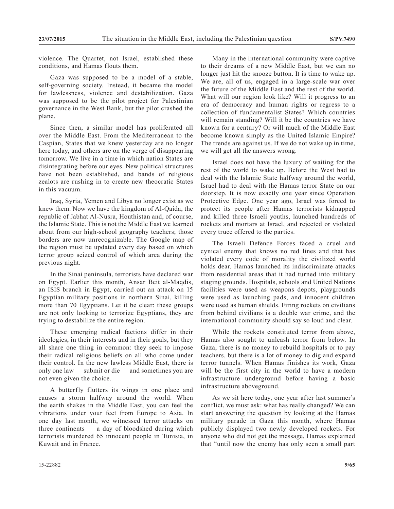violence. The Quartet, not Israel, established these conditions, and Hamas flouts them.

Gaza was supposed to be a model of a stable, self-governing society. Instead, it became the model for lawlessness, violence and destabilization. Gaza was supposed to be the pilot project for Palestinian governance in the West Bank, but the pilot crashed the plane.

Since then, a similar model has proliferated all over the Middle East. From the Mediterranean to the Caspian, States that we knew yesterday are no longer here today, and others are on the verge of disappearing tomorrow. We live in a time in which nation States are disintegrating before our eyes. New political structures have not been established, and bands of religious zealots are rushing in to create new theocratic States in this vacuum.

Iraq, Syria, Yemen and Libya no longer exist as we knew them. Now we have the kingdom of Al-Qaida, the republic of Jabhat Al-Nusra, Houthistan and, of course, the Islamic State. This is not the Middle East we learned about from our high-school geography teachers; those borders are now unrecognizable. The Google map of the region must be updated every day based on which terror group seized control of which area during the previous night.

In the Sinai peninsula, terrorists have declared war on Egypt. Earlier this month, Ansar Beit al-Maqdis, an ISIS branch in Egypt, carried out an attack on 15 Egyptian military positions in northern Sinai, killing more than 70 Egyptians. Let it be clear: these groups are not only looking to terrorize Egyptians, they are trying to destabilize the entire region.

These emerging radical factions differ in their ideologies, in their interests and in their goals, but they all share one thing in common: they seek to impose their radical religious beliefs on all who come under their control. In the new lawless Middle East, there is only one law — submit or die — and sometimes you are not even given the choice.

A butterfly flutters its wings in one place and causes a storm halfway around the world. When the earth shakes in the Middle East, you can feel the vibrations under your feet from Europe to Asia. In one day last month, we witnessed terror attacks on three continents — a day of bloodshed during which terrorists murdered 65 innocent people in Tunisia, in Kuwait and in France.

Many in the international community were captive to their dreams of a new Middle East, but we can no longer just hit the snooze button. It is time to wake up. We are, all of us, engaged in a large-scale war over the future of the Middle East and the rest of the world. What will our region look like? Will it progress to an era of democracy and human rights or regress to a collection of fundamentalist States? Which countries will remain standing? Will it be the countries we have known for a century? Or will much of the Middle East become known simply as the United Islamic Empire? The trends are against us. If we do not wake up in time, we will get all the answers wrong.

Israel does not have the luxury of waiting for the rest of the world to wake up. Before the West had to deal with the Islamic State halfway around the world, Israel had to deal with the Hamas terror State on our doorstep. It is now exactly one year since Operation Protective Edge. One year ago, Israel was forced to protect its people after Hamas terrorists kidnapped and killed three Israeli youths, launched hundreds of rockets and mortars at Israel, and rejected or violated every truce offered to the parties.

The Israeli Defence Forces faced a cruel and cynical enemy that knows no red lines and that has violated every code of morality the civilized world holds dear. Hamas launched its indiscriminate attacks from residential areas that it had turned into military staging grounds. Hospitals, schools and United Nations facilities were used as weapons depots, playgrounds were used as launching pads, and innocent children were used as human shields. Firing rockets on civilians from behind civilians is a double war crime, and the international community should say so loud and clear.

While the rockets constituted terror from above, Hamas also sought to unleash terror from below. In Gaza, there is no money to rebuild hospitals or to pay teachers, but there is a lot of money to dig and expand terror tunnels. When Hamas finishes its work, Gaza will be the first city in the world to have a modern infrastructure underground before having a basic infrastructure aboveground.

As we sit here today, one year after last summer's conflict, we must ask: what has really changed? We can start answering the question by looking at the Hamas military parade in Gaza this month, where Hamas publicly displayed two newly developed rockets. For anyone who did not get the message, Hamas explained that "until now the enemy has only seen a small part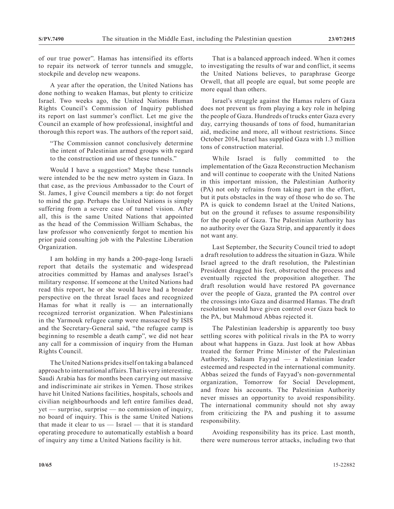of our true power". Hamas has intensified its efforts to repair its network of terror tunnels and smuggle, stockpile and develop new weapons.

A year after the operation, the United Nations has done nothing to weaken Hamas, but plenty to criticize Israel. Two weeks ago, the United Nations Human Rights Council's Commission of Inquiry published its report on last summer's conflict. Let me give the Council an example of how professional, insightful and thorough this report was. The authors of the report said,

"The Commission cannot conclusively determine the intent of Palestinian armed groups with regard to the construction and use of these tunnels."

Would I have a suggestion? Maybe these tunnels were intended to be the new metro system in Gaza. In that case, as the previous Ambassador to the Court of St. James, I give Council members a tip: do not forget to mind the gap. Perhaps the United Nations is simply suffering from a severe case of tunnel vision. After all, this is the same United Nations that appointed as the head of the Commission William Schabas, the law professor who conveniently forgot to mention his prior paid consulting job with the Palestine Liberation Organization.

I am holding in my hands a 200-page-long Israeli report that details the systematic and widespread atrocities committed by Hamas and analyses Israel's military response. If someone at the United Nations had read this report, he or she would have had a broader perspective on the threat Israel faces and recognized Hamas for what it really is  $-$  an internationally recognized terrorist organization. When Palestinians in the Yarmouk refugee camp were massacred by ISIS and the Secretary-General said, "the refugee camp is beginning to resemble a death camp", we did not hear any call for a commission of inquiry from the Human Rights Council.

The United Nations prides itself on taking a balanced approach to international affairs. That is very interesting. Saudi Arabia has for months been carrying out massive and indiscriminate air strikes in Yemen. Those strikes have hit United Nations facilities, hospitals, schools and civilian neighbourhoods and left entire families dead, yet — surprise, surprise — no commission of inquiry, no board of inquiry. This is the same United Nations that made it clear to us — Israel — that it is standard operating procedure to automatically establish a board of inquiry any time a United Nations facility is hit.

That is a balanced approach indeed. When it comes to investigating the results of war and conflict, it seems the United Nations believes, to paraphrase George Orwell, that all people are equal, but some people are more equal than others.

Israel's struggle against the Hamas rulers of Gaza does not prevent us from playing a key role in helping the people of Gaza. Hundreds of trucks enter Gaza every day, carrying thousands of tons of food, humanitarian aid, medicine and more, all without restrictions. Since October 2014, Israel has supplied Gaza with 1.3 million tons of construction material.

While Israel is fully committed to the implementation of the Gaza Reconstruction Mechanism and will continue to cooperate with the United Nations in this important mission, the Palestinian Authority (PA) not only refrains from taking part in the effort, but it puts obstacles in the way of those who do so. The PA is quick to condemn Israel at the United Nations, but on the ground it refuses to assume responsibility for the people of Gaza. The Palestinian Authority has no authority over the Gaza Strip, and apparently it does not want any.

Last September, the Security Council tried to adopt a draft resolution to address the situation in Gaza. While Israel agreed to the draft resolution, the Palestinian President dragged his feet, obstructed the process and eventually rejected the proposition altogether. The draft resolution would have restored PA governance over the people of Gaza, granted the PA control over the crossings into Gaza and disarmed Hamas. The draft resolution would have given control over Gaza back to the PA, but Mahmoud Abbas rejected it.

The Palestinian leadership is apparently too busy settling scores with political rivals in the PA to worry about what happens in Gaza. Just look at how Abbas treated the former Prime Minister of the Palestinian Authority, Salaam Fayyad — a Palestinian leader esteemed and respected in the international community. Abbas seized the funds of Fayyad's non-governmental organization, Tomorrow for Social Development, and froze his accounts. The Palestinian Authority never misses an opportunity to avoid responsibility. The international community should not shy away from criticizing the PA and pushing it to assume responsibility.

Avoiding responsibility has its price. Last month, there were numerous terror attacks, including two that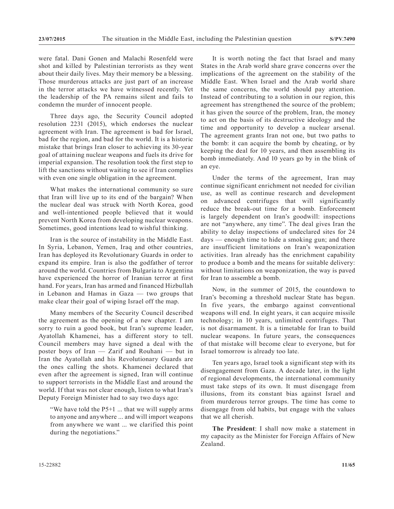were fatal. Dani Gonen and Malachi Rosenfeld were shot and killed by Palestinian terrorists as they went about their daily lives. May their memory be a blessing. Those murderous attacks are just part of an increase in the terror attacks we have witnessed recently. Yet the leadership of the PA remains silent and fails to condemn the murder of innocent people.

Three days ago, the Security Council adopted resolution 2231 (2015), which endorses the nuclear agreement with Iran. The agreement is bad for Israel, bad for the region, and bad for the world. It is a historic mistake that brings Iran closer to achieving its 30-year goal of attaining nuclear weapons and fuels its drive for imperial expansion. The resolution took the first step to lift the sanctions without waiting to see if Iran complies with even one single obligation in the agreement.

What makes the international community so sure that Iran will live up to its end of the bargain? When the nuclear deal was struck with North Korea, good and well-intentioned people believed that it would prevent North Korea from developing nuclear weapons. Sometimes, good intentions lead to wishful thinking.

Iran is the source of instability in the Middle East. In Syria, Lebanon, Yemen, Iraq and other countries, Iran has deployed its Revolutionary Guards in order to expand its empire. Iran is also the godfather of terror around the world. Countries from Bulgaria to Argentina have experienced the horror of Iranian terror at first hand. For years, Iran has armed and financed Hizbullah in Lebanon and Hamas in Gaza — two groups that make clear their goal of wiping Israel off the map.

Many members of the Security Council described the agreement as the opening of a new chapter. I am sorry to ruin a good book, but Iran's supreme leader, Ayatollah Khamenei, has a different story to tell. Council members may have signed a deal with the poster boys of Iran — Zarif and Rouhani — but in Iran the Ayatollah and his Revolutionary Guards are the ones calling the shots. Khamenei declared that even after the agreement is signed, Iran will continue to support terrorists in the Middle East and around the world. If that was not clear enough, listen to what Iran's Deputy Foreign Minister had to say two days ago:

"We have told the P5+1 ... that we will supply arms to anyone and anywhere ... and will import weapons from anywhere we want ... we clarified this point during the negotiations."

It is worth noting the fact that Israel and many States in the Arab world share grave concerns over the implications of the agreement on the stability of the Middle East. When Israel and the Arab world share the same concerns, the world should pay attention. Instead of contributing to a solution in our region, this agreement has strengthened the source of the problem; it has given the source of the problem, Iran, the money to act on the basis of its destructive ideology and the time and opportunity to develop a nuclear arsenal. The agreement grants Iran not one, but two paths to the bomb: it can acquire the bomb by cheating, or by keeping the deal for 10 years, and then assembling its bomb immediately. And 10 years go by in the blink of an eye.

Under the terms of the agreement, Iran may continue significant enrichment not needed for civilian use, as well as continue research and development on advanced centrifuges that will significantly reduce the break-out time for a bomb. Enforcement is largely dependent on Iran's goodwill: inspections are not "anywhere, any time". The deal gives Iran the ability to delay inspections of undeclared sites for 24 days — enough time to hide a smoking gun; and there are insufficient limitations on Iran's weaponization activities. Iran already has the enrichment capability to produce a bomb and the means for suitable delivery: without limitations on weaponization, the way is paved for Iran to assemble a bomb.

Now, in the summer of 2015, the countdown to Iran's becoming a threshold nuclear State has begun. In five years, the embargo against conventional weapons will end. In eight years, it can acquire missile technology; in 10 years, unlimited centrifuges. That is not disarmament. It is a timetable for Iran to build nuclear weapons. In future years, the consequences of that mistake will become clear to everyone, but for Israel tomorrow is already too late.

Ten years ago, Israel took a significant step with its disengagement from Gaza. A decade later, in the light of regional developments, the international community must take steps of its own. It must disengage from illusions, from its constant bias against Israel and from murderous terror groups. The time has come to disengage from old habits, but engage with the values that we all cherish.

**The President**: I shall now make a statement in my capacity as the Minister for Foreign Affairs of New Zealand.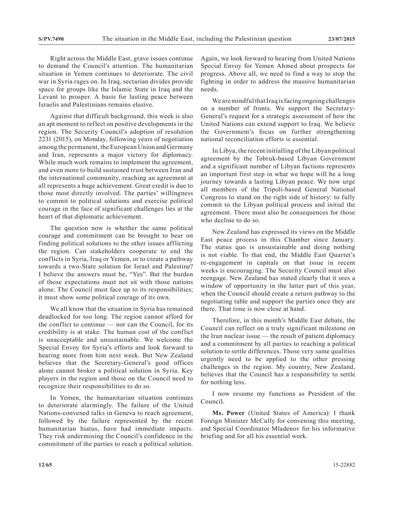Right across the Middle East, grave issues continue to demand the Council's attention. The humanitarian situation in Yemen continues to deteriorate. The civil war in Syria rages on. In Iraq, sectarian divides provide space for groups like the Islamic State in Iraq and the Levant to prosper. A basis for lasting peace between Israelis and Palestinians remains elusive.

Against that difficult background, this week is also an apt moment to reflect on positive developments in the region. The Security Council's adoption of resolution 2231 (2015), on Monday, following years of negotiation among the permanent, the European Union and Germany and Iran, represents a major victory for diplomacy. While much work remains to implement the agreement, and even more to build sustained trust between Iran and the international community, reaching an agreement at all represents a huge achievement. Great credit is due to those most directly involved. The parties' willingness to commit to political solutions and exercise political courage in the face of significant challenges lies at the heart of that diplomatic achievement.

The question now is whether the same political courage and commitment can be brought to bear on finding political solutions to the other issues afflicting the region. Can stakeholders cooperate to end the conflicts in Syria, Iraq or Yemen, or to create a pathway towards a two-State solution for Israel and Palestine? I believe the answers must be, "Yes". But the burden of those expectations must not sit with those nations alone. The Council must face up to its responsibilities; it must show some political courage of its own.

We all know that the situation in Syria has remained deadlocked for too long. The region cannot afford for the conflict to continue — nor can the Council, for its credibility is at stake. The human cost of the conflict is unacceptable and unsustainable. We welcome the Special Envoy for Syria's efforts and look forward to hearing more from him next week. But New Zealand believes that the Secretary-General's good offices alone cannot broker a political solution in Syria. Key players in the region and those on the Council need to recognize their responsibilities to do so.

In Yemen, the humanitarian situation continues to deteriorate alarmingly. The failure of the United Nations-convened talks in Geneva to reach agreement, followed by the failure represented by the recent humanitarian hiatus, have had immediate impacts. They risk undermining the Council's confidence in the commitment of the parties to reach a political solution.

Again, we look forward to hearing from United Nations Special Envoy for Yemen Ahmed about prospects for progress. Above all, we need to find a way to stop the fighting in order to address the massive humanitarian needs.

We are mindful that Iraq is facing ongoing challenges on a number of fronts. We support the Secretary-General's request for a strategic assessment of how the United Nations can extend support to Iraq. We believe the Government's focus on further strengthening national reconciliation efforts is essential.

In Libya, the recent initialling of the Libyan political agreement by the Tobruk-based Libyan Government and a significant number of Libyan factions represents an important first step in what we hope will be a long journey towards a lasting Libyan peace. We now urge all members of the Tripoli-based General National Congress to stand on the right side of history: to fully commit to the Libyan political process and initial the agreement. There must also be consequences for those who decline to do so.

New Zealand has expressed its views on the Middle East peace process in this Chamber since January. The status quo is unsustainable and doing nothing is not viable. To that end, the Middle East Quartet's re-engagement in capitals on that issue in recent weeks is encouraging. The Security Council must also reengage. New Zealand has stated clearly that it sees a window of opportunity in the latter part of this year, when the Council should create a return pathway to the negotiating table and support the parties once they are there. That time is now close at hand.

Therefore, in this month's Middle East debate, the Council can reflect on a truly significant milestone on the Iran nuclear issue — the result of patient diplomacy and a commitment by all parties to reaching a political solution to settle differences. Those very same qualities urgently need to be applied to the other pressing challenges in the region. My country, New Zealand, believes that the Council has a responsibility to settle for nothing less.

I now resume my functions as President of the Council.

**Ms. Power** (United States of America): I thank Foreign Minister McCully for convening this meeting, and Special Coordinator Mladenov for his informative briefing and for all his essential work.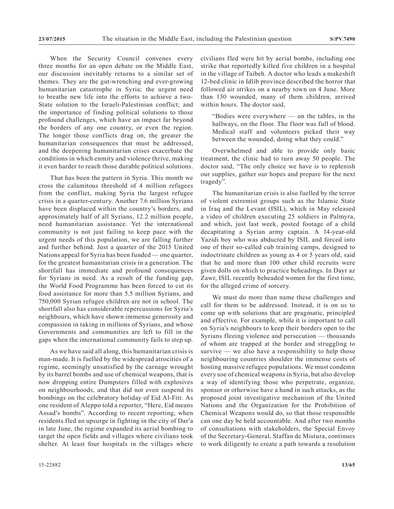When the Security Council convenes every three months for an open debate on the Middle East, our discussion inevitably returns to a similar set of themes. They are the gut-wrenching and ever-growing humanitarian catastrophe in Syria; the urgent need to breathe new life into the efforts to achieve a two-State solution to the Israeli-Palestinian conflict; and the importance of finding political solutions to those profound challenges, which have an impact far beyond the borders of any one country, or even the region. The longer those conflicts drag on, the greater the humanitarian consequences that must be addressed, and the deepening humanitarian crises exacerbate the conditions in which enmity and violence thrive, making it even harder to reach those durable political solutions.

That has been the pattern in Syria. This month we cross the calamitous threshold of 4 million refugees from the conflict, making Syria the largest refugee crisis in a quarter-century. Another 7.6 million Syrians have been displaced within the country's borders, and approximately half of all Syrians, 12.2 million people, need humanitarian assistance. Yet the international community is not just failing to keep pace with the urgent needs of this population, we are falling further and further behind. Just a quarter of the 2015 United Nations appeal for Syria has been funded — one quarter, for the greatest humanitarian crisis in a generation. The shortfall has immediate and profound consequences for Syrians in need. As a result of the funding gap, the World Food Programme has been forced to cut its food assistance for more than 5.5 million Syrians, and 750,000 Syrian refugee children are not in school. The shortfall also has considerable repercussions for Syria's neighbours, which have shown immense generosity and compassion in taking in millions of Syrians, and whose Governments and communities are left to fill in the gaps when the international community fails to step up.

As we have said all along, this humanitarian crisis is man-made. It is fuelled by the widespread atrocities of a regime, seemingly unsatisfied by the carnage wrought by its barrel bombs and use of chemical weapons, that is now dropping entire Dumpsters filled with explosives on neighbourhoods, and that did not even suspend its bombings on the celebratory holiday of Eid Al-Fitr. As one resident of Aleppo told a reporter, "Here, Eid means Assad's bombs". According to recent reporting, when residents fled an upsurge in fighting in the city of Dar'a in late June, the regime expanded its aerial bombing to target the open fields and villages where civilians took shelter. At least four hospitals in the villages where

civilians fled were hit by aerial bombs, including one strike that reportedly killed five children in a hospital in the village of Taibeh. A doctor who leads a makeshift 12-bed clinic in Idlib province described the horror that followed air strikes on a nearby town on 4 June. More than 130 wounded, many of them children, arrived within hours. The doctor said,

"Bodies were everywhere — on the tables, in the hallways, on the floor. The floor was full of blood. Medical staff and volunteers picked their way between the wounded, doing what they could."

Overwhelmed and able to provide only basic treatment, the clinic had to turn away 50 people. The doctor said, "The only choice we have is to replenish our supplies, gather our hopes and prepare for the next tragedy".

The humanitarian crisis is also fuelled by the terror of violent extremist groups such as the Islamic State in Iraq and the Levant (ISIL), which in May released a video of children executing 25 soldiers in Palmyra, and which, just last week, posted footage of a child decapitating a Syrian army captain. A 14-year-old Yazidi boy who was abducted by ISIL and forced into one of their so-called cub training camps, designed to indoctrinate children as young as 4 or 5 years old, said that he and more than 100 other child recruits were given dolls on which to practice beheadings. In Dayr az Zawr, ISIL recently beheaded women for the first time, for the alleged crime of sorcery.

We must do more than name these challenges and call for them to be addressed. Instead, it is on us to come up with solutions that are pragmatic, principled and effective. For example, while it is important to call on Syria's neighbours to keep their borders open to the Syrians fleeing violence and persecution — thousands of whom are trapped at the border and struggling to survive — we also have a responsibility to help those neighbouring countries shoulder the immense costs of hosting massive refugee populations. We must condemn every use of chemical weapons in Syria, but also develop a way of identifying those who perpetrate, organize, sponsor or otherwise have a hand in such attacks, as the proposed joint investigative mechanism of the United Nations and the Organization for the Prohibition of Chemical Weapons would do, so that those responsible can one day be held accountable. And after two months of consultations with stakeholders, the Special Envoy of the Secretary-General, Staffan de Mistura, continues to work diligently to create a path towards a resolution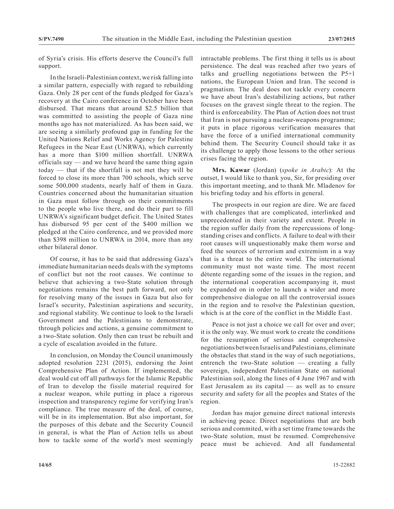of Syria's crisis. His efforts deserve the Council's full support.

In the Israeli-Palestinian context, we risk falling into a similar pattern, especially with regard to rebuilding Gaza. Only 28 per cent of the funds pledged for Gaza's recovery at the Cairo conference in October have been disbursed. That means that around \$2.5 billion that was committed to assisting the people of Gaza nine months ago has not materialized. As has been said, we are seeing a similarly profound gap in funding for the United Nations Relief and Works Agency for Palestine Refugees in the Near East (UNRWA), which currently has a more than \$100 million shortfall. UNRWA officials say — and we have heard the same thing again today — that if the shortfall is not met they will be forced to close its more than 700 schools, which serve some 500,000 students, nearly half of them in Gaza. Countries concerned about the humanitarian situation in Gaza must follow through on their commitments to the people who live there, and do their part to fill UNRWA's significant budget deficit. The United States has disbursed 95 per cent of the \$400 million we pledged at the Cairo conference, and we provided more than \$398 million to UNRWA in 2014, more than any other bilateral donor.

Of course, it has to be said that addressing Gaza's immediate humanitarian needs deals with the symptoms of conflict but not the root causes. We continue to believe that achieving a two-State solution through negotiations remains the best path forward, not only for resolving many of the issues in Gaza but also for Israel's security, Palestinian aspirations and security, and regional stability. We continue to look to the Israeli Government and the Palestinians to demonstrate, through policies and actions, a genuine commitment to a two-State solution. Only then can trust be rebuilt and a cycle of escalation avoided in the future.

In conclusion, on Monday the Council unanimously adopted resolution 2231 (2015), endorsing the Joint Comprehensive Plan of Action. If implemented, the deal would cut off all pathways for the Islamic Republic of Iran to develop the fissile material required for a nuclear weapon, while putting in place a rigorous inspection and transparency regime for verifying Iran's compliance. The true measure of the deal, of course, will be in its implementation. But also important, for the purposes of this debate and the Security Council in general, is what the Plan of Action tells us about how to tackle some of the world's most seemingly

intractable problems. The first thing it tells us is about persistence. The deal was reached after two years of talks and gruelling negotiations between the P5+1 nations, the European Union and Iran. The second is pragmatism. The deal does not tackle every concern we have about Iran's destabilizing actions, but rather focuses on the gravest single threat to the region. The third is enforceability. The Plan of Action does not trust that Iran is not pursuing a nuclear-weapons programme; it puts in place rigorous verification measures that have the force of a unified international community behind them. The Security Council should take it as its challenge to apply those lessons to the other serious crises facing the region.

**Mrs. Kawar** (Jordan) (*spoke in Arabic*): At the outset, I would like to thank you, Sir, for presiding over this important meeting, and to thank Mr. Mladenov for his briefing today and his efforts in general.

The prospects in our region are dire. We are faced with challenges that are complicated, interlinked and unprecedented in their variety and extent. People in the region suffer daily from the repercussions of longstanding crises and conflicts. A failure to deal with their root causes will unquestionably make them worse and feed the sources of terrorism and extremism in a way that is a threat to the entire world. The international community must not waste time. The most recent détente regarding some of the issues in the region, and the international cooperation accompanying it, must be expanded on in order to launch a wider and more comprehensive dialogue on all the controversial issues in the region and to resolve the Palestinian question, which is at the core of the conflict in the Middle East.

Peace is not just a choice we call for over and over; it is the only way. We must work to create the conditions for the resumption of serious and comprehensive negotiations between Israelis and Palestinians, eliminate the obstacles that stand in the way of such negotiations, entrench the two-State solution — creating a fully sovereign, independent Palestinian State on national Palestinian soil, along the lines of 4 June 1967 and with East Jerusalem as its capital — as well as to ensure security and safety for all the peoples and States of the region.

Jordan has major genuine direct national interests in achieving peace. Direct negotiations that are both serious and commited, with a set time frame towards the two-State solution, must be resumed. Comprehensive peace must be achieved. And all fundamental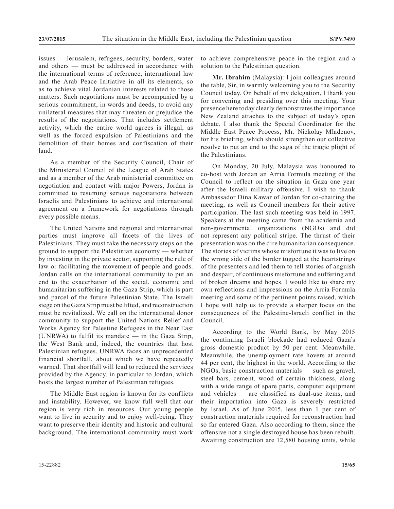issues — Jerusalem, refugees, security, borders, water and others — must be addressed in accordance with the international terms of reference, international law and the Arab Peace Initiative in all its elements, so as to achieve vital Jordanian interests related to those matters. Such negotiations must be accompanied by a serious commitment, in words and deeds, to avoid any unilateral measures that may threaten or prejudice the results of the negotiations. That includes settlement activity, which the entire world agrees is illegal, as well as the forced expulsion of Palestinians and the demolition of their homes and confiscation of their land.

As a member of the Security Council, Chair of the Ministerial Council of the League of Arab States and as a member of the Arab ministerial committee on negotiation and contact with major Powers, Jordan is committed to resuming serious negotiations between Israelis and Palestinians to achieve and international agreement on a framework for negotiations through every possible means.

The United Nations and regional and international parties must improve all facets of the lives of Palestinians. They must take the necessary steps on the ground to support the Palestinian economy — whether by investing in the private sector, supporting the rule of law or facilitating the movement of people and goods. Jordan calls on the international community to put an end to the exacerbation of the social, economic and humanitarian suffering in the Gaza Strip, which is part and parcel of the future Palestinian State. The Israeli siege on the Gaza Strip must be lifted, and reconstruction must be revitalized. We call on the international donor community to support the United Nations Relief and Works Agency for Palestine Refugees in the Near East (UNRWA) to fulfil its mandate — in the Gaza Strip, the West Bank and, indeed, the countries that host Palestinian refugees. UNRWA faces an unprecedented financial shortfall, about which we have repeatedly warned. That shortfall will lead to reduced the services provided by the Agency, in particular to Jordan, which hosts the largest number of Palestinian refugees.

The Middle East region is known for its conflicts and instability. However, we know full well that our region is very rich in resources. Our young people want to live in security and to enjoy well-being. They want to preserve their identity and historic and cultural background. The international community must work to achieve comprehensive peace in the region and a solution to the Palestinian question.

**Mr. Ibrahim** (Malaysia): I join colleagues around the table, Sir, in warmly welcoming you to the Security Council today. On behalf of my delegation, I thank you for convening and presiding over this meeting. Your presence here today clearly demonstrates the importance New Zealand attaches to the subject of today's open debate. I also thank the Special Coordinator for the Middle East Peace Process, Mr. Nickolay Mladenov, for his briefing, which should strengthen our collective resolve to put an end to the saga of the tragic plight of the Palestinians.

On Monday, 20 July, Malaysia was honoured to co-host with Jordan an Arria Formula meeting of the Council to reflect on the situation in Gaza one year after the Israeli military offensive. I wish to thank Ambassador Dina Kawar of Jordan for co-chairing the meeting, as well as Council members for their active participation. The last such meeting was held in 1997. Speakers at the meeting came from the academia and non-governmental organizations (NGOs) and did not represent any political stripe. The thrust of their presentation was on the dire humanitarian consequence. The stories of victims whose misfortune it was to live on the wrong side of the border tugged at the heartstrings of the presenters and led them to tell stories of anguish and despair, of continuous misfortune and suffering and of broken dreams and hopes. I would like to share my own reflections and impressions on the Arria Formula meeting and some of the pertinent points raised, which I hope will help us to provide a sharper focus on the consequences of the Palestine-Israeli conflict in the Council.

According to the World Bank, by May 2015 the continuing Israeli blockade had reduced Gaza's gross domestic product by 50 per cent. Meanwhile. Meanwhile, the unemployment rate hovers at around 44 per cent, the highest in the world. According to the NGOs, basic construction materials — such as gravel, steel bars, cement, wood of certain thickness, along with a wide range of spare parts, computer equipment and vehicles — are classified as dual-use items, and their importation into Gaza is severely restricted by Israel. As of June 2015, less than 1 per cent of construction materials required for reconstruction had so far entered Gaza. Also according to them, since the offensive not a single destroyed house has been rebuilt. Awaiting construction are 12,580 housing units, while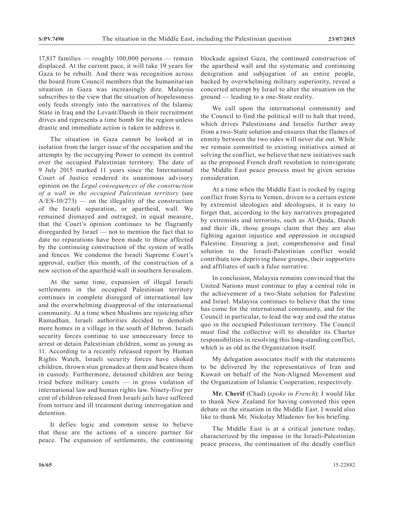17,817 families — roughly 100,000 persons — remain displaced. At the current pace, it will take 19 years for Gaza to be rebuilt. And there was recognition across the board from Council members that the humanitarian situation in Gaza was increasingly dire. Malaysia subscribes to the view that the situation of hopelessness only feeds strongly into the narratives of the Islamic State in Iraq and the Levant/Daesh in their recruitment drives and represents a time bomb for the region unless drastic and immediate action is taken to address it.

The situation in Gaza cannot be looked at in isolation from the larger issue of the occupation and the attempts by the occupying Power to cement its control over the occupied Palestinian territory. The date of 9 July 2015 marked 11 years since the International Court of Justice rendered its unanimous advisory opinion on the *Legal consequences of the construction of a wall in the occupied Palestinian territory* (see  $A/ES-10/273$  — on the illegality of the construction of the Israeli separation, or apartheid, wall. We remained dismayed and outraged, in equal measure, that the Court's opinion continues to be flagrantly disregarded by Israel — not to mention the fact that to date no reparations have been made to those affected by the continuing construction of the system of walls and fences. We condemn the Israeli Supreme Court's approval, earlier this month, of the construction of a new section of the apartheid wall in southern Jerusalem.

At the same time, expansion of illegal Israeli settlements in the occupied Palestinian territory continues in complete disregard of international law and the overwhelming disapproval of the international community. At a time when Muslims are rejoicing after Ramadhan, Israeli authorities decided to demolish more homes in a village in the south of Hebron. Israeli security forces continue to use unnecessary force to arrest or detain Palestinian children, some as young as 11. According to a recently released report by Human Rights Watch, Israeli security forces have choked children, thrown stun grenades at them and beaten them in custody. Furthermore, detained children are being tried before military courts — in gross violation of international law and human rights law. Ninety-five per cent of children released from Israeli jails have suffered from torture and ill treatment during interrogation and detention.

It defies logic and common sense to believe that these are the actions of a sincere partner for peace. The expansion of settlements, the continuing blockade against Gaza, the continued construction of the apartheid wall and the systematic and continuing denigration and subjugation of an entire people, backed by overwhelming military superiority, reveal a concerted attempt by Israel to alter the situation on the ground — leading to a one-State reality.

We call upon the international community and the Council to find the political will to halt that trend, which drives Palestinians and Israelis further away from a two-State solution and ensures that the flames of enmity between the two sides will never die out. While we remain committed to existing initiatives aimed at solving the conflict, we believe that new initiatives such as the proposed French draft resolution to reinvigorate the Middle East peace process must be given serious consideration.

At a time when the Middle East is rocked by raging conflict from Syria to Yemen, driven to a certain extent by extremist ideologies and ideologues, it is easy to forget that, according to the key narratives propagated by extremists and terrorists, such as Al-Qaida, Daesh and their ilk, those groups claim that they are also fighting against injustice and oppression in occupied Palestine. Ensuring a just, comprehensive and final solution to the Israeli-Palestinian conflict would contribute tow depriving those groups, their supporters and affiliates of such a false narrative.

In conclusion, Malaysia remains convinced that the United Nations must continue to play a central role in the achievement of a two-State solution for Palestine and Israel. Malaysia continues to believe that the time has come for the international community, and for the Council in particular, to lead the way and end the status quo in the occupied Palestinian territory. The Council must find the collective will to shoulder its Charter responsibilities in resolving this long-standing conflict, which is as old as the Organization itself.

My delegation associates itself with the statements to be delivered by the representatives of Iran and Kuwait on behalf of the Non-Aligned Movement and the Organization of Islamic Cooperation, respectively.

**Mr. Cherif** (Chad) (*spoke in French*): I would like to thank New Zealand for having convened this open debate on the situation in the Middle East. I would also like to thank Mr. Nickolay Mladenov for his briefing.

The Middle East is at a critical juncture today, characterized by the impasse in the Israeli-Palestinian peace process, the continuation of the deadly conflict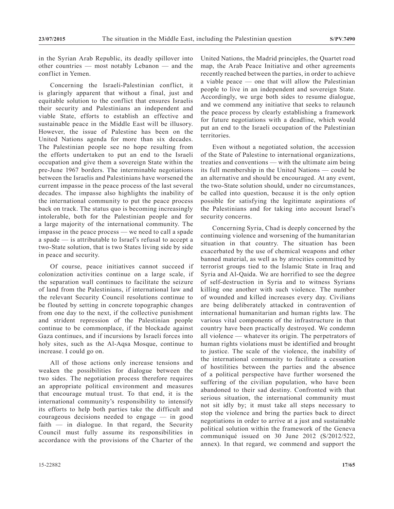in the Syrian Arab Republic, its deadly spillover into other countries — most notably Lebanon — and the conflict in Yemen.

Concerning the Israeli-Palestinian conflict, it is glaringly apparent that without a final, just and equitable solution to the conflict that ensures Israelis their security and Palestinians an independent and viable State, efforts to establish an effective and sustainable peace in the Middle East will be illusory. However, the issue of Palestine has been on the United Nations agenda for more than six decades. The Palestinian people see no hope resulting from the efforts undertaken to put an end to the Israeli occupation and give them a sovereign State within the pre-June 1967 borders. The interminable negotiations between the Israelis and Palestinians have worsened the current impasse in the peace process of the last several decades. The impasse also highlights the inability of the international community to put the peace process back on track. The status quo is becoming increasingly intolerable, both for the Palestinian people and for a large majority of the international community. The impasse in the peace process — we need to call a spade a spade — is attributable to Israel's refusal to accept a two-State solution, that is two States living side by side in peace and security.

Of course, peace initiatives cannot succeed if colonization activities continue on a large scale, if the separation wall continues to facilitate the seizure of land from the Palestinians, if international law and the relevant Security Council resolutions continue to be flouted by setting in concrete topographic changes from one day to the next, if the collective punishment and strident repression of the Palestinian people continue to be commonplace, if the blockade against Gaza continues, and if incursions by Israeli forces into holy sites, such as the Al-Aqsa Mosque, continue to increase. I could go on.

All of those actions only increase tensions and weaken the possibilities for dialogue between the two sides. The negotiation process therefore requires an appropriate political environment and measures that encourage mutual trust. To that end, it is the international community's responsibility to intensify its efforts to help both parties take the difficult and courageous decisions needed to engage — in good faith  $-$  in dialogue. In that regard, the Security Council must fully assume its responsibilities in accordance with the provisions of the Charter of the United Nations, the Madrid principles, the Quartet road map, the Arab Peace Initiative and other agreements recently reached between the parties, in order to achieve a viable peace — one that will allow the Palestinian people to live in an independent and sovereign State. Accordingly, we urge both sides to resume dialogue, and we commend any initiative that seeks to relaunch the peace process by clearly establishing a framework for future negotiations with a deadline, which would put an end to the Israeli occupation of the Palestinian territories.

Even without a negotiated solution, the accession of the State of Palestine to international organizations, treaties and conventions — with the ultimate aim being its full membership in the United Nations — could be an alternative and should be encouraged. At any event, the two-State solution should, under no circumstances, be called into question, because it is the only option possible for satisfying the legitimate aspirations of the Palestinians and for taking into account Israel's security concerns.

Concerning Syria, Chad is deeply concerned by the continuing violence and worsening of the humanitarian situation in that country. The situation has been exacerbated by the use of chemical weapons and other banned material, as well as by atrocities committed by terrorist groups tied to the Islamic State in Iraq and Syria and Al-Qaida. We are horrified to see the degree of self-destruction in Syria and to witness Syrians killing one another with such violence. The number of wounded and killed increases every day. Civilians are being deliberately attacked in contravention of international humanitarian and human rights law. The various vital components of the infrastructure in that country have been practically destroyed. We condemn all violence — whatever its origin. The perpetrators of human rights violations must be identified and brought to justice. The scale of the violence, the inability of the international community to facilitate a cessation of hostilities between the parties and the absence of a political perspective have further worsened the suffering of the civilian population, who have been abandoned to their sad destiny. Confronted with that serious situation, the international community must not sit idly by; it must take all steps necessary to stop the violence and bring the parties back to direct negotiations in order to arrive at a just and sustainable political solution within the framework of the Geneva communiqué issued on 30 June 2012 (S/2012/522, annex). In that regard, we commend and support the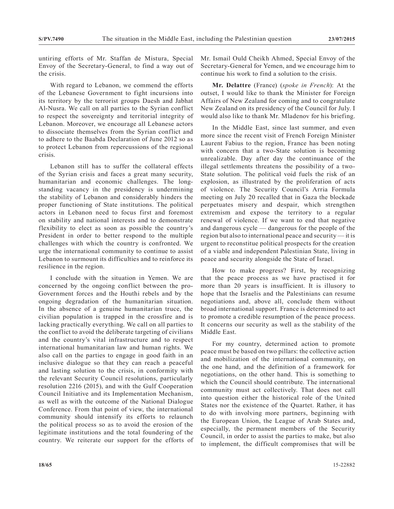untiring efforts of Mr. Staffan de Mistura, Special Envoy of the Secretary-General, to find a way out of the crisis.

With regard to Lebanon, we commend the efforts of the Lebanese Government to fight incursions into its territory by the terrorist groups Daesh and Jabhat Al-Nusra. We call on all parties to the Syrian conflict to respect the sovereignty and territorial integrity of Lebanon. Moreover, we encourage all Lebanese actors to dissociate themselves from the Syrian conflict and to adhere to the Baabda Declaration of June 2012 so as to protect Lebanon from repercussions of the regional crisis.

Lebanon still has to suffer the collateral effects of the Syrian crisis and faces a great many security, humanitarian and economic challenges. The longstanding vacancy in the presidency is undermining the stability of Lebanon and considerably hinders the proper functioning of State institutions. The political actors in Lebanon need to focus first and foremost on stability and national interests and to demonstrate flexibility to elect as soon as possible the country's President in order to better respond to the multiple challenges with which the country is confronted. We urge the international community to continue to assist Lebanon to surmount its difficulties and to reinforce its resilience in the region.

I conclude with the situation in Yemen. We are concerned by the ongoing conflict between the pro-Government forces and the Houthi rebels and by the ongoing degradation of the humanitarian situation. In the absence of a genuine humanitarian truce, the civilian population is trapped in the crossfire and is lacking practically everything. We call on all parties to the conflict to avoid the deliberate targeting of civilians and the country's vital infrastructure and to respect international humanitarian law and human rights. We also call on the parties to engage in good faith in an inclusive dialogue so that they can reach a peaceful and lasting solution to the crisis, in conformity with the relevant Security Council resolutions, particularly resolution 2216 (2015), and with the Gulf Cooperation Council Initiative and its Implementation Mechanism, as well as with the outcome of the National Dialogue Conference. From that point of view, the international community should intensify its efforts to relaunch the political process so as to avoid the erosion of the legitimate institutions and the total foundering of the country. We reiterate our support for the efforts of Mr. Ismail Ould Cheikh Ahmed, Special Envoy of the Secretary-General for Yemen, and we encourage him to continue his work to find a solution to the crisis.

**Mr. Delattre** (France) (*spoke in French*): At the outset, I would like to thank the Minister for Foreign Affairs of New Zealand for coming and to congratulate New Zealand on its presidency of the Council for July. I would also like to thank Mr. Mladenov for his briefing.

In the Middle East, since last summer, and even more since the recent visit of French Foreign Minister Laurent Fabius to the region, France has been noting with concern that a two-State solution is becoming unrealizable. Day after day the continuance of the illegal settlements threatens the possibility of a two-State solution. The political void fuels the risk of an explosion, as illustrated by the proliferation of acts of violence. The Security Council's Arria Formula meeting on July 20 recalled that in Gaza the blockade perpetuates misery and despair, which strengthen extremism and expose the territory to a regular renewal of violence. If we want to end that negative and dangerous cycle — dangerous for the people of the region but also to international peace and security — it is urgent to reconstitue political prospects for the creation of a viable and independent Palestinian State, living in peace and security alongside the State of Israel.

How to make progress? First, by recognizing that the peace process as we have practised it for more than 20 years is insufficient. It is illusory to hope that the Israelis and the Palestinians can resume negotiations and, above all, conclude them without broad international support. France is determined to act to promote a credible resumption of the peace process. It concerns our security as well as the stability of the Middle East.

For my country, determined action to promote peace must be based on two pillars: the collective action and mobilization of the international community, on the one hand, and the definition of a framework for negotiations, on the other hand. This is something to which the Council should contribute. The international community must act collectively. That does not call into question either the historical role of the United States nor the existence of the Quartet. Rather, it has to do with involving more partners, beginning with the European Union, the League of Arab States and, especially, the permanent members of the Security Council, in order to assist the parties to make, but also to implement, the difficult compromises that will be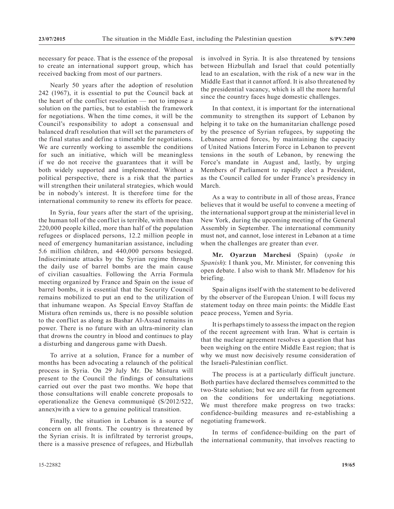necessary for peace. That is the essence of the proposal to create an international support group, which has received backing from most of our partners.

Nearly 50 years after the adoption of resolution 242 (1967), it is essential to put the Council back at the heart of the conflict resolution — not to impose a solution on the parties, but to establish the framework for negotiations. When the time comes, it will be the Council's responsibility to adopt a consensual and balanced draft resolution that will set the parameters of the final status and define a timetable for negotiations. We are currently working to assemble the conditions for such an initiative, which will be meaningless if we do not receive the guarantees that it will be both widely supported and implemented. Without a political perspective, there is a risk that the parties will strengthen their unilateral strategies, which would be in nobody's interest. It is therefore time for the international community to renew its efforts for peace.

In Syria, four years after the start of the uprising, the human toll of the conflict is terrible, with more than 220,000 people killed, more than half of the population refugees or displaced persons, 12.2 million people in need of emergency humanitarian assistance, including 5.6 million children, and 440,000 persons besieged. Indiscriminate attacks by the Syrian regime through the daily use of barrel bombs are the main cause of civilian casualties. Following the Arria Formula meeting organized by France and Spain on the issue of barrel bombs, it is essential that the Security Council remains mobilized to put an end to the utilization of that inhumane weapon. As Special Envoy Staffan de Mistura often reminds us, there is no possible solution to the conflict as along as Bashar Al-Assad remains in power. There is no future with an ultra-minority clan that drowns the country in blood and continues to play a disturbing and dangerous game with Daesh.

To arrive at a solution, France for a number of months has been advocating a relaunch of the political process in Syria. On 29 July Mr. De Mistura will present to the Council the findings of consultations carried out over the past two months. We hope that those consultations will enable concrete proposals to operationalize the Geneva communiqué (S/2012/522, annex)with a view to a genuine political transition.

Finally, the situation in Lebanon is a source of concern on all fronts. The country is threatened by the Syrian crisis. It is infiltrated by terrorist groups, there is a massive presence of refugees, and Hizbullah

is involved in Syria. It is also threatened by tensions between Hizbullah and Israel that could potentially lead to an escalation, with the risk of a new war in the Middle East that it cannot afford. It is also threatened by the presidential vacancy, which is all the more harmful since the country faces huge domestic challenges.

In that context, it is important for the international community to strengthen its support of Lebanon by helping it to take on the humanitarian challenge posed by the presence of Syrian refugees, by suppoting the Lebanese armed forces, by maintaining the capacity of United Nations Interim Force in Lebanon to prevent tensions in the south of Lebanon, by renewing the Force's mandate in August and, lastly, by urging Members of Parliament to rapidly elect a President, as the Council called for under France's presidency in March.

As a way to contribute in all of those areas, France believes that it would be useful to convene a meeting of the international support group at the ministerial level in New York, during the upcoming meeting of the General Assembly in September. The international community must not, and cannot, lose interest in Lebanon at a time when the challenges are greater than ever.

**Mr. Oyarzun Marchesi** (Spain) (*spoke in Spanish*): I thank you, Mr. Minister, for convening this open debate. I also wish to thank Mr. Mladenov for his briefing.

Spain aligns itself with the statement to be delivered by the observer of the European Union. I will focus my statement today on three main points: the Middle East peace process, Yemen and Syria.

It is perhaps timely to assess the impact on the region of the recent agreement with Iran. What is certain is that the nuclear agreement resolves a question that has been weighing on the entire Middle East region; that is why we must now decisively resume consideration of the Israeli-Palestinian conflict.

The process is at a particularly difficult juncture. Both parties have declared themselves committed to the two-State solution; but we are still far from agreement on the conditions for undertaking negotiations. We must therefore make progress on two tracks: confidence-building measures and re-establishing a negotiating framework.

In terms of confidence-building on the part of the international community, that involves reacting to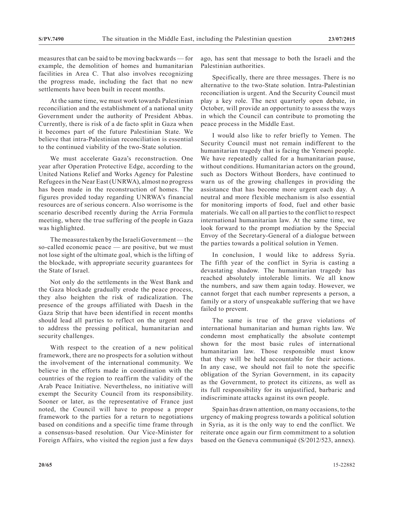measures that can be said to be moving backwards — for example, the demolition of homes and humanitarian facilities in Area C. That also involves recognizing the progress made, including the fact that no new settlements have been built in recent months.

At the same time, we must work towards Palestinian reconciliation and the establishment of a national unity Government under the authority of President Abbas. Currently, there is risk of a de facto split in Gaza when it becomes part of the future Palestinian State. We believe that intra-Palestinian reconciliation is essential to the continued viability of the two-State solution.

We must accelerate Gaza's reconstruction. One year after Operation Protective Edge, according to the United Nations Relief and Works Agency for Palestine Refugees in the Near East (UNRWA), almost no progress has been made in the reconstruction of homes. The figures provided today regarding UNRWA's financial resources are of serious concern. Also worrisome is the scenario described recently during the Arria Formula meeting, where the true suffering of the people in Gaza was highlighted.

The measures taken by the Israeli Government— the so-called economic peace — are positive, but we must not lose sight of the ultimate goal, which is the lifting of the blockade, with appropriate security guarantees for the State of Israel.

Not only do the settlements in the West Bank and the Gaza blockade gradually erode the peace process, they also heighten the risk of radicalization. The presence of the groups affiliated with Daesh in the Gaza Strip that have been identified in recent months should lead all parties to reflect on the urgent need to address the pressing political, humanitarian and security challenges.

With respect to the creation of a new political framework, there are no prospects for a solution without the involvement of the international community. We believe in the efforts made in coordination with the countries of the region to reaffirm the validity of the Arab Peace Initiative. Nevertheless, no initiative will exempt the Security Council from its responsibility. Sooner or later, as the representative of France just noted, the Council will have to propose a proper framework to the parties for a return to negotiations based on conditions and a specific time frame through a consensus-based resolution. Our Vice-Minister for Foreign Affairs, who visited the region just a few days

ago, has sent that message to both the Israeli and the Palestinian authorities.

Specifically, there are three messages. There is no alternative to the two-State solution. Intra-Palestinian reconciliation is urgent. And the Security Council must play a key role. The next quarterly open debate, in October, will provide an opportunity to assess the ways in which the Council can contribute to promoting the peace process in the Middle East.

I would also like to refer briefly to Yemen. The Security Council must not remain indifferent to the humanitarian tragedy that is facing the Yemeni people. We have repeatedly called for a humanitarian pause, without conditions. Humanitarian actors on the ground, such as Doctors Without Borders, have continued to warn us of the growing challenges in providing the assistance that has become more urgent each day. A neutral and more flexible mechanism is also essential for monitoring imports of food, fuel and other basic materials. We call on all parties to the conflict to respect international humanitarian law. At the same time, we look forward to the prompt mediation by the Special Envoy of the Secretary-General of a dialogue between the parties towards a political solution in Yemen.

In conclusion, I would like to address Syria. The fifth year of the conflict in Syria is casting a devastating shadow. The humanitarian tragedy has reached absolutely intolerable limits. We all know the numbers, and saw them again today. However, we cannot forget that each number represents a person, a family or a story of unspeakable suffering that we have failed to prevent.

The same is true of the grave violations of international humanitarian and human rights law. We condemn most emphatically the absolute contempt shown for the most basic rules of international humanitarian law. Those responsible must know that they will be held accountable for their actions. In any case, we should not fail to note the specific obligation of the Syrian Government, in its capacity as the Government, to protect its citizens, as well as its full responsibility for its unjustified, barbaric and indiscriminate attacks against its own people.

Spain has drawn attention, on many occasions, to the urgency of making progress towards a political solution in Syria, as it is the only way to end the conflict. We reiterate once again our firm commitment to a solution based on the Geneva communiqué (S/2012/523, annex).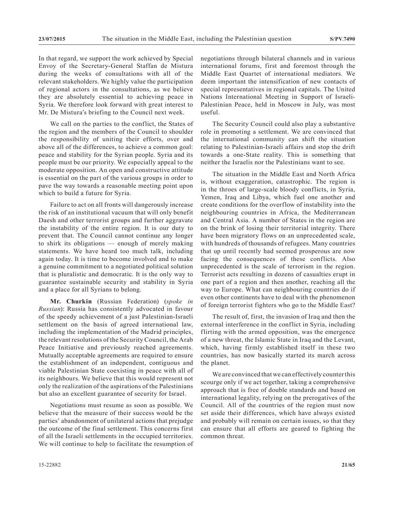In that regard, we support the work achieved by Special Envoy of the Secretary-General Staffan de Mistura during the weeks of consultations with all of the relevant stakeholders. We highly value the participation of regional actors in the consultations, as we believe they are absolutely essential to achieving peace in Syria. We therefore look forward with great interest to Mr. De Mistura's briefing to the Council next week.

We call on the parties to the conflict, the States of the region and the members of the Council to shoulder the responsibility of uniting their efforts, over and above all of the differences, to achieve a common goal: peace and stability for the Syrian people. Syria and its people must be our priority. We especially appeal to the moderate opposition. An open and constructive attitude is essential on the part of the various groups in order to pave the way towards a reasonable meeting point upon which to build a future for Syria.

Failure to act on all fronts will dangerously increase the risk of an institutional vacuum that will only benefit Daesh and other terrorist groups and further aggravate the instability of the entire region. It is our duty to prevent that. The Council cannot continue any longer to shirk its obligations — enough of merely making statements. We have heard too much talk, including again today. It is time to become involved and to make a genuine commitment to a negotiated political solution that is pluralistic and democratic. It is the only way to guarantee sustainable security and stability in Syria and a place for all Syrians to belong.

**Mr. Churkin** (Russian Federation) (*spoke in Russian*): Russia has consistently advocated in favour of the speedy achievement of a just Palestinian-Israeli settlement on the basis of agreed international law, including the implementation of the Madrid principles, the relevant resolutions of the Security Council, the Arab Peace Initiative and previously reached agreements. Mutually acceptable agreements are required to ensure the establishment of an independent, contiguous and viable Palestinian State coexisting in peace with all of its neighbours. We believe that this would represent not only the realization of the aspirations of the Palestinians but also an excellent guarantee of security for Israel.

Negotiations must resume as soon as possible. We believe that the measure of their success would be the parties' abandonment of unilateral actions that prejudge the outcome of the final settlement. This concerns first of all the Israeli settlements in the occupied territories. We will continue to help to facilitate the resumption of negotiations through bilateral channels and in various international forums, first and foremost through the Middle East Quartet of international mediators. We deem important the intensification of new contacts of special representatives in regional capitals. The United Nations International Meeting in Support of Israeli-Palestinian Peace, held in Moscow in July, was most useful.

The Security Council could also play a substantive role in promoting a settlement. We are convinced that the international community can shift the situation relating to Palestinian-Israeli affairs and stop the drift towards a one-State reality. This is something that neither the Israelis nor the Palestinians want to see.

The situation in the Middle East and North Africa is, without exaggeration, catastrophic. The region is in the throes of large-scale bloody conflicts, in Syria, Yemen, Iraq and Libya, which fuel one another and create conditions for the overflow of instability into the neighbouring countries in Africa, the Mediterranean and Central Asia. A number of States in the region are on the brink of losing their territorial integrity. There have been migratory flows on an unprecedented scale, with hundreds of thousands of refugees. Many countries that up until recently had seemed prosperous are now facing the consequences of these conflicts. Also unprecedented is the scale of terrorism in the region. Terrorist acts resulting in dozens of casualties erupt in one part of a region and then another, reaching all the way to Europe. What can neighbouring countries do if even other continents have to deal with the phenomenon of foreign terrorist fighters who go to the Middle East?

The result of, first, the invasion of Iraq and then the external interference in the conflict in Syria, including flirting with the armed opposition, was the emergence of a new threat, the Islamic State in Iraq and the Levant, which, having firmly established itself in these two countries, has now basically started its march across the planet.

We are convinced that we can effectively counter this scourge only if we act together, taking a comprehensive approach that is free of double standards and based on international legality, relying on the prerogatives of the Council. All of the countries of the region must now set aside their differences, which have always existed and probably will remain on certain issues, so that they can ensure that all efforts are geared to fighting the common threat.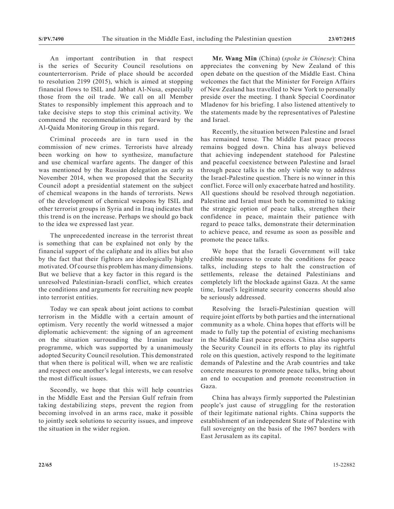An important contribution in that respect is the series of Security Council resolutions on counterterrorism. Pride of place should be accorded to resolution 2199 (2015), which is aimed at stopping financial flows to ISIL and Jabhat Al-Nusa, especially those from the oil trade. We call on all Member States to responsibly implement this approach and to take decisive steps to stop this criminal activity. We commend the recommendations put forward by the Al-Qaida Monitoring Group in this regard.

Criminal proceeds are in turn used in the commission of new crimes. Terrorists have already been working on how to synthesize, manufacture and use chemical warfare agents. The danger of this was mentioned by the Russian delegation as early as November 2014, when we proposed that the Security Council adopt a presidential statement on the subject of chemical weapons in the hands of terrorists. News of the development of chemical weapons by ISIL and other terrorist groups in Syria and in Iraq indicates that this trend is on the increase. Perhaps we should go back to the idea we expressed last year.

The unprecedented increase in the terrorist threat is something that can be explained not only by the financial support of the caliphate and its allies but also by the fact that their fighters are ideologically highly motivated. Of course this problem has many dimensions. But we believe that a key factor in this regard is the unresolved Palestinian-Israeli conflict, which creates the conditions and arguments for recruiting new people into terrorist entities.

Today we can speak about joint actions to combat terrorism in the Middle with a certain amount of optimism. Very recently the world witnessed a major diplomatic achievement: the signing of an agreement on the situation surrounding the Iranian nuclear programme, which was supported by a unanimously adopted Security Council resolution. This demonstrated that when there is political will, when we are realistic and respect one another's legal interests, we can resolve the most difficult issues.

Secondly, we hope that this will help countries in the Middle East and the Persian Gulf refrain from taking destabilizing steps, prevent the region from becoming involved in an arms race, make it possible to jointly seek solutions to security issues, and improve the situation in the wider region.

**Mr. Wang Min** (China) (*spoke in Chinese*): China appreciates the convening by New Zealand of this open debate on the question of the Middle East. China welcomes the fact that the Minister for Foreign Affairs of New Zealand has travelled to New York to personally preside over the meeting. I thank Special Coordinator Mladenov for his briefing. I also listened attentively to the statements made by the representatives of Palestine and Israel.

Recently, the situation between Palestine and Israel has remained tense. The Middle East peace process remains bogged down. China has always believed that achieving independent statehood for Palestine and peaceful coexistence between Palestine and Israel through peace talks is the only viable way to address the Israel-Palestine question. There is no winner in this conflict. Force will only exacerbate hatred and hostility. All questions should be resolved through negotiation. Palestine and Israel must both be committed to taking the strategic option of peace talks, strengthen their confidence in peace, maintain their patience with regard to peace talks, demonstrate their determination to achieve peace, and resume as soon as possible and promote the peace talks.

We hope that the Israeli Government will take credible measures to create the conditions for peace talks, including steps to halt the construction of settlements, release the detained Palestinians and completely lift the blockade against Gaza. At the same time, Israel's legitimate security concerns should also be seriously addressed.

Resolving the Israeli-Palestinian question will require joint efforts by both parties and the international community as a whole. China hopes that efforts will be made to fully tap the potential of existing mechanisms in the Middle East peace process. China also supports the Security Council in its efforts to play its rightful role on this question, actively respond to the legitimate demands of Palestine and the Arab countries and take concrete measures to promote peace talks, bring about an end to occupation and promote reconstruction in Gaza.

China has always firmly supported the Palestinian people's just cause of struggling for the restoration of their legitimate national rights. China supports the establishment of an independent State of Palestine with full sovereignty on the basis of the 1967 borders with East Jerusalem as its capital.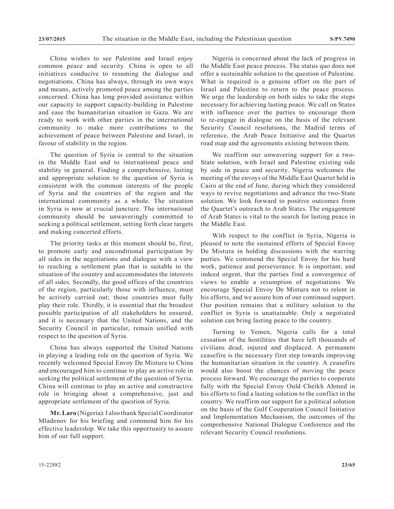China wishes to see Palestine and Israel enjoy common peace and security. China is open to all initiatives conducive to resuming the dialogue and negotiations. China has always, through its own ways and means, actively promoted peace among the parties concerned. China has long provided assistance within our capacity to support capacity-building in Palestine and ease the humanitarian situation in Gaza. We are ready to work with other parties in the international community to make more contributions to the achievement of peace between Palestine and Israel, in favour of stability in the region.

The question of Syria is central to the situation in the Middle East and to international peace and stability in general. Finding a comprehensive, lasting and appropriate solution to the question of Syria is consistent with the common interests of the people of Syria and the countries of the region and the international community as a whole. The situation in Syria is now at crucial juncture. The international community should be unwaveringly committed to seeking a political settlement, setting forth clear targets and making concerted efforts.

The priority tasks at this moment should be, first, to promote early and unconditional participation by all sides in the negotiations and dialogue with a view to reaching a settlement plan that is suitable to the situation of the country and accommodates the interests of all sides. Secondly, the good offices of the countries of the region, particularly those with influence, must be actively carried out; those countries must fully play their role. Thirdly, it is essential that the broadest possible participation of all stakeholders be ensured, and it is necessary that the United Nations, and the Security Council in particular, remain unified with respect to the question of Syria.

China has always supported the United Nations in playing a leading role on the question of Syria. We recently welcomed Special Envoy De Mistura to China and encouraged him to continue to play an active role in seeking the political settlement of the question of Syria. China will continue to play an active and constructive role in bringing about a comprehensive, just and appropriate settlement of the question of Syria.

**Mr. Laro** (Nigeria): I also thank Special Coordinator Mladenov for his briefing and commend him for his effective leadership. We take this opportunity to assure him of our full support.

Nigeria is concerned about the lack of progress in the Middle East peace process. The status quo does not offer a sustainable solution to the question of Palestine. What is required is a genuine effort on the part of Israel and Palestine to return to the peace process. We urge the leadership on both sides to take the steps necessary for achieving lasting peace. We call on States with influence over the parties to encourage them to re-engage in dialogue on the basis of the relevant Security Council resolutions, the Madrid terms of reference, the Arab Peace Initiative and the Quartet road map and the agreements existing between them.

We reaffirm our unwavering support for a two-State solution, with Israel and Palestine existing side by side in peace and security. Nigeria welcomes the meeting of the envoys of the Middle East Quartet held in Cairo at the end of June, during which they considered ways to revive negotiations and advance the two-State solution. We look forward to positive outcomes from the Quartet's outreach to Arab States. The engagement of Arab States is vital to the search for lasting peace in the Middle East.

With respect to the conflict in Syria, Nigeria is pleased to note the sustained efforts of Special Envoy De Mistura in holding discussions with the warring parties. We commend the Special Envoy for his hard work, patience and perseverance. It is important, and indeed urgent, that the parties find a convergence of views to enable a resumption of negotiations. We encourage Special Envoy De Mistura not to relent in his efforts, and we assure him of our continued support. Our position remains that a military solution to the conflict in Syria is unattainable. Only a negotiated solution can bring lasting peace to the country.

Turning to Yemen, Nigeria calls for a total cessation of the hostilities that have left thousands of civilians dead, injured and displaced. A permanent ceasefire is the necessary first step towards improving the humanitarian situation in the country. A ceasefire would also boost the chances of moving the peace process forward. We encourage the parties to cooperate fully with the Special Envoy Ould Cheikh Ahmed in his efforts to find a lasting solution to the conflict in the country. We reaffirm our support for a political solution on the basis of the Gulf Cooperation Council Initiative and Implementation Mechanism, the outcomes of the comprehensive National Dialogue Conference and the relevant Security Council resolutions.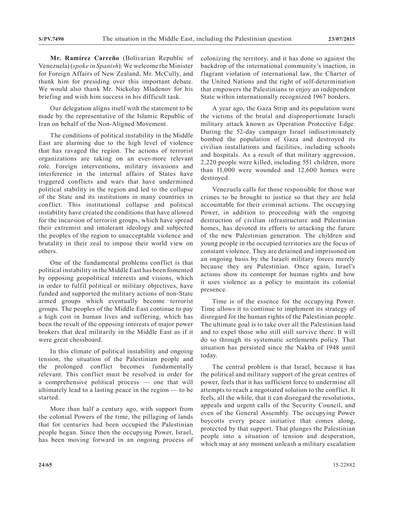**Mr. Ramírez Carreño** (Bolivarian Republic of Venezuela) (*spoke in Spanish*): We welcome the Minister for Foreign Affairs of New Zealand, Mr. McCully, and thank him for presiding over this important debate. We would also thank Mr. Nickolay Mladenov for his briefing and wish him success in his difficult task.

Our delegation aligns itself with the statement to be made by the representative of the Islamic Republic of Iran on behalf of the Non-Aligned Movement.

The conditions of political instability in the Middle East are alarming due to the high level of violence that has ravaged the region. The actions of terrorist organizations are taking on an ever-more relevant role. Foreign interventions, military invasions and interference in the internal affairs of States have triggered conflicts and wars that have undermined political stability in the region and led to the collapse of the State and its institutions in many countries in conflict. This institutional collapse and political instability have created the conditions that have allowed for the incursion of terrorist groups, which have spread their extremist and intolerant ideology and subjected the peoples of the region to unacceptable violence and brutality in their zeal to impose their world view on others.

One of the fundamental problems conflict is that political instability in the Middle East has been fomented by opposing geopolitical interests and visions, which in order to fulfil political or military objectives, have funded and supported the military actions of non-State armed groups which eventually become terrorist groups. The peoples of the Middle East continue to pay a high cost in human lives and suffering, which has been the result of the opposing interests of major power brokers that deal militarily in the Middle East as if it were great chessboard.

In this climate of political instability and ongoing tension, the situation of the Palestinian people and the prolonged conflict becomes fundamentally relevant. This conflict must be resolved in order for a comprehensive political process — one that will ultimately lead to a lasting peace in the region — to be started.

More than half a century ago, with support from the colonial Powers of the time, the pillaging of lands that for centuries had been occupied the Palestinian people began. Since then the occupying Power, Israel, has been moving forward in an ongoing process of colonizing the territory, and it has done so against the backdrop of the international community's inaction, in flagrant violation of international law, the Charter of the United Nations and the right of self-determination that empowers the Palestinians to enjoy an independent State within internationally recognized 1967 borders.

A year ago, the Gaza Strip and its population were the victims of the brutal and disproportionate Israeli military attack known as Operation Protective Edge. During the 52-day campaign Israel indiscriminately bombed the population of Gaza and destroyed its civilian installations and facilities, including schools and hospitals. As a result of that military aggression, 2,220 people were killed, including 551 children, more than 11,000 were wounded and 12,600 homes were destroyed.

Venezuela calls for those responsible for those war crimes to be brought to justice so that they are held accountable for their criminal actions. The occupying Power, in addition to proceeding with the ongoing destruction of civilian infrastructure and Palestinian homes, has devoted its efforts to attacking the future of the new Palestinian generation. The children and young people in the occupied territories are the focus of constant violence. They are detained and imprisoned on an ongoing basis by the Israeli military forces merely because they are Palestinian. Once again, Israel's actions show its contempt for human rights and how it uses violence as a policy to maintain its colonial presence.

Time is of the essence for the occupying Power. Time allows it to continue to implement its strategy of disregard for the human rights of the Palestinian people. The ultimate goal is to take over all the Palestinian land and to expel those who still still survive there. It will do so through its systematic settlements policy. That situation has persisted since the Nakba of 1948 until today.

The central problem is that Israel, because it has the political and military support of the great centres of power, feels that it has sufficient force to undermine all attempts to reach a negotiated solution to the conflict. It feels, all the while, that it can disregard the resolutions, appeals and urgent calls of the Security Council, and even of the General Assembly. The occupying Power boycotts every peace initiative that comes along, protected by that support. That plunges the Palestinian people into a situation of tension and desperation, which may at any moment unleash a military escalation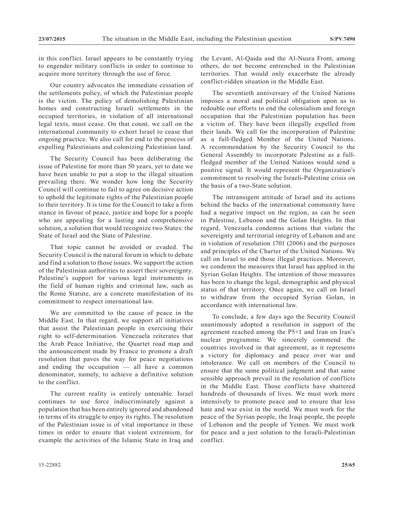in this conflict. Israel appears to be constantly trying to engender military conflicts in order to continue to acquire more territory through the use of force.

Our country advocates the immediate cessation of the settlements policy, of which the Palestinian people is the victim. The policy of demolishing Palestinian homes and constructing Israeli settlements in the occupied territories, in violation of all international legal texts, must cease. On that count, we call on the international community to exhort Israel to cease that ongoing practice. We also call for end to the process of expelling Palestinians and colonizing Palestinian land.

The Security Council has been deliberating the issue of Palestine for more than 50 years, yet to date we have been unable to put a stop to the illegal situation prevailing there. We wonder how long the Security Council will continue to fail to agree on decisive action to uphold the legitimate rights of the Palestinian people to their territory. It is time for the Council to take a firm stance in favour of peace, justice and hope for a people who are appealing for a lasting and comprehensive solution, a solution that would recognize two States: the State of Israel and the State of Palestine.

That topic cannot be avoided or evaded. The Security Council is the natural forum in which to debate and find a solution to those issues. We support the action of the Palestinian authorities to assert their sovereignty. Palestine's support for various legal instruments in the field of human rights and criminal law, such as the Rome Statute, are a concrete manifestation of its commitment to respect international law.

We are committed to the cause of peace in the Middle East. In that regard, we support all initiatives that assist the Palestinian people in exercising their right to self-determination. Venezuela reiterates that the Arab Peace Initiative, the Quartet road map and the announcement made by France to promote a draft resolution that paves the way for peace negotiations and ending the occupation — all have a common denominator, namely, to achieve a definitive solution to the conflict.

The current reality is entirely untenable. Israel continues to use force indiscriminately against a population that has been entirely ignored and abandoned in terms of its struggle to enjoy its rights. The resolution of the Palestinian issue is of vital importance in these times in order to ensure that violent extremism, for example the activities of the Islamic State in Iraq and the Levant, Al-Qaida and the Al-Nusra Front, among others, do not become entrenched in the Palestinian territories. That would only exacerbate the already conflict-ridden situation in the Middle East.

The seventieth anniversary of the United Nations imposes a moral and political obligation upon us to redouble our efforts to end the colonialism and foreign occupation that the Palestinian population has been a victim of. They have been illegally expelled from their lands. We call for the incorporation of Palestine as a full-fledged Member of the United Nations. A recommendation by the Security Council to the General Assembly to incorporate Palestine as a fullfledged member of the United Nations would send a positive signal. It would represent the Organization's commitment to resolving the Israeli-Palestine crisis on the basis of a two-State solution.

The intransigent attitude of Israel and its actions behind the backs of the international community have had a negative impact on the region, as can be seen in Palestine, Lebanon and the Golan Heights. In that regard, Venezuela condemns actions that violate the sovereignty and territorial integrity of Lebanon and are in violation of resolution 1701 (2006) and the purposes and principles of the Charter of the United Nations. We call on Israel to end those illegal practices. Moreover, we condemn the measures that Israel has applied in the Syrian Golan Heights. The intention of those measures has been to change the legal, demographic and physical status of that territory. Once again, we call on Israel to withdraw from the occupied Syrian Golan, in accordance with international law.

To conclude, a few days ago the Security Council unanimously adopted a resolution in support of the agreement reached among the P5+1 and Iran on Iran's nuclear programme. We sincerely commend the countries involved in that agreement, as it represents a victory for diplomacy and peace over war and intolerance. We call on members of the Council to ensure that the same political judgment and that same sensible approach prevail in the resolution of conflicts in the Middle East. Those conflicts have shattered hundreds of thousands of lives. We must work more intensively to promote peace and to ensure that less hate and war exist in the world. We must work for the peace of the Syrian people, the Iraqi people, the people of Lebanon and the people of Yemen. We must work for peace and a just solution to the Israeli-Palestinian conflict.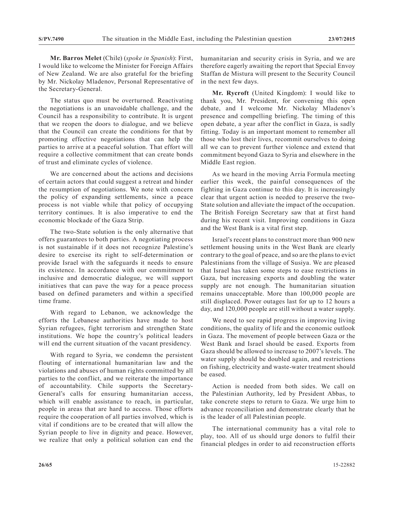**Mr. Barros Melet** (Chile) (*spoke in Spanish*): First, I would like to welcome the Minister for Foreign Affairs of New Zealand. We are also grateful for the briefing by Mr. Nickolay Mladenov, Personal Representative of the Secretary-General.

The status quo must be overturned. Reactivating the negotiations is an unavoidable challenge, and the Council has a responsibility to contribute. It is urgent that we reopen the doors to dialogue, and we believe that the Council can create the conditions for that by promoting effective negotiations that can help the parties to arrive at a peaceful solution. That effort will require a collective commitment that can create bonds of trust and eliminate cycles of violence.

We are concerned about the actions and decisions of certain actors that could suggest a retreat and hinder the resumption of negotiations. We note with concern the policy of expanding settlements, since a peace process is not viable while that policy of occupying territory continues. It is also imperative to end the economic blockade of the Gaza Strip.

The two-State solution is the only alternative that offers guarantees to both parties. A negotiating process is not sustainable if it does not recognize Palestine's desire to exercise its right to self-determination or provide Israel with the safeguards it needs to ensure its existence. In accordance with our commitment to inclusive and democratic dialogue, we will support initiatives that can pave the way for a peace process based on defined parameters and within a specified time frame.

With regard to Lebanon, we acknowledge the efforts the Lebanese authorities have made to host Syrian refugees, fight terrorism and strengthen State institutions. We hope the country's political leaders will end the current situation of the vacant presidency.

With regard to Syria, we condemn the persistent flouting of international humanitarian law and the violations and abuses of human rights committed by all parties to the conflict, and we reiterate the importance of accountability. Chile supports the Secretary-General's calls for ensuring humanitarian access, which will enable assistance to reach, in particular, people in areas that are hard to access. Those efforts require the cooperation of all parties involved, which is vital if conditions are to be created that will allow the Syrian people to live in dignity and peace. However, we realize that only a political solution can end the humanitarian and security crisis in Syria, and we are therefore eagerly awaiting the report that Special Envoy Staffan de Mistura will present to the Security Council in the next few days.

**Mr. Rycroft** (United Kingdom): I would like to thank you, Mr. President, for convening this open debate, and I welcome Mr. Nickolay Mladenov's presence and compelling briefing. The timing of this open debate, a year after the conflict in Gaza, is sadly fitting. Today is an important moment to remember all those who lost their lives, recommit ourselves to doing all we can to prevent further violence and extend that commitment beyond Gaza to Syria and elsewhere in the Middle East region.

As we heard in the moving Arria Formula meeting earlier this week, the painful consequences of the fighting in Gaza continue to this day. It is increasingly clear that urgent action is needed to preserve the two-State solution and alleviate the impact of the occupation. The British Foreign Secretary saw that at first hand during his recent visit. Improving conditions in Gaza and the West Bank is a vital first step.

Israel's recent plans to construct more than 900 new settlement housing units in the West Bank are clearly contrary to the goal of peace, and so are the plans to evict Palestinians from the village of Susiya. We are pleased that Israel has taken some steps to ease restrictions in Gaza, but increasing exports and doubling the water supply are not enough. The humanitarian situation remains unacceptable. More than 100,000 people are still displaced. Power outages last for up to 12 hours a day, and 120,000 people are still without a water supply.

We need to see rapid progress in improving living conditions, the quality of life and the economic outlook in Gaza. The movement of people between Gaza or the West Bank and Israel should be eased. Exports from Gaza should be allowed to increase to 2007's levels. The water supply should be doubled again, and restrictions on fishing, electricity and waste-water treatment should be eased.

Action is needed from both sides. We call on the Palestinian Authority, led by President Abbas, to take concrete steps to return to Gaza. We urge him to advance reconciliation and demonstrate clearly that he is the leader of all Palestinian people.

The international community has a vital role to play, too. All of us should urge donors to fulfil their financial pledges in order to aid reconstruction efforts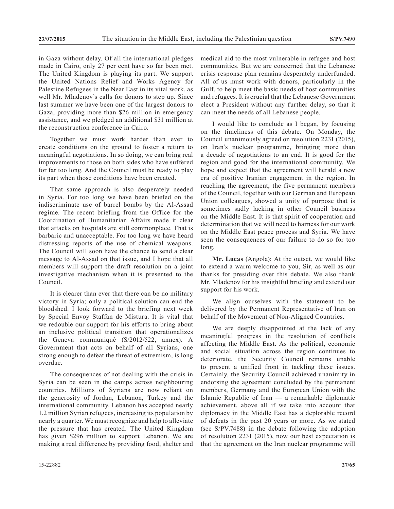in Gaza without delay. Of all the international pledges made in Cairo, only 27 per cent have so far been met. The United Kingdom is playing its part. We support the United Nations Relief and Works Agency for Palestine Refugees in the Near East in its vital work, as well Mr. Mladenov's calls for donors to step up. Since last summer we have been one of the largest donors to Gaza, providing more than \$26 million in emergency assistance, and we pledged an additional \$31 million at the reconstruction conference in Cairo.

Together we must work harder than ever to create conditions on the ground to foster a return to meaningful negotiations. In so doing, we can bring real improvements to those on both sides who have suffered for far too long. And the Council must be ready to play its part when those conditions have been created.

That same approach is also desperately needed in Syria. For too long we have been briefed on the indiscriminate use of barrel bombs by the Al-Assad regime. The recent briefing from the Office for the Coordination of Humanitarian Affairs made it clear that attacks on hospitals are still commonplace. That is barbaric and unacceptable. For too long we have heard distressing reports of the use of chemical weapons. The Council will soon have the chance to send a clear message to Al-Assad on that issue, and I hope that all members will support the draft resolution on a joint investigative mechanism when it is presented to the Council.

It is clearer than ever that there can be no military victory in Syria; only a political solution can end the bloodshed. I look forward to the briefing next week by Special Envoy Staffan de Mistura. It is vital that we redouble our support for his efforts to bring about an inclusive political transition that operationalizes the Geneva communiqué (S/2012/522, annex). A Government that acts on behalf of all Syrians, one strong enough to defeat the threat of extremism, is long overdue.

The consequences of not dealing with the crisis in Syria can be seen in the camps across neighbouring countries. Millions of Syrians are now reliant on the generosity of Jordan, Lebanon, Turkey and the international community. Lebanon has accepted nearly 1.2 million Syrian refugees, increasing its population by nearly a quarter. We must recognize and help to alleviate the pressure that has created. The United Kingdom has given \$296 million to support Lebanon. We are making a real difference by providing food, shelter and medical aid to the most vulnerable in refugee and host communities. But we are concerned that the Lebanese crisis response plan remains desperately underfunded. All of us must work with donors, particularly in the Gulf, to help meet the basic needs of host communities and refugees. It is crucial that the Lebanese Government elect a President without any further delay, so that it can meet the needs of all Lebanese people.

I would like to conclude as I began, by focusing on the timeliness of this debate. On Monday, the Council unanimously agreed on resolution 2231 (2015), on Iran's nuclear programme, bringing more than a decade of negotiations to an end. It is good for the region and good for the international community. We hope and expect that the agreement will herald a new era of positive Iranian engagement in the region. In reaching the agreement, the five permanent members of the Council, together with our German and European Union colleagues, showed a unity of purpose that is sometimes sadly lacking in other Council business on the Middle East. It is that spirit of cooperation and determination that we will need to harness for our work on the Middle East peace process and Syria. We have seen the consequences of our failure to do so for too long.

**Mr. Lucas** (Angola): At the outset, we would like to extend a warm welcome to you, Sir, as well as our thanks for presiding over this debate. We also thank Mr. Mladenov for his insightful briefing and extend our support for his work.

We align ourselves with the statement to be delivered by the Permanent Representative of Iran on behalf of the Movement of Non-Aligned Countries.

We are deeply disappointed at the lack of any meaningful progress in the resolution of conflicts affecting the Middle East. As the political, economic and social situation across the region continues to deteriorate, the Security Council remains unable to present a unified front in tackling these issues. Certainly, the Security Council achieved unanimity in endorsing the agreement concluded by the permanent members, Germany and the European Union with the Islamic Republic of Iran — a remarkable diplomatic achievement, above all if we take into account that diplomacy in the Middle East has a deplorable record of defeats in the past 20 years or more. As we stated (see S/PV.7488) in the debate following the adoption of resolution 2231 (2015), now our best expectation is that the agreement on the Iran nuclear programme will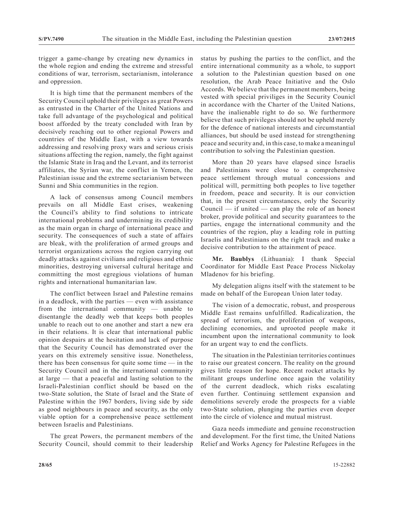trigger a game-change by creating new dynamics in the whole region and ending the extreme and stressful conditions of war, terrorism, sectarianism, intolerance and oppression.

It is high time that the permanent members of the Security Council uphold their privileges as great Powers as entrusted in the Charter of the United Nations and take full advantage of the psychological and political boost afforded by the treaty concluded with Iran by decisively reaching out to other regional Powers and countries of the Middle East, with a view towards addressing and resolving proxy wars and serious crisis situations affecting the region, namely, the fight against the Islamic State in Iraq and the Levant, and its terrorist affiliates, the Syrian war, the conflict in Yemen, the Palestinian issue and the extreme sectarianism between Sunni and Shia communities in the region.

A lack of consensus among Council members prevails on all Middle East crises, weakening the Council's ability to find solutions to intricate international problems and undermining its credibility as the main organ in charge of international peace and security. The consequences of such a state of affairs are bleak, with the proliferation of armed groups and terrorist organizations across the region carrying out deadly attacks against civilians and religious and ethnic minorities, destroying universal cultural heritage and committing the most egregious violations of human rights and international humanitarian law.

The conflict between Israel and Palestine remains in a deadlock, with the parties — even with assistance from the international community — unable to disentangle the deadly web that keeps both peoples unable to reach out to one another and start a new era in their relations. It is clear that international public opinion despairs at the hesitation and lack of purpose that the Security Council has demonstrated over the years on this extremely sensitive issue. Nonetheless, there has been consensus for quite some time  $-$  in the Security Council and in the international community at large — that a peaceful and lasting solution to the Israeli-Palestinian conflict should be based on the two-State solution, the State of Israel and the State of Palestine within the 1967 borders, living side by side as good neighbours in peace and security, as the only viable option for a comprehensive peace settlement between Israelis and Palestinians.

The great Powers, the permanent members of the Security Council, should commit to their leadership status by pushing the parties to the conflict, and the entire international community as a whole, to support a solution to the Palestinian question based on one resolution, the Arab Peace Initiative and the Oslo Accords. We believe that the permanent members, being vested with special priviliges in the Security Counicl in accordance with the Charter of the United Nations, have the inalienable right to do so. We furthermore believe that such privileges should not be upheld merely for the defence of national interests and circumstantial alliances, but should be used instead for strengthening peace and security and, in this case, to make a meaningul contribution to solving the Palestinian question.

More than 20 years have elapsed since Israelis and Palestinians were close to a comprehensive peace settlement through mutual concessions and political will, permitting both peoples to live together in freedom, peace and security. It is our conviction that, in the present circumstances, only the Security Council  $-$  if united  $-$  can play the role of an honest broker, provide political and security guarantees to the parties, engage the international community and the countries of the region, play a leading role in putting Israelis and Palestinians on the right track and make a decisive contribution to the attainment of peace.

**Mr. Baublys** (Lithuania): I thank Special Coordinator for Middle East Peace Process Nickolay Mladenov for his briefing.

My delegation aligns itself with the statement to be made on behalf of the European Union later today.

The vision of a democratic, robust, and prosperous Middle East remains unfulfilled. Radicalization, the spread of terrorism, the proliferation of weapons, declining economies, and uprooted people make it incumbent upon the international community to look for an urgent way to end the conflicts.

The situation in the Palestinian territories continues to raise our greatest concern. The reality on the ground gives little reason for hope. Recent rocket attacks by militant groups underline once again the volatility of the current deadlock, which risks escalating even further. Continuing settlement expansion and demolitions severely erode the prospects for a viable two-State solution, plunging the parties even deeper into the circle of violence and mutual mistrust.

Gaza needs immediate and genuine reconstruction and development. For the first time, the United Nations Relief and Works Agency for Palestine Refugees in the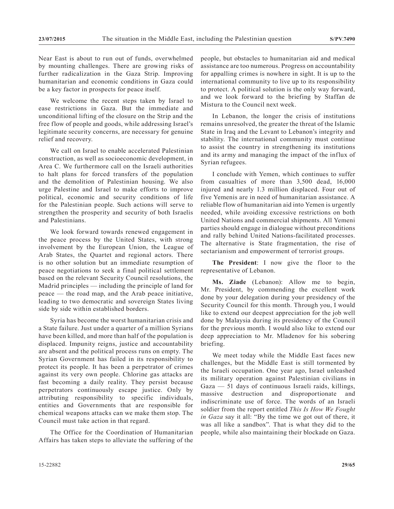Near East is about to run out of funds, overwhelmed by mounting challenges. There are growing risks of further radicalization in the Gaza Strip. Improving humanitarian and economic conditions in Gaza could be a key factor in prospects for peace itself.

We welcome the recent steps taken by Israel to ease restrictions in Gaza. But the immediate and unconditional lifting of the closure on the Strip and the free flow of people and goods, while addressing Israel's legitimate security concerns, are necessary for genuine relief and recovery.

We call on Israel to enable accelerated Palestinian construction, as well as socioeconomic development, in Area C. We furthermore call on the Israeli authorities to halt plans for forced transfers of the population and the demolition of Palestinian housing. We also urge Palestine and Israel to make efforts to improve political, economic and security conditions of life for the Palestinian people. Such actions will serve to strengthen the prosperity and security of both Israelis and Palestinians.

We look forward towards renewed engagement in the peace process by the United States, with strong involvement by the European Union, the League of Arab States, the Quartet and regional actors. There is no other solution but an immediate resumption of peace negotiations to seek a final political settlement based on the relevant Security Council resolutions, the Madrid principles — including the principle of land for peace — the road map, and the Arab peace initiative, leading to two democratic and sovereign States living side by side within established borders.

Syria has become the worst humanitarian crisis and a State failure. Just under a quarter of a million Syrians have been killed, and more than half of the population is displaced. Impunity reigns, justice and accountability are absent and the political process runs on empty. The Syrian Government has failed in its responsibility to protect its people. It has been a perpetrator of crimes against its very own people. Chlorine gas attacks are fast becoming a daily reality. They persist because perpetrators continuously escape justice. Only by attributing responsibility to specific individuals, entities and Governments that are responsible for chemical weapons attacks can we make them stop. The Council must take action in that regard.

The Office for the Coordination of Humanitarian Affairs has taken steps to alleviate the suffering of the people, but obstacles to humanitarian aid and medical assistance are too numerous. Progress on accountability for appalling crimes is nowhere in sight. It is up to the international community to live up to its responsibility to protect. A political solution is the only way forward, and we look forward to the briefing by Staffan de Mistura to the Council next week.

In Lebanon, the longer the crisis of institutions remains unresolved, the greater the threat of the Islamic State in Iraq and the Levant to Lebanon's integrity and stability. The international community must continue to assist the country in strengthening its institutions and its army and managing the impact of the influx of Syrian refugees.

I conclude with Yemen, which continues to suffer from casualties of more than 3,500 dead, 16,000 injured and nearly 1.3 million displaced. Four out of five Yemenis are in need of humanitarian assistance. A reliable flow of humanitarian aid into Yemen is urgently needed, while avoiding excessive restrictions on both United Nations and commercial shipments. All Yemeni parties should engage in dialogue without preconditions and rally behind United Nations-facilitated processes. The alternative is State fragmentation, the rise of sectarianism and empowerment of terrorist groups.

**The President**: I now give the floor to the representative of Lebanon.

**Ms. Ziade** (Lebanon): Allow me to begin, Mr. President, by commending the excellent work done by your delegation during your presidency of the Security Council for this month. Through you, I would like to extend our deepest appreciation for the job well done by Malaysia during its presidency of the Council for the previous month. I would also like to extend our deep appreciation to Mr. Mladenov for his sobering briefing.

We meet today while the Middle East faces new challenges, but the Middle East is still tormented by the Israeli occupation. One year ago, Israel unleashed its military operation against Palestinian civilians in Gaza — 51 days of continuous Israeli raids, killings, massive destruction and disproportionate and indiscriminate use of force. The words of an Israeli soldier from the report entitled *This Is How We Fought in Gaza* say it all: "By the time we got out of there, it was all like a sandbox". That is what they did to the people, while also maintaining their blockade on Gaza.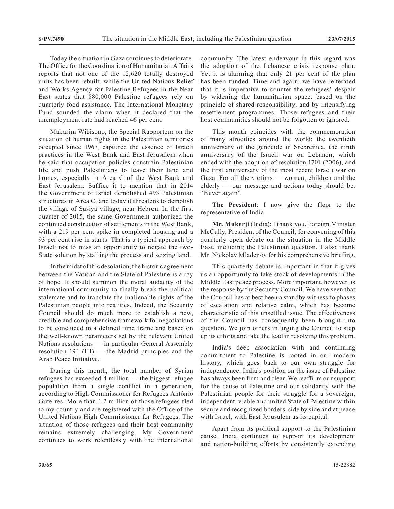Today the situation in Gaza continues to deteriorate. The Office for the Coordination of Humanitarian Affairs reports that not one of the 12,620 totally destroyed units has been rebuilt, while the United Nations Relief and Works Agency for Palestine Refugees in the Near East states that 880,000 Palestine refugees rely on quarterly food assistance. The International Monetary Fund sounded the alarm when it declared that the unemployment rate had reached 46 per cent.

Makarim Wibisono, the Special Rapporteur on the situation of human rights in the Palestinian territories occupied since 1967, captured the essence of Israeli practices in the West Bank and East Jerusalem when he said that occupation policies constrain Palestinian life and push Palestinians to leave their land and homes, especially in Area C of the West Bank and East Jerusalem. Suffice it to mention that in 2014 the Government of Israel demolished 493 Palestinian structures in Area C, and today it threatens to demolish the village of Susiya village, near Hebron. In the first quarter of 2015, the same Government authorized the continued construction of settlements in the West Bank, with a 219 per cent spike in completed housing and a 93 per cent rise in starts. That is a typical approach by Israel: not to miss an opportunity to negate the two-State solution by stalling the process and seizing land.

In the midst of this desolation, the historic agreement between the Vatican and the State of Palestine is a ray of hope. It should summon the moral audacity of the international community to finally break the political stalemate and to translate the inalienable rights of the Palestinian people into realities. Indeed, the Security Council should do much more to establish a new, credible and comprehensive framework for negotiations to be concluded in a defined time frame and based on the well-known parameters set by the relevant United Nations resolutions — in particular General Assembly resolution 194 (III) — the Madrid principles and the Arab Peace Initiative.

During this month, the total number of Syrian refugees has exceeded 4 million — the biggest refugee population from a single conflict in a generation, according to High Commissioner for Refugees António Guterres. More than 1.2 million of those refugees fled to my country and are registered with the Office of the United Nations High Commissioner for Refugees. The situation of those refugees and their host community remains extremely challenging. My Government continues to work relentlessly with the international community. The latest endeavour in this regard was the adoption of the Lebanese crisis response plan. Yet it is alarming that only 21 per cent of the plan has been funded. Time and again, we have reiterated that it is imperative to counter the refugees' despair by widening the humanitarian space, based on the principle of shared responsibility, and by intensifying resettlement programmes. Those refugees and their host communities should not be forgotten or ignored.

This month coincides with the commemoration of many atrocities around the world: the twentieth anniversary of the genocide in Srebrenica, the ninth anniversary of the Israeli war on Lebanon, which ended with the adoption of resolution 1701 (2006), and the first anniversary of the most recent Israeli war on Gaza. For all the victims — women, children and the elderly — our message and actions today should be: "Never again".

**The President**: I now give the floor to the representative of India

**Mr. Mukerji** (India): I thank you, Foreign Minister McCully, President of the Council, for convening of this quarterly open debate on the situation in the Middle East, including the Palestinian question. I also thank Mr. Nickolay Mladenov for his comprehensive briefing.

This quarterly debate is important in that it gives us an opportunity to take stock of developments in the Middle East peace process. More important, however, is the response by the Security Council. We have seen that the Council has at best been a standby witness to phases of escalation and relative calm, which has become characteristic of this unsettled issue. The effectiveness of the Council has consequently been brought into question. We join others in urging the Council to step up its efforts and take the lead in resolving this problem.

India's deep association with and continuing commitment to Palestine is rooted in our modern history, which goes back to our own struggle for independence. India's position on the issue of Palestine has always been firm and clear. We reaffirm our support for the cause of Palestine and our solidarity with the Palestinian people for their struggle for a sovereign, independent, viable and united State of Palestine within secure and recognized borders, side by side and at peace with Israel, with East Jerusalem as its capital.

Apart from its political support to the Palestinian cause, India continues to support its development and nation-building efforts by consistently extending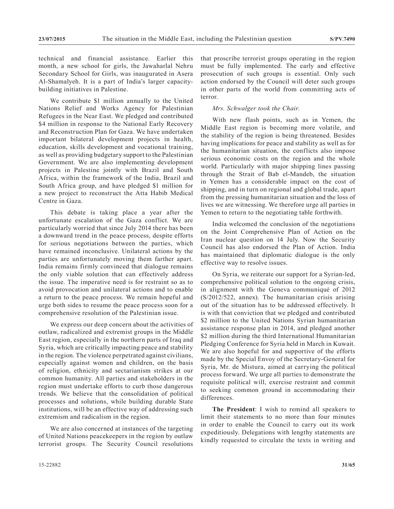technical and financial assistance. Earlier this month, a new school for girls, the Jawaharlal Nehru Secondary School for Girls, was inaugurated in Asera Al-Shamalyeh. It is a part of India's larger capacitybuilding initiatives in Palestine.

We contribute \$1 million annually to the United Nations Relief and Works Agency for Palestinian Refugees in the Near East. We pledged and contributed \$4 million in response to the National Early Recovery and Reconstruction Plan for Gaza. We have undertaken important bilateral development projects in health, education, skills development and vocational training, as well as providing budgetary support to the Palestinian Government. We are also implementing development projects in Palestine jointly with Brazil and South Africa, within the framework of the India, Brazil and South Africa group, and have pledged \$1 million for a new project to reconstruct the Atta Habib Medical Centre in Gaza.

This debate is taking place a year after the unfortunate escalation of the Gaza conflict. We are particularly worried that since July 2014 there has been a downward trend in the peace process, despite efforts for serious negotiations between the parties, which have remained inconclusive. Unilateral actions by the parties are unfortunately moving them farther apart. India remains firmly convinced that dialogue remains the only viable solution that can effectively address the issue. The imperative need is for restraint so as to avoid provocation and unilateral actions and to enable a return to the peace process. We remain hopeful and urge both sides to resume the peace process soon for a comprehensive resolution of the Palestinian issue.

We express our deep concern about the activities of outlaw, radicalized and extremist groups in the Middle East region, especially in the northern parts of Iraq and Syria, which are critically impacting peace and stability in the region. The violence perpetrated against civilians, especially against women and children, on the basis of religion, ethnicity and sectarianism strikes at our common humanity. All parties and stakeholders in the region must undertake efforts to curb those dangerous trends. We believe that the consolidation of political processes and solutions, while building durable State institutions, will be an effective way of addressing such extremism and radicalism in the region.

We are also concerned at instances of the targeting of United Nations peacekeepers in the region by outlaw terrorist groups. The Security Council resolutions that proscribe terrorist groups operating in the region must be fully implemented. The early and effective prosecution of such groups is essential. Only such action endorsed by the Council will deter such groups in other parts of the world from committing acts of terror.

## *Mrs. Schwalger took the Chair.*

With new flash points, such as in Yemen, the Middle East region is becoming more volatile, and the stability of the region is being threatened. Besides having implications for peace and stability as well as for the humanitarian situation, the conflicts also impose serious economic costs on the region and the whole world. Particularly with major shipping lines passing through the Strait of Bab el-Mandeb, the situation in Yemen has a considerable impact on the cost of shipping, and in turn on regional and global trade, apart from the pressing humanitarian situation and the loss of lives we are witnessing. We therefore urge all parties in Yemen to return to the negotiating table forthwith.

India welcomed the conclusion of the negotiations on the Joint Comprehensive Plan of Action on the Iran nuclear question on 14 July. Now the Security Council has also endorsed the Plan of Action. India has maintained that diplomatic dialogue is the only effective way to resolve issues.

On Syria, we reiterate our support for a Syrian-led, comprehensive political solution to the ongoing crisis, in alignment with the Geneva communiqué of 2012 (S/2012/522, annex). The humanitarian crisis arising out of the situation has to be addressed effectively. It is with that conviction that we pledged and contributed \$2 million to the United Nations Syrian humanitarian assistance response plan in 2014, and pledged another \$2 million during the third International Humanitarian Pledging Conference for Syria held in March in Kuwait. We are also hopeful for and supportive of the efforts made by the Special Envoy of the Secretary-General for Syria, Mr. de Mistura, aimed at carrying the political process forward. We urge all parties to demonstrate the requisite political will, exercise restraint and commit to seeking common ground in accommodating their differences.

**The President**: I wish to remind all speakers to limit their statements to no more than four minutes in order to enable the Council to carry out its work expeditiously. Delegations with lengthy statements are kindly requested to circulate the texts in writing and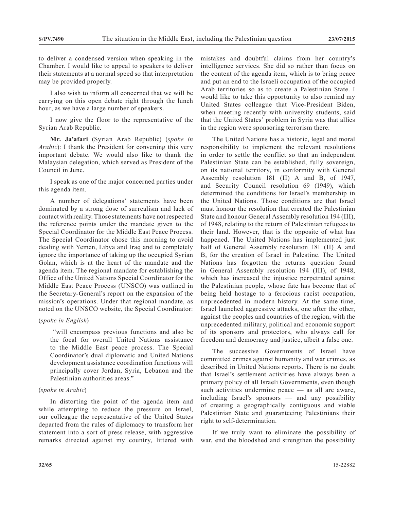to deliver a condensed version when speaking in the Chamber. I would like to appeal to speakers to deliver their statements at a normal speed so that interpretation may be provided properly.

I also wish to inform all concerned that we will be carrying on this open debate right through the lunch hour, as we have a large number of speakers.

I now give the floor to the representative of the Syrian Arab Republic.

**Mr. Ja'afari** (Syrian Arab Republic) (*spoke in Arabic*): I thank the President for convening this very important debate. We would also like to thank the Malaysian delegation, which served as President of the Council in June.

I speak as one of the major concerned parties under this agenda item.

A number of delegations' statements have been dominated by a strong dose of surrealism and lack of contact with reality. Those statements have not respected the reference points under the mandate given to the Special Coordinator for the Middle East Peace Process. The Special Coordinator chose this morning to avoid dealing with Yemen, Libya and Iraq and to completely ignore the importance of taking up the occupied Syrian Golan, which is at the heart of the mandate and the agenda item. The regional mandate for establishing the Office of the United Nations Special Coordinator for the Middle East Peace Process (UNSCO) was outlined in the Secretary-General's report on the expansion of the mission's operations. Under that regional mandate, as noted on the UNSCO website, the Special Coordinator:

#### (*spoke in English*)

 "will encompass previous functions and also be the focal for overall United Nations assistance to the Middle East peace process. The Special Coordinator's dual diplomatic and United Nations development assistance coordination functions will principally cover Jordan, Syria, Lebanon and the Palestinian authorities areas."

### (*spoke in Arabic*)

In distorting the point of the agenda item and while attempting to reduce the pressure on Israel, our colleague the representative of the United States departed from the rules of diplomacy to transform her statement into a sort of press release, with aggressive remarks directed against my country, littered with

mistakes and doubtful claims from her country's intelligence services. She did so rather than focus on the content of the agenda item, which is to bring peace and put an end to the Israeli occupation of the occupied Arab territories so as to create a Palestinian State. I would like to take this opportunity to also remind my United States colleague that Vice-President Biden, when meeting recently with university students, said that the United States' problem in Syria was that allies in the region were sponsoring terrorism there.

The United Nations has a historic, legal and moral responsibility to implement the relevant resolutions in order to settle the conflict so that an independent Palestinian State can be established, fully sovereign, on its national territory, in conformity with General Assembly resolution 181 (II) A and B, of 1947, and Security Council resolution 69 (1949), which determined the conditions for Israel's membership in the United Nations. Those conditions are that Israel must honour the resolution that created the Palestinian State and honour General Assembly resolution 194 (III), of 1948, relating to the return of Palestinian refugees to their land. However, that is the opposite of what has happened. The United Nations has implemented just half of General Assembly resolution 181 (II) A and B, for the creation of Israel in Palestine. The United Nations has forgotten the returns question found in General Assembly resolution 194 (III), of 1948, which has increased the injustice perpetrated against the Palestinian people, whose fate has become that of being held hostage to a ferocious racist occupation, unprecedented in modern history. At the same time, Israel launched aggressive attacks, one after the other, against the peoples and countries of the region, with the unprecedented military, political and economic support of its sponsors and protectors, who always call for freedom and democracy and justice, albeit a false one.

The successive Governments of Israel have committed crimes against humanity and war crimes, as described in United Nations reports. There is no doubt that Israel's settlement activities have always been a primary policy of all Israeli Governments, even though such activities undermine peace — as all are aware, including Israel's sponsors — and any possibility of creating a geographically contiguous and viable Palestinian State and guaranteeing Palestinians their right to self-determination.

If we truly want to eliminate the possibility of war, end the bloodshed and strengthen the possibility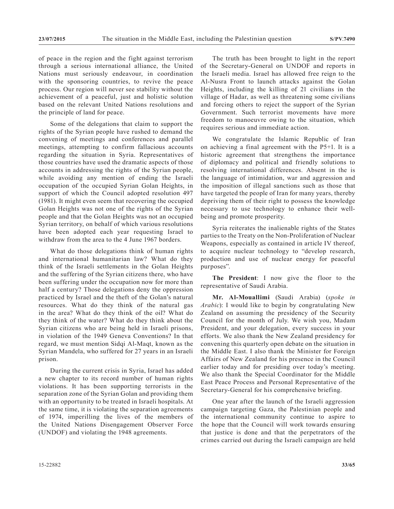of peace in the region and the fight against terrorism through a serious international alliance, the United Nations must seriously endeavour, in coordination with the sponsoring countries, to revive the peace process. Our region will never see stability without the achievement of a peaceful, just and holistic solution based on the relevant United Nations resolutions and the principle of land for peace.

Some of the delegations that claim to support the rights of the Syrian people have rushed to demand the convening of meetings and conferences and parallel meetings, attempting to confirm fallacious accounts regarding the situation in Syria. Representatives of those countries have used the dramatic aspects of those accounts in addressing the rights of the Syrian people, while avoiding any mention of ending the Israeli occupation of the occupied Syrian Golan Heights, in support of which the Council adopted resolution 497 (1981). It might even seem that recovering the occupied Golan Heights was not one of the rights of the Syrian people and that the Golan Heights was not an occupied Syrian territory, on behalf of which various resolutions have been adopted each year requesting Israel to withdraw from the area to the 4 June 1967 borders.

What do those delegations think of human rights and international humanitarian law? What do they think of the Israeli settlements in the Golan Heights and the suffering of the Syrian citizens there, who have been suffering under the occupation now for more than half a century? Those delegations deny the oppression practiced by Israel and the theft of the Golan's natural resources. What do they think of the natural gas in the area? What do they think of the oil? What do they think of the water? What do they think about the Syrian citizens who are being held in Israeli prisons, in violation of the 1949 Geneva Conventions? In that regard, we must mention Sidqi Al-Maqt, known as the Syrian Mandela, who suffered for 27 years in an Israeli prison.

During the current crisis in Syria, Israel has added a new chapter to its record number of human rights violations. It has been supporting terrorists in the separation zone of the Syrian Golan and providing them with an opportunity to be treated in Israeli hospitals. At the same time, it is violating the separation agreements of 1974, imperilling the lives of the members of the United Nations Disengagement Observer Force (UNDOF) and violating the 1948 agreements.

The truth has been brought to light in the report of the Secretary-General on UNDOF and reports in the Israeli media. Israel has allowed free reign to the Al-Nusra Front to launch attacks against the Golan Heights, including the killing of 21 civilians in the village of Hadar, as well as threatening some civilians and forcing others to reject the support of the Syrian Government. Such terrorist movements have more freedom to manoeuvre owing to the situation, which requires serious and immediate action.

We congratulate the Islamic Republic of Iran on achieving a final agreement with the P5+1. It is a historic agreement that strengthens the importance of diplomacy and political and friendly solutions to resolving international differences. Absent in the is the language of intimidation, war and aggression and the imposition of illegal sanctions such as those that have targeted the people of Iran for many years, thereby depriving them of their right to possess the knowledge necessary to use technology to enhance their wellbeing and promote prosperity.

Syria reiterates the inalienable rights of the States parties to the Treaty on the Non-Proliferation of Nuclear Weapons, especially as contained in article IV thereof, to acquire nuclear technology to "develop research, production and use of nuclear energy for peaceful purposes".

**The President**: I now give the floor to the representative of Saudi Arabia.

**Mr. Al-Mouallimi** (Saudi Arabia) (*spoke in Arabic*): I would like to begin by congratulating New Zealand on assuming the presidency of the Security Council for the month of July. We wish you, Madam President, and your delegation, every success in your efforts. We also thank the New Zealand presidency for convening this quarterly open debate on the situation in the Middle East. I also thank the Minister for Foreign Affairs of New Zealand for his presence in the Council earlier today and for presiding over today's meeting. We also thank the Special Coordinator for the Middle East Peace Process and Personal Representative of the Secretary-General for his comprehensive briefing.

One year after the launch of the Israeli aggression campaign targeting Gaza, the Palestinian people and the international community continue to aspire to the hope that the Council will work towards ensuring that justice is done and that the perpetrators of the crimes carried out during the Israeli campaign are held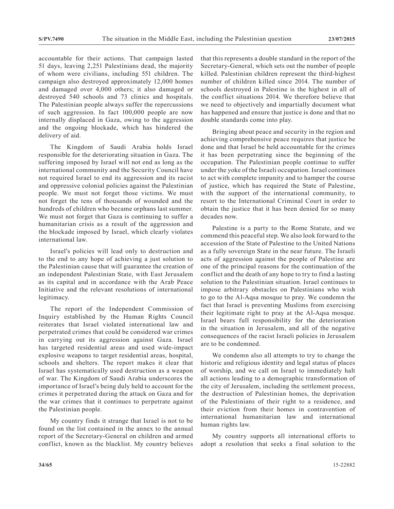accountable for their actions. That campaign lasted 51 days, leaving 2,251 Palestinians dead, the majority of whom were civilians, including 551 children. The campaign also destroyed approximately 12,000 homes and damaged over 4,000 others; it also damaged or destroyed 540 schools and 73 clinics and hospitals. The Palestinian people always suffer the repercussions of such aggression. In fact 100,000 people are now internally displaced in Gaza, owing to the aggression and the ongoing blockade, which has hindered the delivery of aid.

The Kingdom of Saudi Arabia holds Israel responsible for the deteriorating situation in Gaza. The suffering imposed by Israel will not end as long as the international community and the Security Council have not required Israel to end its aggression and its racist and oppressive colonial policies against the Palestinian people. We must not forget those victims. We must not forget the tens of thousands of wounded and the hundreds of children who became orphans last summer. We must not forget that Gaza is continuing to suffer a humanitarian crisis as a result of the aggression and the blockade imposed by Israel, which clearly violates international law.

Israel's policies will lead only to destruction and to the end to any hope of achieving a just solution to the Palestinian cause that will guarantee the creation of an independent Palestinian State, with East Jerusalem as its capital and in accordance with the Arab Peace Initiative and the relevant resolutions of international legitimacy.

The report of the Independent Commission of Inquiry established by the Human Rights Council reiterates that Israel violated international law and perpetrated crimes that could be considered war crimes in carrying out its aggression against Gaza. Israel has targeted residential areas and used wide-impact explosive weapons to target residential areas, hospital, schools and shelters. The report makes it clear that Israel has systematically used destruction as a weapon of war. The Kingdom of Saudi Arabia underscores the importance of Israel's being duly held to account for the crimes it perpetrated during the attack on Gaza and for the war crimes that it continues to perpetrate against the Palestinian people.

My country finds it strange that Israel is not to be found on the list contained in the annex to the annual report of the Secretary-General on children and armed conflict, known as the blacklist. My country believes that this represents a double standard in the report of the Secretary-General, which sets out the number of people killed. Palestinian children represent the third-highest number of children killed since 2014. The number of schools destroyed in Palestine is the highest in all of the conflict situations 2014. We therefore believe that we need to objectively and impartially document what has happened and ensure that justice is done and that no double standards come into play.

Bringing about peace and security in the region and achieving comprehensive peace requires that justice be done and that Israel be held accountable for the crimes it has been perpetrating since the beginning of the occupation. The Palestinian people continue to suffer under the yoke of the Israeli occupation. Israel continues to act with complete impunity and to hamper the course of justice, which has required the State of Palestine, with the support of the international community, to resort to the International Criminal Court in order to obtain the justice that it has been denied for so many decades now.

Palestine is a party to the Rome Statute, and we commend this peaceful step. We also look forward to the accession of the State of Palestine to the United Nations as a fully sovereign State in the near future. The Israeli acts of aggression against the people of Palestine are one of the principal reasons for the continuation of the conflict and the death of any hope to try to find a lasting solution to the Palestinian situation. Israel continues to impose arbitrary obstacles on Palestinians who wish to go to the Al-Aqsa mosque to pray. We condemn the fact that Israel is preventing Muslims from exercising their legitimate right to pray at the Al-Aqsa mosque. Israel bears full responsibility for the deterioration in the situation in Jerusalem, and all of the negative consequences of the racist Israeli policies in Jerusalem are to be condemned.

We condemn also all attempts to try to change the historic and religious identity and legal status of places of worship, and we call on Israel to immediately halt all actions leading to a demographic transformation of the city of Jerusalem, including the settlement process, the destruction of Palestinian homes, the deprivation of the Palestinians of their right to a residence, and their eviction from their homes in contravention of international humanitarian law and international human rights law.

My country supports all international efforts to adopt a resolution that seeks a final solution to the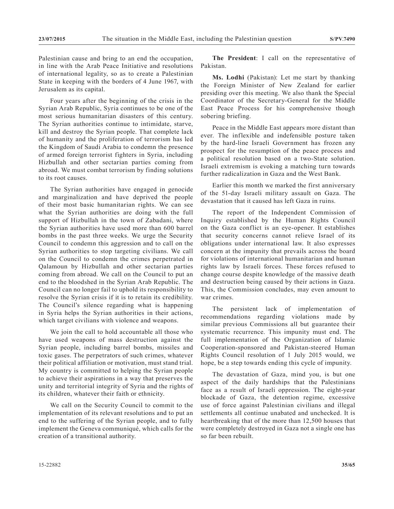Palestinian cause and bring to an end the occupation, in line with the Arab Peace Initiative and resolutions of international legality, so as to create a Palestinian State in keeping with the borders of 4 June 1967, with Jerusalem as its capital.

Four years after the beginning of the crisis in the Syrian Arab Republic, Syria continues to be one of the most serious humanitarian disasters of this century. The Syrian authorities continue to intimidate, starve, kill and destroy the Syrian people. That complete lack of humanity and the proliferation of terrorism has led the Kingdom of Saudi Arabia to condemn the presence of armed foreign terrorist fighters in Syria, including Hizbullah and other sectarian parties coming from abroad. We must combat terrorism by finding solutions to its root causes.

The Syrian authorities have engaged in genocide and marginalization and have deprived the people of their most basic humanitarian rights. We can see what the Syrian authorities are doing with the full support of Hizbullah in the town of Zabadani, where the Syrian authorities have used more than 600 barrel bombs in the past three weeks. We urge the Security Council to condemn this aggression and to call on the Syrian authorities to stop targeting civilians. We call on the Council to condemn the crimes perpetrated in Qalamoun by Hizbullah and other sectarian parties coming from abroad. We call on the Council to put an end to the bloodshed in the Syrian Arab Republic. The Council can no longer fail to uphold its responsibility to resolve the Syrian crisis if it is to retain its credibility. The Council's silence regarding what is happening in Syria helps the Syrian authorities in their actions, which target civilians with violence and weapons.

We join the call to hold accountable all those who have used weapons of mass destruction against the Syrian people, including barrel bombs, missiles and toxic gases. The perpetrators of such crimes, whatever their political affiliation or motivation, must stand trial. My country is committed to helping the Syrian people to achieve their aspirations in a way that preserves the unity and territorial integrity of Syria and the rights of its children, whatever their faith or ethnicity.

We call on the Security Council to commit to the implementation of its relevant resolutions and to put an end to the suffering of the Syrian people, and to fully implement the Geneva communiqué, which calls for the creation of a transitional authority.

**The President**: I call on the representative of Pakistan.

**Ms. Lodhi** (Pakistan): Let me start by thanking the Foreign Minister of New Zealand for earlier presiding over this meeting. We also thank the Special Coordinator of the Secretary-General for the Middle East Peace Process for his comprehensive though sobering briefing.

Peace in the Middle East appears more distant than ever. The inflexible and indefensible posture taken by the hard-line Israeli Government has frozen any prospect for the resumption of the peace process and a political resolution based on a two-State solution. Israeli extremism is evoking a matching turn towards further radicalization in Gaza and the West Bank.

Earlier this month we marked the first anniversary of the 51-day Israeli military assault on Gaza. The devastation that it caused has left Gaza in ruins.

The report of the Independent Commission of Inquiry established by the Human Rights Council on the Gaza conflict is an eye-opener. It establishes that security concerns cannot relieve Israel of its obligations under international law. It also expresses concern at the impunity that prevails across the board for violations of international humanitarian and human rights law by Israeli forces. These forces refused to change course despite knowledge of the massive death and destruction being caused by their actions in Gaza. This, the Commission concludes, may even amount to war crimes.

The persistent lack of implementation of recommendations regarding violations made by similar previous Commissions all but guarantee their systematic recurrence. This impunity must end. The full implementation of the Organization of Islamic Cooperation-sponsored and Pakistan-steered Human Rights Council resolution of 1 July 2015 would, we hope, be a step towards ending this cycle of impunity.

The devastation of Gaza, mind you, is but one aspect of the daily hardships that the Palestinians face as a result of Israeli oppression. The eight-year blockade of Gaza, the detention regime, excessive use of force against Palestinian civilians and illegal settlements all continue unabated and unchecked. It is heartbreaking that of the more than 12,500 houses that were completely destroyed in Gaza not a single one has so far been rebuilt.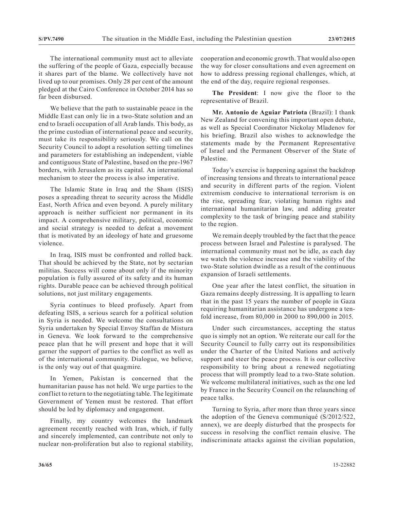The international community must act to alleviate the suffering of the people of Gaza, especially because it shares part of the blame. We collectively have not lived up to our promises. Only 28 per cent of the amount pledged at the Cairo Conference in October 2014 has so far been disbursed.

We believe that the path to sustainable peace in the Middle East can only lie in a two-State solution and an end to Israeli occupation of all Arab lands. This body, as the prime custodian of international peace and security, must take its responsibility seriously. We call on the Security Council to adopt a resolution setting timelines and parameters for establishing an independent, viable and contiguous State of Palestine, based on the pre-1967 borders, with Jerusalem as its capital. An international mechanism to steer the process is also imperative.

The Islamic State in Iraq and the Sham (ISIS) poses a spreading threat to security across the Middle East, North Africa and even beyond. A purely military approach is neither sufficient nor permanent in its impact. A comprehensive military, political, economic and social strategy is needed to defeat a movement that is motivated by an ideology of hate and gruesome violence.

In Iraq, ISIS must be confronted and rolled back. That should be achieved by the State, not by sectarian militias. Success will come about only if the minority population is fully assured of its safety and its human rights. Durable peace can be achieved through political solutions, not just military engagements.

Syria continues to bleed profusely. Apart from defeating ISIS, a serious search for a political solution in Syria is needed. We welcome the consultations on Syria undertaken by Special Envoy Staffan de Mistura in Geneva. We look forward to the comprehensive peace plan that he will present and hope that it will garner the support of parties to the conflict as well as of the international community. Dialogue, we believe, is the only way out of that quagmire.

In Yemen, Pakistan is concerned that the humanitarian pause has not held. We urge parties to the conflict to return to the negotiating table. The legitimate Government of Yemen must be restored. That effort should be led by diplomacy and engagement.

Finally, my country welcomes the landmark agreement recently reached with Iran, which, if fully and sincerely implemented, can contribute not only to nuclear non-proliferation but also to regional stability, cooperation and economic growth. That would also open the way for closer consultations and even agreement on how to address pressing regional challenges, which, at the end of the day, require regional responses.

**The President**: I now give the floor to the representative of Brazil.

**Mr. Antonio de Aguiar Patriota** (Brazil): I thank New Zealand for convening this important open debate, as well as Special Coordinator Nickolay Mladenov for his briefing. Brazil also wishes to acknowledge the statements made by the Permanent Representative of Israel and the Permanent Observer of the State of Palestine.

Today's exercise is happening against the backdrop of increasing tensions and threats to international peace and security in different parts of the region. Violent extremism conducive to international terrorism is on the rise, spreading fear, violating human rights and international humanitarian law, and adding greater complexity to the task of bringing peace and stability to the region.

We remain deeply troubled by the fact that the peace process between Israel and Palestine is paralysed. The international community must not be idle, as each day we watch the violence increase and the viability of the two-State solution dwindle as a result of the continuous expansion of Israeli settlements.

One year after the latest conflict, the situation in Gaza remains deeply distressing. It is appalling to learn that in the past 15 years the number of people in Gaza requiring humanitarian assistance has undergone a tenfold increase, from 80,000 in 2000 to 890,000 in 2015.

Under such circumstances, accepting the status quo is simply not an option. We reiterate our call for the Security Council to fully carry out its responsibilities under the Charter of the United Nations and actively support and steer the peace process. It is our collective responsibility to bring about a renewed negotiating process that will promptly lead to a two-State solution. We welcome multilateral initiatives, such as the one led by France in the Security Council on the relaunching of peace talks.

Turning to Syria, after more than three years since the adoption of the Geneva communiqué (S/2012/522, annex), we are deeply disturbed that the prospects for success in resolving the conflict remain elusive. The indiscriminate attacks against the civilian population,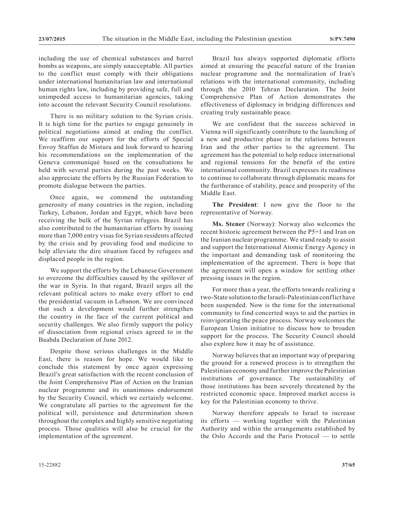including the use of chemical substances and barrel bombs as weapons, are simply unacceptable. All parties to the conflict must comply with their obligations under international humanitarian law and international human rights law, including by providing safe, full and unimpeded access to humanitarian agencies, taking into account the relevant Security Council resolutions.

There is no military solution to the Syrian crisis. It is high time for the parties to engage genuinely in political negotiations aimed at ending the conflict. We reaffirm our support for the efforts of Special Envoy Staffan de Mistura and look forward to hearing his recommendations on the implementation of the Geneva communiqué based on the consultations he held with several parties during the past weeks. We also appreciate the efforts by the Russian Federation to promote dialogue between the parties.

Once again, we commend the outstanding generosity of many countries in the region, including Turkey, Lebanon, Jordan and Egypt, which have been receiving the bulk of the Syrian refugees. Brazil has also contributed to the humanitarian efforts by issuing more than 7,000 entry visas for Syrian residents affected by the crisis and by providing food and medicine to help alleviate the dire situation faced by refugees and displaced people in the region.

We support the efforts by the Lebanese Government to overcome the difficulties caused by the spillover of the war in Syria. In that regard, Brazil urges all the relevant political actors to make every effort to end the presidential vacuum in Lebanon. We are convinced that such a development would further strengthen the country in the face of the current political and security challenges. We also firmly support the policy of dissociation from regional crises agreed to in the Baabda Declaration of June 2012.

Despite those serious challenges in the Middle East, there is reason for hope. We would like to conclude this statement by once again expressing Brazil's great satisfaction with the recent conclusion of the Joint Comprehensive Plan of Action on the Iranian nuclear programme and its unanimous endorsement by the Security Council, which we certainly welcome. We congratulate all parties to the agreement for the political will, persistence and determination shown throughout the complex and highly sensitive negotiating process. Those qualities will also be crucial for the implementation of the agreement.

Brazil has always supported diplomatic efforts aimed at ensuring the peaceful nature of the Iranian nuclear programme and the normalization of Iran's relations with the international community, including through the 2010 Tehran Declaration. The Joint Comprehensive Plan of Action demonstrates the effectiveness of diplomacy in bridging differences and creating truly sustainable peace.

We are confident that the success achieved in Vienna will significantly contribute to the launching of a new and productive phase in the relations between Iran and the other parties to the agreement. The agreement has the potential to help reduce international and regional tensions for the benefit of the entire international community. Brazil expresses its readiness to continue to collaborate through diplomatic means for the furtherance of stability, peace and prosperity of the Middle East.

**The President**: I now give the floor to the representative of Norway.

**Ms. Stener** (Norway): Norway also welcomes the recent historic agreement between the P5+1 and Iran on the Iranian nuclear programme. We stand ready to assist and support the International Atomic Energy Agency in the important and demanding task of monitoring the implementation of the agreement. There is hope that the agreement will open a window for settling other pressing issues in the region.

For more than a year, the efforts towards realizing a two-State solution to the Israeli-Palestinian conflict have been suspended. Now is the time for the international community to find concerted ways to aid the parties in reinvigorating the peace process. Norway welcomes the European Union initiative to discuss how to broaden support for the process. The Security Council should also explore how it may be of assistance.

Norway believes that an important way of preparing the ground for a renewed process is to strengthen the Palestinian economy and further improve the Palestinian institutions of governance. The sustainability of those institutions has been severely threatened by the restricted economic space. Improved market access is key for the Palestinian economy to thrive.

Norway therefore appeals to Israel to increase its efforts — working together with the Palestinian Authority and within the arrangements established by the Oslo Accords and the Paris Protocol — to settle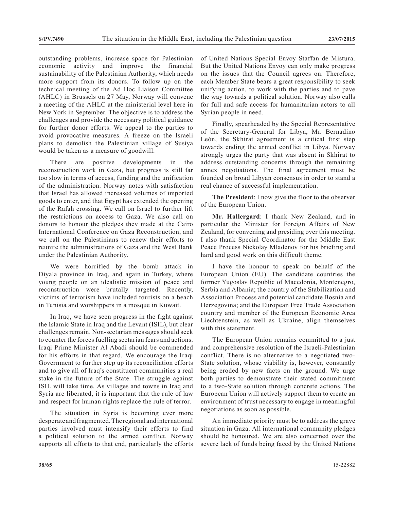outstanding problems, increase space for Palestinian economic activity and improve the financial sustainability of the Palestinian Authority, which needs more support from its donors. To follow up on the technical meeting of the Ad Hoc Liaison Committee (AHLC) in Brussels on 27 May, Norway will convene a meeting of the AHLC at the ministerial level here in New York in September. The objective is to address the challenges and provide the necessary political guidance for further donor efforts. We appeal to the parties to avoid provocative measures. A freeze on the Israeli plans to demolish the Palestinian village of Susiya would be taken as a measure of goodwill.

There are positive developments in the reconstruction work in Gaza, but progress is still far too slow in terms of access, funding and the unification of the administration. Norway notes with satisfaction that Israel has allowed increased volumes of imported goods to enter, and that Egypt has extended the opening of the Rafah crossing. We call on Israel to further lift the restrictions on access to Gaza. We also call on donors to honour the pledges they made at the Cairo International Conference on Gaza Reconstruction, and we call on the Palestinians to renew their efforts to reunite the administrations of Gaza and the West Bank under the Palestinian Authority.

We were horrified by the bomb attack in Diyala province in Iraq, and again in Turkey, where young people on an idealistic mission of peace and reconstruction were brutally targeted. Recently, victims of terrorism have included tourists on a beach in Tunisia and worshippers in a mosque in Kuwait.

In Iraq, we have seen progress in the fight against the Islamic State in Iraq and the Levant (ISIL), but clear challenges remain. Non-sectarian messages should seek to counter the forces fuelling sectarian fears and actions. Iraqi Prime Minister Al Abadi should be commended for his efforts in that regard. We encourage the Iraqi Government to further step up its reconciliation efforts and to give all of Iraq's constituent communities a real stake in the future of the State. The struggle against ISIL will take time. As villages and towns in Iraq and Syria are liberated, it is important that the rule of law and respect for human rights replace the rule of terror.

The situation in Syria is becoming ever more desperate and fragmented. The regional and international parties involved must intensify their efforts to find a political solution to the armed conflict. Norway supports all efforts to that end, particularly the efforts of United Nations Special Envoy Staffan de Mistura. But the United Nations Envoy can only make progress on the issues that the Council agrees on. Therefore, each Member State bears a great responsibility to seek unifying action, to work with the parties and to pave the way towards a political solution. Norway also calls for full and safe access for humanitarian actors to all Syrian people in need.

Finally, spearheaded by the Special Representative of the Secretary-General for Libya, Mr. Bernadino León, the Skhirat agreement is a critical first step towards ending the armed conflict in Libya. Norway strongly urges the party that was absent in Skhirat to address outstanding concerns through the remaining annex negotiations. The final agreement must be founded on broad Libyan consensus in order to stand a real chance of successful implementation.

**The President**: I now give the floor to the observer of the European Union.

**Mr. Hallergard**: I thank New Zealand, and in particular the Minister for Foreign Affairs of New Zealand, for convening and presiding over this meeting. I also thank Special Coordinator for the Middle East Peace Process Nickolay Mladenov for his briefing and hard and good work on this difficult theme.

I have the honour to speak on behalf of the European Union (EU). The candidate countries the former Yugoslav Republic of Macedonia, Montenegro, Serbia and Albania; the country of the Stabilization and Association Process and potential candidate Bosnia and Herzegovina; and the European Free Trade Association country and member of the European Economic Area Liechtenstein, as well as Ukraine, align themselves with this statement.

The European Union remains committed to a just and comprehensive resolution of the Israeli-Palestinian conflict. There is no alternative to a negotiated two-State solution, whose viability is, however, constantly being eroded by new facts on the ground. We urge both parties to demonstrate their stated commitment to a two-State solution through concrete actions. The European Union will actively support them to create an environment of trust necessary to engage in meaningful negotiations as soon as possible.

An immediate priority must be to address the grave situation in Gaza. All international community pledges should be honoured. We are also concerned over the severe lack of funds being faced by the United Nations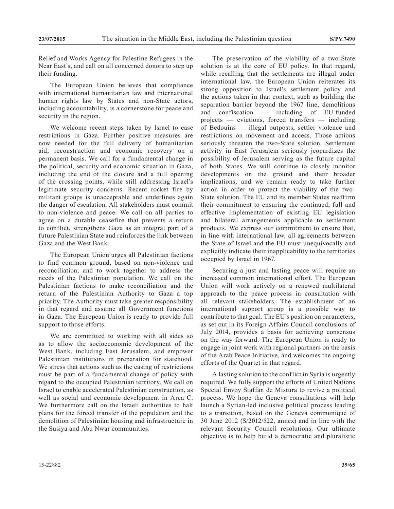Relief and Works Agency for Palestine Refugees in the Near East's, and call on all concerned donors to step up their funding.

The European Union believes that compliance with international humanitarian law and international human rights law by States and non-State actors, including accountability, is a cornerstone for peace and security in the region.

We welcome recent steps taken by Israel to ease restrictions in Gaza. Further positive measures are now needed for the full delivery of humanitarian aid, reconstruction and economic recovery on a permanent basis. We call for a fundamental change in the political, security and economic situation in Gaza, including the end of the closure and a full opening of the crossing points, while still addressing Israel's legitimate security concerns. Recent rocket fire by militant groups is unacceptable and underlines again the danger of escalation. All stakeholders must commit to non-violence and peace. We call on all parties to agree on a durable ceasefire that prevents a return to conflict, strengthens Gaza as an integral part of a future Palestinian State and reinforces the link between Gaza and the West Bank.

The European Union urges all Palestinian factions to find common ground, based on non-violence and reconciliation, and to work together to address the needs of the Palestinian population. We call on the Palestinian factions to make reconciliation and the return of the Palestinian Authority to Gaza a top priority. The Authority must take greater responsibility in that regard and assume all Government functions in Gaza. The European Union is ready to provide full support to those efforts.

We are committed to working with all sides so as to allow the socioeconomic development of the West Bank, including East Jerusalem, and empower Palestinian institutions in preparation for statehood. We stress that actions such as the easing of restrictions must be part of a fundamental change of policy with regard to the occupied Palestinian territory. We call on Israel to enable accelerated Palestinian construction, as well as social and economic development in Area C. We furthermore call on the Israeli authorities to halt plans for the forced transfer of the population and the demolition of Palestinian housing and infrastructure in the Susiya and Abu Nwar communities.

The preservation of the viability of a two-State solution is at the core of EU policy. In that regard, while recalling that the settlements are illegal under international law, the European Union reiterates its strong opposition to Israel's settlement policy and the actions taken in that context, such as building the separation barrier beyond the 1967 line, demolitions and confiscation — including of EU-funded projects — evictions, forced transfers — including of Bedouins — illegal outposts, settler violence and restrictions on movement and access. Those actions seriously threaten the two-State solution. Settlement activity in East Jerusalem seriously jeopardizes the possibility of Jerusalem serving as the future capital of both States. We will continue to closely monitor developments on the ground and their broader implications, and we remain ready to take further action in order to protect the viability of the two-State solution. The EU and its member States reaffirm their commitment to ensuring the continued, full and effective implementation of existing EU legislation and bilateral arrangements applicable to settlement products. We express our commitment to ensure that, in line with international law, all agreements between the State of Israel and the EU must unequivocally and explicitly indicate their inapplicability to the territories occupied by Israel in 1967.

Securing a just and lasting peace will require an increased common international effort. The European Union will work actively on a renewed multilateral approach to the peace process in consultation with all relevant stakeholders. The establishment of an international support group is a possible way to contribute to that goal. The EU's position on parameters, as set out in its Foreign Affairs Council conclusions of July 2014, provides a basis for achieving consensus on the way forward. The European Union is ready to engage in joint work with regional partners on the basis of the Arab Peace Initiative, and welcomes the ongoing efforts of the Quartet in that regard.

A lasting solution to the conflict in Syria is urgently required. We fully support the efforts of United Nations Special Envoy Staffan de Mistura to revive a political process. We hope the Geneva consultations will help launch a Syrian-led inclusive political process leading to a transition, based on the Geneva communiqué of 30 June 2012 (S/2012/522, annex) and in line with the relevant Security Council resolutions. Our ultimate objective is to help build a democratic and pluralistic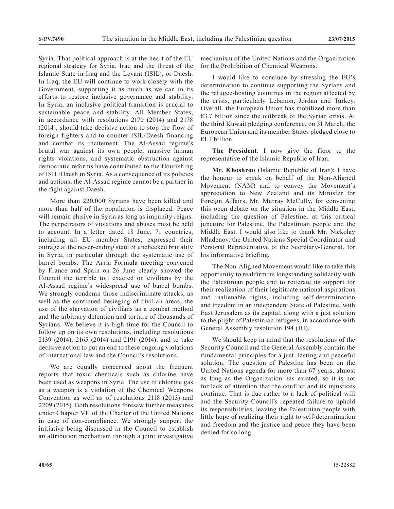Syria. That political approach is at the heart of the EU regional strategy for Syria, Iraq and the threat of the Islamic State in Iraq and the Levant (ISIL), or Daesh. In Iraq, the EU will continue to work closely with the Government, supporting it as much as we can in its efforts to restore inclusive governance and stability. In Syria, an inclusive political transition is crucial to sustainable peace and stability. All Member States, in accordance with resolutions 2170 (2014) and 2178 (2014), should take decisive action to stop the flow of foreign fighters and to counter ISIL/Daesh financing and combat its incitement. The Al-Assad regime's brutal war against its own people, massive human rights violations, and systematic obstruction against democratic reforms have contributed to the flourishing of ISIL/Daesh in Syria. As a consequence of its policies and actions, the Al-Assad regime cannot be a partner in the fight against Daesh.

More than 220,000 Syrians have been killed and more than half of the population is displaced. Peace will remain elusive in Syria as long as impunity reigns. The perpetrators of violations and abuses must be held to account. In a letter dated 18 June, 71 countries, including all EU member States, expressed their outrage at the never-ending state of unchecked brutality in Syria, in particular through the systematic use of barrel bombs. The Arria Formula meeting convened by France and Spain on 26 June clearly showed the Council the terrible toll exacted on civilians by the Al-Assad regime's widespread use of barrel bombs. We strongly condemn those indiscriminate attacks, as well as the continued besieging of civilian areas, the use of the starvation of civilians as a combat method and the arbitrary detention and torture of thousands of Syrians. We believe it is high time for the Council to follow up on its own resolutions, including resolutions 2139 (2014), 2165 (2014) and 2191 (2014), and to take decisive action to put an end to these ongoing violations of international law and the Council's resolutions.

We are equally concerned about the frequent reports that toxic chemicals such as chlorine have been used as weapons in Syria. The use of chlorine gas as a weapon is a violation of the Chemical Weapons Convention as well as of resolutions 2118 (2013) and 2209 (2015). Both resolutions foresaw further measures under Chapter VII of the Charter of the United Nations in case of non-compliance. We strongly support the initiative being discussed in the Council to establish an attribution mechanism through a joint investigative

mechanism of the United Nations and the Organization for the Prohibition of Chemical Weapons.

I would like to conclude by stressing the EU's determination to continue supporting the Syrians and the refugee-hosting countries in the region affected by the crisis, particularly Lebanon, Jordan and Turkey. Overall, the European Union has mobilized more than €3.7 billion since the outbreak of the Syrian crisis. At the third Kuwait pledging conference, on 31 March, the European Union and its member States pledged close to €1.1 billion.

**The President**: I now give the floor to the representative of the Islamic Republic of Iran.

**Mr. Khoshroo** (Islamic Republic of Iran): I have the honour to speak on behalf of the Non-Aligned Movement (NAM) and to convey the Movement's appreciation to New Zealand and its Minister for Foreign Affairs, Mr. Murray McCully, for convening this open debate on the situation in the Middle East, including the question of Palestine, at this critical juncture for Palestine, the Palestinian people and the Middle East. I would also like to thank Mr. Nickolay Mladenov, the United Nations Special Coordinator and Personal Representative of the Secretary-General, for his informative briefing.

The Non-Aligned Movement would like to take this opportunity to reaffirm its longstanding solidarity with the Palestinian people and to reiterate its support for their realization of their legitimate national aspirations and inalienable rights, including self-determination and freedom in an independent State of Palestine, with East Jerusalem as its capital, along with a just solution to the plight of Palestinian refugees, in accordance with General Assembly resolution 194 (III).

We should keep in mind that the resolutions of the Security Council and the General Assembly contain the fundamental principles for a just, lasting and peaceful solution. The question of Palestine has been on the United Nations agenda for more than 67 years, almost as long as the Organization has existed, so it is not for lack of attention that the conflict and its injustices continue. That is due rather to a lack of political will and the Security Council's repeated failure to uphold its responsibilities, leaving the Palestinian people with little hope of realizing their right to self-determination and freedom and the justice and peace they have been denied for so long.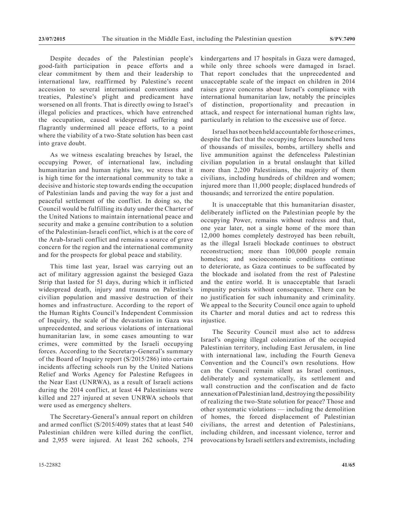Despite decades of the Palestinian people's good-faith participation in peace efforts and a clear commitment by them and their leadership to international law, reaffirmed by Palestine's recent accession to several international conventions and treaties, Palestine's plight and predicament have worsened on all fronts. That is directly owing to Israel's illegal policies and practices, which have entrenched the occupation, caused widespread suffering and flagrantly undermined all peace efforts, to a point where the viability of a two-State solution has been cast into grave doubt.

As we witness escalating breaches by Israel, the occupying Power, of international law, including humanitarian and human rights law, we stress that it is high time for the international community to take a decisive and historic step towards ending the occupation of Palestinian lands and paving the way for a just and peaceful settlement of the conflict. In doing so, the Council would be fulfilling its duty under the Charter of the United Nations to maintain international peace and security and make a genuine contribution to a solution of the Palestinian-Israeli conflict, which is at the core of the Arab-Israeli conflict and remains a source of grave concern for the region and the international community and for the prospects for global peace and stability.

This time last year, Israel was carrying out an act of military aggression against the besieged Gaza Strip that lasted for 51 days, during which it inflicted widespread death, injury and trauma on Palestine's civilian population and massive destruction of their homes and infrastructure. According to the report of the Human Rights Council's Independent Commission of Inquiry, the scale of the devastation in Gaza was unprecedented, and serious violations of international humanitarian law, in some cases amounting to war crimes, were committed by the Israeli occupying forces. According to the Secretary-General's summary of the Board of Inquiry report (S/2015/286) into certain incidents affecting schools run by the United Nations Relief and Works Agency for Palestine Refugees in the Near East (UNRWA), as a result of Israeli actions during the 2014 conflict, at least 44 Palestinians were killed and 227 injured at seven UNRWA schools that were used as emergency shelters.

The Secretary-General's annual report on children and armed conflict (S/2015/409) states that at least 540 Palestinian children were killed during the conflict, and 2,955 were injured. At least 262 schools, 274 kindergartens and 17 hospitals in Gaza were damaged, while only three schools were damaged in Israel. That report concludes that the unprecedented and unacceptable scale of the impact on children in 2014 raises grave concerns about Israel's compliance with international humanitarian law, notably the principles of distinction, proportionality and precaution in attack, and respect for international human rights law, particularly in relation to the excessive use of force.

Israel has not been held accountable for those crimes, despite the fact that the occupying forces launched tens of thousands of missiles, bombs, artillery shells and live ammunition against the defenceless Palestinian civilian population in a brutal onslaught that killed more than 2,200 Palestinians, the majority of them civilians, including hundreds of children and women; injured more than 11,000 people; displaced hundreds of thousands; and terrorized the entire population.

It is unacceptable that this humanitarian disaster, deliberately inflicted on the Palestinian people by the occupying Power, remains without redress and that, one year later, not a single home of the more than 12,000 homes completely destroyed has been rebuilt, as the illegal Israeli blockade continues to obstruct reconstruction; more than 100,000 people remain homeless; and socioeconomic conditions continue to deteriorate, as Gaza continues to be suffocated by the blockade and isolated from the rest of Palestine and the entire world. It is unacceptable that Israeli impunity persists without consequence. There can be no justification for such inhumanity and criminality. We appeal to the Security Council once again to uphold its Charter and moral duties and act to redress this injustice.

The Security Council must also act to address Israel's ongoing illegal colonization of the occupied Palestinian territory, including East Jerusalem, in line with international law, including the Fourth Geneva Convention and the Council's own resolutions. How can the Council remain silent as Israel continues, deliberately and systematically, its settlement and wall construction and the confiscation and de facto annexation of Palestinian land, destroying the possibility of realizing the two-State solution for peace? Those and other systematic violations — including the demolition of homes, the forced displacement of Palestinian civilians, the arrest and detention of Palestinians, including children, and incessant violence, terror and provocations by Israeli settlers and extremists, including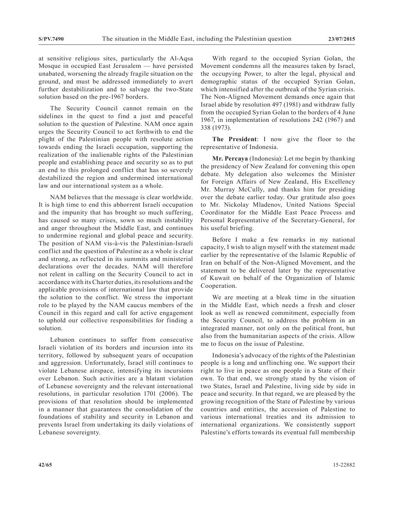at sensitive religious sites, particularly the Al-Aqsa Mosque in occupied East Jerusalem — have persisted unabated, worsening the already fragile situation on the ground, and must be addressed immediately to avert further destabilization and to salvage the two-State solution based on the pre-1967 borders.

The Security Council cannot remain on the sidelines in the quest to find a just and peaceful solution to the question of Palestine. NAM once again urges the Security Council to act forthwith to end the plight of the Palestinian people with resolute action towards ending the Israeli occupation, supporting the realization of the inalienable rights of the Palestinian people and establishing peace and security so as to put an end to this prolonged conflict that has so severely destabilized the region and undermined international law and our international system as a whole.

NAM believes that the message is clear worldwide. It is high time to end this abhorrent Israeli occupation and the impunity that has brought so much suffering, has caused so many crises, sown so much instability and anger throughout the Middle East, and continues to undermine regional and global peace and security. The position of NAM vis-à-vis the Palestinian-Israeli conflict and the question of Palestine as a whole is clear and strong, as reflected in its summits and ministerial declarations over the decades. NAM will therefore not relent in calling on the Security Council to act in accordance with its Charter duties, its resolutions and the applicable provisions of international law that provide the solution to the conflict. We stress the important role to be played by the NAM caucus members of the Council in this regard and call for active engagement to uphold our collective responsibilities for finding a solution.

Lebanon continues to suffer from consecutive Israeli violation of its borders and incursion into its territory, followed by subsequent years of occupation and aggression. Unfortunately, Israel still continues to violate Lebanese airspace, intensifying its incursions over Lebanon. Such activities are a blatant violation of Lebanese sovereignty and the relevant international resolutions, in particular resolution 1701 (2006). The provisions of that resolution should be implemented in a manner that guarantees the consolidation of the foundations of stability and security in Lebanon and prevents Israel from undertaking its daily violations of Lebanese sovereignty.

With regard to the occupied Syrian Golan, the Movement condemns all the measures taken by Israel, the occupying Power, to alter the legal, physical and demographic status of the occupied Syrian Golan, which intensified after the outbreak of the Syrian crisis. The Non-Aligned Movement demands once again that Israel abide by resolution 497 (1981) and withdraw fully from the occupied Syrian Golan to the borders of 4 June 1967, in implementation of resolutions 242 (1967) and 338 (1973).

**The President**: I now give the floor to the representative of Indonesia.

**Mr. Percaya** (Indonesia): Let me begin by thanking the presidency of New Zealand for convening this open debate. My delegation also welcomes the Minister for Foreign Affairs of New Zealand, His Excellency Mr. Murray McCully, and thanks him for presiding over the debate earlier today. Our gratitude also goes to Mr. Nickolay Mladenov, United Nations Special Coordinator for the Middle East Peace Process and Personal Representative of the Secretary-General, for his useful briefing.

Before I make a few remarks in my national capacity, I wish to align myself with the statement made earlier by the representative of the Islamic Republic of Iran on behalf of the Non-Aligned Movement, and the statement to be delivered later by the representative of Kuwait on behalf of the Organization of Islamic Cooperation.

We are meeting at a bleak time in the situation in the Middle East, which needs a fresh and closer look as well as renewed commitment, especially from the Security Council, to address the problem in an integrated manner, not only on the political front, but also from the humanitarian aspects of the crisis. Allow me to focus on the issue of Palestine.

Indonesia's advocacy of the rights of the Palestinian people is a long and unflinching one. We support their right to live in peace as one people in a State of their own. To that end, we strongly stand by the vision of two States, Israel and Palestine, living side by side in peace and security. In that regard, we are pleased by the growing recognition of the State of Palestine by various countries and entities, the accession of Palestine to various international treaties and its admission to international organizations. We consistently support Palestine's efforts towards its eventual full membership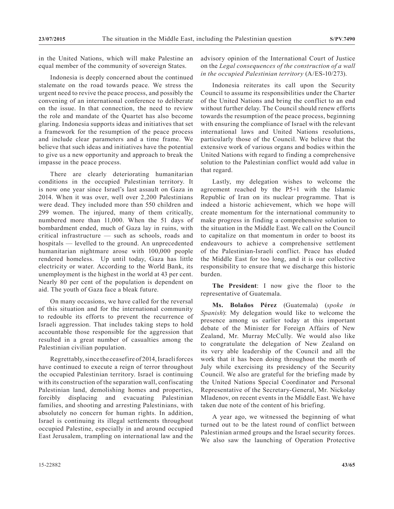in the United Nations, which will make Palestine an equal member of the community of sovereign States.

Indonesia is deeply concerned about the continued stalemate on the road towards peace. We stress the urgent need to revive the peace process, and possibly the convening of an international conference to deliberate on the issue. In that connection, the need to review the role and mandate of the Quartet has also become glaring. Indonesia supports ideas and initiatives that set a framework for the resumption of the peace process and include clear parameters and a time frame. We believe that such ideas and initiatives have the potential to give us a new opportunity and approach to break the impasse in the peace process.

There are clearly deteriorating humanitarian conditions in the occupied Palestinian territory. It is now one year since Israel's last assault on Gaza in 2014. When it was over, well over 2,200 Palestinians were dead. They included more than 550 children and 299 women. The injured, many of them critically, numbered more than 11,000. When the 51 days of bombardment ended, much of Gaza lay in ruins, with critical infrastructure — such as schools, roads and hospitals — levelled to the ground. An unprecedented humanitarian nightmare arose with 100,000 people rendered homeless. Up until today, Gaza has little electricity or water. According to the World Bank, its unemployment is the highest in the world at 43 per cent. Nearly 80 per cent of the population is dependent on aid. The youth of Gaza face a bleak future.

On many occasions, we have called for the reversal of this situation and for the international community to redouble its efforts to prevent the recurrence of Israeli aggression. That includes taking steps to hold accountable those responsible for the aggression that resulted in a great number of casualties among the Palestinian civilian population.

Regrettably, since the ceasefire of 2014, Israeli forces have continued to execute a reign of terror throughout the occupied Palestinian territory. Israel is continuing with its construction of the separation wall, confiscating Palestinian land, demolishing homes and properties, forcibly displacing and evacuating Palestinian families, and shooting and arresting Palestinians, with absolutely no concern for human rights. In addition, Israel is continuing its illegal settlements throughout occupied Palestine, especially in and around occupied East Jerusalem, trampling on international law and the

advisory opinion of the International Court of Justice on the *Legal consequences of the construction of a wall in the occupied Palestinian territory* (A/ES-10/273).

Indonesia reiterates its call upon the Security Council to assume its responsibilities under the Charter of the United Nations and bring the conflict to an end without further delay. The Council should renew efforts towards the resumption of the peace process, beginning with ensuring the compliance of Israel with the relevant international laws and United Nations resolutions, particularly those of the Council. We believe that the extensive work of various organs and bodies within the United Nations with regard to finding a comprehensive solution to the Palestinian conflict would add value in that regard.

Lastly, my delegation wishes to welcome the agreement reached by the P5+1 with the Islamic Republic of Iran on its nuclear programme. That is indeed a historic achievement, which we hope will create momentum for the international community to make progress in finding a comprehensive solution to the situation in the Middle East. We call on the Council to capitalize on that momentum in order to boost its endeavours to achieve a comprehensive settlement of the Palestinian-Israeli conflict. Peace has eluded the Middle East for too long, and it is our collective responsibility to ensure that we discharge this historic burden.

**The President**: I now give the floor to the representative of Guatemala.

**Ms. Bolaños Pérez** (Guatemala) (*spoke in Spanish*): My delegation would like to welcome the presence among us earlier today at this important debate of the Minister for Foreign Affairs of New Zealand, Mr. Murray McCully. We would also like to congratulate the delegation of New Zealand on its very able leadership of the Council and all the work that it has been doing throughout the month of July while exercising its presidency of the Security Council. We also are grateful for the briefing made by the United Nations Special Coordinator and Personal Representative of the Secretary-General, Mr. Nickolay Mladenov, on recent events in the Middle East. We have taken due note of the content of his briefing.

A year ago, we witnessed the beginning of what turned out to be the latest round of conflict between Palestinian armed groups and the Israel security forces. We also saw the launching of Operation Protective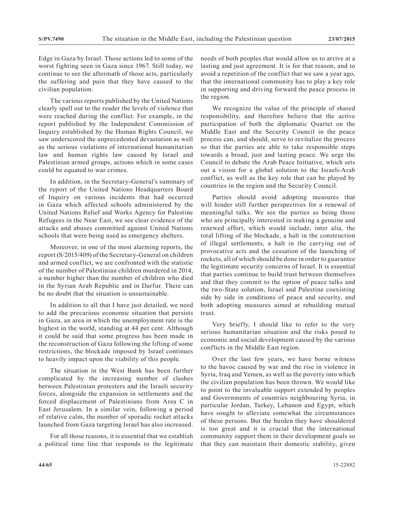Edge in Gaza by Israel. Those actions led to some of the worst fighting seen in Gaza since 1967. Still today, we continue to see the aftermath of those acts, particularly the suffering and pain that they have caused to the civilian population.

The various reports published by the United Nations clearly spell out to the reader the levels of violence that were reached during the conflict. For example, in the report published by the Independent Commission of Inquiry established by the Human Rights Council, we saw underscored the unprecedented devastation as well as the serious violations of international humanitarian law and human rights law caused by Israel and Palestinian armed groups, actions which in some cases could be equated to war crimes.

In addition, in the Secretary-General's summary of the report of the United Nations Headquarters Board of Inquiry on various incidents that had occurred in Gaza which affected schools administered by the United Nations Relief and Works Agency for Palestine Refugees in the Near East, we see clear evidence of the attacks and abuses committed against United Nations schools that were being used as emergency shelters.

Moreover, in one of the most alarming reports, the report (S/2015/409) of the Secretary-General on children and armed conflict, we are confronted with the statistic of the number of Palestinian children murdered in 2014, a number higher than the number of children who died in the Syrian Arab Republic and in Darfur. There can be no doubt that the situation is unsustainable.

In addition to all that I have just detailed, we need to add the precarious economic situation that persists in Gaza, an area in which the unemployment rate is the highest in the world, standing at 44 per cent. Although it could be said that some progress has been made in the reconstruction of Gaza following the lifting of some restrictions, the blockade imposed by Israel continues to heavily impact upon the viability of this people.

The situation in the West Bank has been further complicated by the increasing number of clashes between Palestinian protesters and the Israeli security forces, alongside the expansion in settlements and the forced displacement of Palestinians from Area C in East Jerusalem. In a similar vein, following a period of relative calm, the number of sporadic rocket attacks launched from Gaza targeting Israel has also increased.

For all those reasons, it is essential that we establish a political time line that responds to the legitimate needs of both peoples that would allow us to arrive at a lasting and just agreement. It is for that reason, and to avoid a repetition of the conflict that we saw a year ago, that the international community has to play a key role in supporting and driving forward the peace process in the region.

We recognize the value of the principle of shared responsibility, and therefore believe that the active participation of both the diplomatic Quartet on the Middle East and the Security Council in the peace process can, and should, serve to revitalize the process so that the parties are able to take responsible steps towards a broad, just and lasting peace. We urge the Council to debate the Arab Peace Initiative, which sets out a vision for a global solution to the Israeli-Arab conflict, as well as the key role that can be played by countries in the region and the Security Council.

Parties should avoid adopting measures that will hinder still further perspectives for a renewal of meaningful talks. We see the parties as being those who are principally interested in making a genuine and renewed effort, which would include, inter alia, the total lifting of the blockade, a halt in the construction of illegal settlements, a halt in the carrying out of provocative acts and the cessation of the launching of rockets, all of which should be done in order to guarantee the legitimate security concerns of Israel. It is essential that parties continue to build trust between themselves and that they commit to the option of peace talks and the two-State solution, Israel and Palestine coexisting side by side in conditions of peace and security, and both adopting measures aimed at rebuilding mutual trust.

Very briefly, I should like to refer to the very serious humanitarian situation and the risks posed to economic and social development caused by the various conflicts in the Middle East region.

Over the last few years, we have borne witness to the havoc caused by war and the rise in violence in Syria, Iraq and Yemen, as well as the poverty into which the civilian population has been thrown. We would like to point to the invaluable support extended by peoples and Governments of countries neighbouring Syria, in particular Jordan, Turkey, Lebanon and Egypt, which have sought to alleviate somewhat the circumstances of these persons. But the burden they have shouldered is too great and it is crucial that the international community support them in their development goals so that they can maintain their domestic stability, given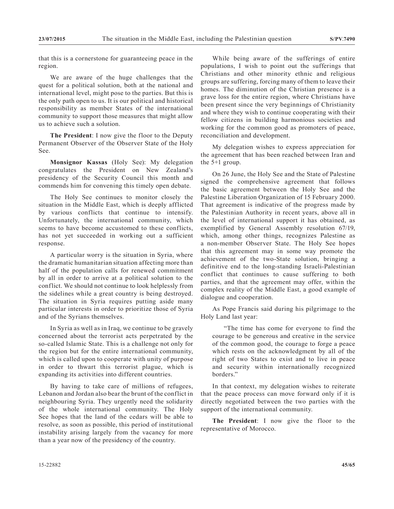that this is a cornerstone for guaranteeing peace in the region.

We are aware of the huge challenges that the quest for a political solution, both at the national and international level, might pose to the parties. But this is the only path open to us. It is our political and historical responsibility as member States of the international community to support those measures that might allow us to achieve such a solution.

**The President**: I now give the floor to the Deputy Permanent Observer of the Observer State of the Holy See.

**Monsignor Kassas** (Holy See): My delegation congratulates the President on New Zealand's presidency of the Security Council this month and commends him for convening this timely open debate.

The Holy See continues to monitor closely the situation in the Middle East, which is deeply afflicted by various conflicts that continue to intensify. Unfortunately, the international community, which seems to have become accustomed to these conflicts, has not yet succeeded in working out a sufficient response.

A particular worry is the situation in Syria, where the dramatic humanitarian situation affecting more than half of the population calls for renewed commitment by all in order to arrive at a political solution to the conflict. We should not continue to look helplessly from the sidelines while a great country is being destroyed. The situation in Syria requires putting aside many particular interests in order to prioritize those of Syria and of the Syrians themselves.

In Syria as well as in Iraq, we continue to be gravely concerned about the terrorist acts perpetrated by the so-called Islamic State. This is a challenge not only for the region but for the entire international community, which is called upon to cooperate with unity of purpose in order to thwart this terrorist plague, which is expanding its activities into different countries.

By having to take care of millions of refugees, Lebanon and Jordan also bear the brunt of the conflict in neighbouring Syria. They urgently need the solidarity of the whole international community. The Holy See hopes that the land of the cedars will be able to resolve, as soon as possible, this period of institutional instability arising largely from the vacancy for more than a year now of the presidency of the country.

While being aware of the sufferings of entire populations, I wish to point out the sufferings that Christians and other minority ethnic and religious groups are suffering, forcing many of them to leave their homes. The diminution of the Christian presence is a grave loss for the entire region, where Christians have been present since the very beginnings of Christianity and where they wish to continue cooperating with their fellow citizens in building harmonious societies and working for the common good as promoters of peace, reconciliation and development.

My delegation wishes to express appreciation for the agreement that has been reached between Iran and the 5+1 group.

On 26 June, the Holy See and the State of Palestine signed the comprehensive agreement that follows the basic agreement between the Holy See and the Palestine Liberation Organization of 15 February 2000. That agreement is indicative of the progress made by the Palestinian Authority in recent years, above all in the level of international support it has obtained, as exemplified by General Assembly resolution 67/19, which, among other things, recognizes Palestine as a non-member Observer State. The Holy See hopes that this agreement may in some way promote the achievement of the two-State solution, bringing a definitive end to the long-standing Israeli-Palestinian conflict that continues to cause suffering to both parties, and that the agreement may offer, within the complex reality of the Middle East, a good example of dialogue and cooperation.

As Pope Francis said during his pilgrimage to the Holy Land last year:

"The time has come for everyone to find the courage to be generous and creative in the service of the common good, the courage to forge a peace which rests on the acknowledgment by all of the right of two States to exist and to live in peace and security within internationally recognized borders."

In that context, my delegation wishes to reiterate that the peace process can move forward only if it is directly negotiated between the two parties with the support of the international community.

**The President**: I now give the floor to the representative of Morocco.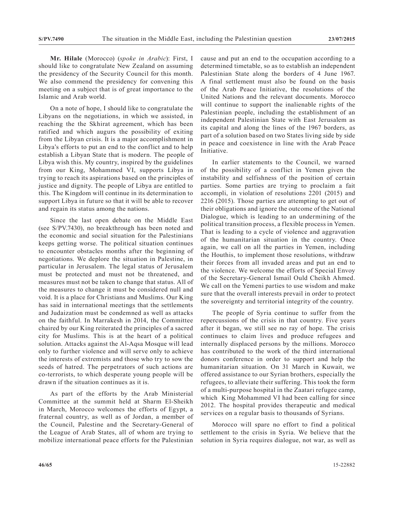**Mr. Hilale** (Morocco) (*spoke in Arabic*): First, I should like to congratulate New Zealand on assuming the presidency of the Security Council for this month. We also commend the presidency for convening this meeting on a subject that is of great importance to the Islamic and Arab world.

On a note of hope, I should like to congratulate the Libyans on the negotiations, in which we assisted, in reaching the the Skhirat agreement, which has been ratified and which augurs the possibility of exiting from the Libyan crisis. It is a major accomplishment in Libya's efforts to put an end to the conflict and to help establish a Libyan State that is modern. The people of Libya wish this. My country, inspired by the guidelines from our King, Mohammed VI, supports Libya in trying to reach its aspirations based on the principles of justice and dignity. The people of Libya are entitled to this. The Kingdom will continue in its determination to support Libya in future so that it will be able to recover and regain its status among the nations.

Since the last open debate on the Middle East (see S/PV.7430), no breakthrough has been noted and the economic and social situation for the Palestinians keeps getting worse. The political situation continues to encounter obstacles months after the beginning of negotiations. We deplore the situation in Palestine, in particular in Jerusalem. The legal status of Jerusalem must be protected and must not be threatened, and measures must not be taken to change that status. All of the measures to change it must be considered null and void. It is a place for Christians and Muslims. Our King has said in international meetings that the settlements and Judaization must be condemned as well as attacks on the faithful. In Marrakesh in 2014, the Committee chaired by our King reiterated the principles of a sacred city for Muslims. This is at the heart of a political solution. Attacks against the Al-Aqsa Mosque will lead only to further violence and will serve only to achieve the interests of extremists and those who try to sow the seeds of hatred. The perpetrators of such actions are co-terrorists, to which desperate young people will be drawn if the situation continues as it is.

As part of the efforts by the Arab Ministerial Committee at the summit held at Sharm El-Sheikh in March, Morocco welcomes the efforts of Egypt, a fraternal country, as well as of Jordan, a member of the Council, Palestine and the Secretary-General of the League of Arab States, all of whom are trying to mobilize international peace efforts for the Palestinian

cause and put an end to the occupation according to a determined timetable, so as to establish an independent Palestinian State along the borders of 4 June 1967. A final settlement must also be found on the basis of the Arab Peace Initiative, the resolutions of the United Nations and the relevant documents. Morocco will continue to support the inalienable rights of the Palestinian people, including the establishment of an independent Palestinian State with East Jerusalem as its capital and along the lines of the 1967 borders, as part of a solution based on two States living side by side in peace and coexistence in line with the Arab Peace Initiative.

In earlier statements to the Council, we warned of the possibility of a conflict in Yemen given the instability and selfishness of the position of certain parties. Some parties are trying to proclaim a fait accompli, in violation of resolutions 2201 (2015) and 2216 (2015). Those parties are attempting to get out of their obligations and ignore the outcome of the National Dialogue, which is leading to an undermining of the political transition process, a flexible process in Yemen. That is leading to a cycle of violence and aggravation of the humanitarian situation in the country. Once again, we call on all the parties in Yemen, including the Houthis, to implement those resolutions, withdraw their forces from all invaded areas and put an end to the violence. We welcome the efforts of Special Envoy of the Secretary-General Ismail Ould Cheikh Ahmed. We call on the Yemeni parties to use wisdom and make sure that the overall interests prevail in order to protect the sovereignty and territorial integrity of the country.

The people of Syria continue to suffer from the repercussions of the crisis in that country. Five years after it began, we still see no ray of hope. The crisis continues to claim lives and produce refugees and internally displaced persons by the millions. Morocco has contributed to the work of the third international donors conference in order to support and help the humanitarian situation. On 31 March in Kuwait, we offered assistance to our Syrian brothers, especially the refugees, to alleviate their suffering. This took the form of a multi-purpose hospital in the Zaatari refugee camp, which King Mohammed VI had been calling for since 2012. The hospital provides therapeutic and medical services on a regular basis to thousands of Syrians.

Morocco will spare no effort to find a political settlement to the crisis in Syria. We believe that the solution in Syria requires dialogue, not war, as well as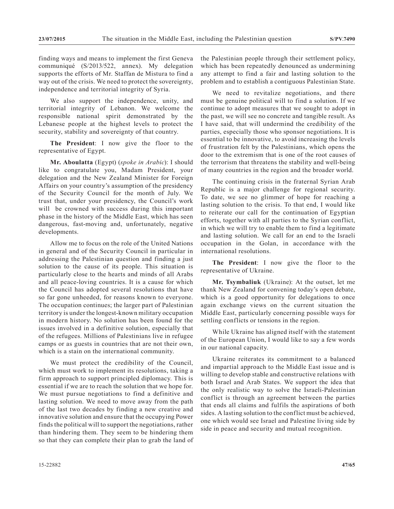finding ways and means to implement the first Geneva communiqué (S/2013/522, annex). My delegation supports the efforts of Mr. Staffan de Mistura to find a way out of the crisis. We need to protect the sovereignty, independence and territorial integrity of Syria.

We also support the independence, unity, and territorial integrity of Lebanon. We welcome the responsible national spirit demonstrated by the Lebanese people at the highest levels to protect the security, stability and sovereignty of that country.

**The President**: I now give the floor to the representative of Egypt.

**Mr. Aboulatta** (Egypt) (*spoke in Arabic*): I should like to congratulate you, Madam President, your delegation and the New Zealand Minister for Foreign Affairs on your country's assumption of the presidency of the Security Council for the month of July. We trust that, under your presidency, the Council's work will be crowned with success during this important phase in the history of the Middle East, which has seen dangerous, fast-moving and, unfortunately, negative developments.

Allow me to focus on the role of the United Nations in general and of the Security Council in particular in addressing the Palestinian question and finding a just solution to the cause of its people. This situation is particularly close to the hearts and minds of all Arabs and all peace-loving countries. It is a cause for which the Council has adopted several resolutions that have so far gone unheeded, for reasons known to everyone. The occupation continues; the larger part of Palestinian territory is under the longest-known military occupation in modern history. No solution has been found for the issues involved in a definitive solution, especially that of the refugees. Millions of Palestinians live in refugee camps or as guests in countries that are not their own, which is a stain on the international community.

We must protect the credibility of the Council, which must work to implement its resolutions, taking a firm approach to support principled diplomacy. This is essential if we are to reach the solution that we hope for. We must pursue negotiations to find a definitive and lasting solution. We need to move away from the path of the last two decades by finding a new creative and innovative solution and ensure that the occupying Power finds the political will to support the negotiations, rather than hindering them. They seem to be hindering them so that they can complete their plan to grab the land of the Palestinian people through their settlement policy, which has been repeatedly denounced as undermining any attempt to find a fair and lasting solution to the problem and to establish a contiguous Palestinian State.

We need to revitalize negotiations, and there must be genuine political will to find a solution. If we continue to adopt measures that we sought to adopt in the past, we will see no concrete and tangible result. As I have said, that will undermind the credibility of the parties, especially those who sponsor negotiations. It is essential to be innovative, to avoid increasing the levels of frustration felt by the Palestinians, which opens the door to the extremism that is one of the root causes of the terrorism that threatens the stability and well-being of many countries in the region and the broader world.

The continuing crisis in the fraternal Syrian Arab Republic is a major challenge for regional security. To date, we see no glimmer of hope for reaching a lasting solution to the crisis. To that end, I would like to reiterate our call for the continuation of Egyptian efforts, together with all parties to the Syrian conflict, in which we will try to enable them to find a legitimate and lasting solution. We call for an end to the Israeli occupation in the Golan, in accordance with the international resolutions.

**The President**: I now give the floor to the representative of Ukraine.

**Mr. Tsymbaliuk** (Ukraine): At the outset, let me thank New Zealand for convening today's open debate, which is a good opportunity for delegations to once again exchange views on the current situation the Middle East, particularly concerning possible ways for settling conflicts or tensions in the region.

While Ukraine has aligned itself with the statement of the European Union, I would like to say a few words in our national capacity.

Ukraine reiterates its commitment to a balanced and impartial approach to the Middle East issue and is willing to develop stable and constructive relations with both Israel and Arab States. We support the idea that the only realistic way to solve the Israeli-Palestinian conflict is through an agreement between the parties that ends all claims and fulfils the aspirations of both sides. A lasting solution to the conflict must be achieved, one which would see Israel and Palestine living side by side in peace and security and mutual recognition.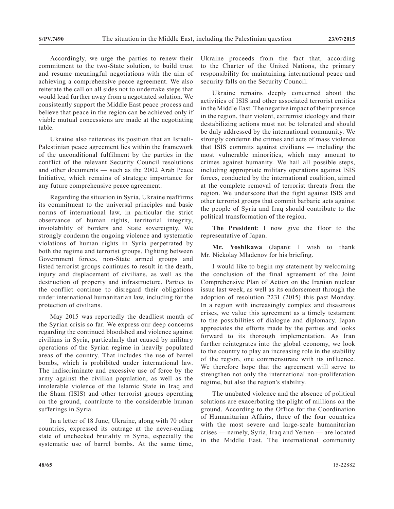Accordingly, we urge the parties to renew their commitment to the two-State solution, to build trust and resume meaningful negotiations with the aim of achieving a comprehensive peace agreement. We also reiterate the call on all sides not to undertake steps that would lead further away from a negotiated solution. We consistently support the Middle East peace process and believe that peace in the region can be achieved only if viable mutual concessions are made at the negotiating table.

Ukraine also reiterates its position that an Israeli-Palestinian peace agreement lies within the framework of the unconditional fulfilment by the parties in the conflict of the relevant Security Council resolutions and other documents — such as the 2002 Arab Peace Initiative, which remains of strategic importance for any future comprehensive peace agreement.

Regarding the situation in Syria, Ukraine reaffirms its commitment to the universal principles and basic norms of international law, in particular the strict observance of human rights, territorial integrity, inviolability of borders and State sovereignty. We strongly condemn the ongoing violence and systematic violations of human rights in Syria perpetrated by both the regime and terrorist groups. Fighting between Government forces, non-State armed groups and listed terrorist groups continues to result in the death, injury and displacement of civilians, as well as the destruction of property and infrastructure. Parties to the conflict continue to disregard their obligations under international humanitarian law, including for the protection of civilians.

May 2015 was reportedly the deadliest month of the Syrian crisis so far. We express our deep concerns regarding the continued bloodshed and violence against civilians in Syria, particularly that caused by military operations of the Syrian regime in heavily populated areas of the country. That includes the use of barrel bombs, which is prohibited under international law. The indiscriminate and excessive use of force by the army against the civilian population, as well as the intolerable violence of the Islamic State in Iraq and the Sham (ISIS) and other terrorist groups operating on the ground, contribute to the considerable human sufferings in Syria.

In a letter of 18 June, Ukraine, along with 70 other countries, expressed its outrage at the never-ending state of unchecked brutality in Syria, especially the systematic use of barrel bombs. At the same time,

Ukraine proceeds from the fact that, according to the Charter of the United Nations, the primary responsibility for maintaining international peace and security falls on the Security Council.

Ukraine remains deeply concerned about the activities of ISIS and other associated terrorist entities in the Middle East. The negative impact of their presence in the region, their violent, extremist ideology and their destabilizing actions must not be tolerated and should be duly addressed by the international community. We strongly condemn the crimes and acts of mass violence that ISIS commits against civilians — including the most vulnerable minorities, which may amount to crimes against humanity. We hail all possible steps, including appropriate military operations against ISIS forces, conducted by the international coalition, aimed at the complete removal of terrorist threats from the region. We underscore that the fight against ISIS and other terrorist groups that commit barbaric acts against the people of Syria and Iraq should contribute to the political transformation of the region.

**The President**: I now give the floor to the representative of Japan.

**Mr. Yoshikawa** (Japan): I wish to thank Mr. Nickolay Mladenov for his briefing.

I would like to begin my statement by welcoming the conclusion of the final agreement of the Joint Comprehensive Plan of Action on the Iranian nuclear issue last week, as well as its endorsement through the adoption of resolution 2231 (2015) this past Monday. In a region with increasingly complex and disastrous crises, we value this agreement as a timely testament to the possibilities of dialogue and diplomacy. Japan appreciates the efforts made by the parties and looks forward to its thorough implementation. As Iran further reintegrates into the global economy, we look to the country to play an increasing role in the stability of the region, one commensurate with its influence. We therefore hope that the agreement will serve to strengthen not only the international non-proliferation regime, but also the region's stability.

The unabated violence and the absence of political solutions are exacerbating the plight of millions on the ground. According to the Office for the Coordination of Humanitarian Affairs, three of the four countries with the most severe and large-scale humanitarian crises — namely, Syria, Iraq and Yemen — are located in the Middle East. The international community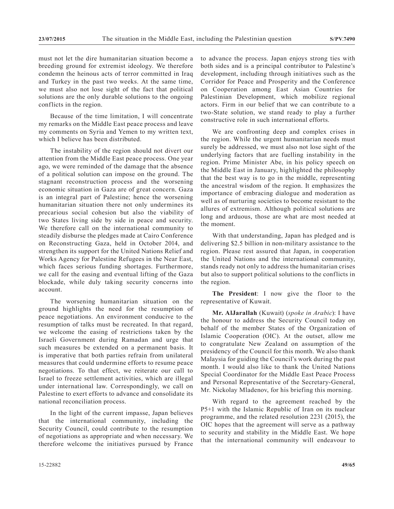must not let the dire humanitarian situation become a breeding ground for extremist ideology. We therefore condemn the heinous acts of terror committed in Iraq and Turkey in the past two weeks. At the same time, we must also not lose sight of the fact that political solutions are the only durable solutions to the ongoing conflicts in the region.

Because of the time limitation, I will concentrate my remarks on the Middle East peace process and leave my comments on Syria and Yemen to my written text, which I believe has been distributed.

The instability of the region should not divert our attention from the Middle East peace process. One year ago, we were reminded of the damage that the absence of a political solution can impose on the ground. The stagnant reconstruction process and the worsening economic situation in Gaza are of great concern. Gaza is an integral part of Palestine; hence the worsening humanitarian situation there not only undermines its precarious social cohesion but also the viability of two States living side by side in peace and security. We therefore call on the international community to steadily disburse the pledges made at Cairo Conference on Reconstructing Gaza, held in October 2014, and strengthen its support for the United Nations Relief and Works Agency for Palestine Refugees in the Near East, which faces serious funding shortages. Furthermore, we call for the easing and eventual lifting of the Gaza blockade, while duly taking security concerns into account.

The worsening humanitarian situation on the ground highlights the need for the resumption of peace negotiations. An environment conducive to the resumption of talks must be recreated. In that regard, we welcome the easing of restrictions taken by the Israeli Government during Ramadan and urge that such measures be extended on a permanent basis. It is imperative that both parties refrain from unilateral measures that could undermine efforts to resume peace negotiations. To that effect, we reiterate our call to Israel to freeze settlement activities, which are illegal under international law. Correspondingly, we call on Palestine to exert efforts to advance and consolidate its national reconciliation process.

In the light of the current impasse, Japan believes that the international community, including the Security Council, could contribute to the resumption of negotiations as appropriate and when necessary. We therefore welcome the initiatives pursued by France

to advance the process. Japan enjoys strong ties with both sides and is a principal contributor to Palestine's development, including through initiatives such as the Corridor for Peace and Prosperity and the Conference on Cooperation among East Asian Countries for Palestinian Development, which mobilize regional actors. Firm in our belief that we can contribute to a two-State solution, we stand ready to play a further constructive role in such international efforts.

We are confronting deep and complex crises in the region. While the urgent humanitarian needs must surely be addressed, we must also not lose sight of the underlying factors that are fuelling instability in the region. Prime Minister Abe, in his policy speech on the Middle East in January, highlighted the philosophy that the best way is to go in the middle, representing the ancestral wisdom of the region. It emphasizes the importance of embracing dialogue and moderation as well as of nurturing societies to become resistant to the allures of extremism. Although political solutions are long and arduous, those are what are most needed at the moment.

With that understanding, Japan has pledged and is delivering \$2.5 billion in non-military assistance to the region. Please rest assured that Japan, in cooperation the United Nations and the international community, stands ready not only to address the humanitarian crises but also to support political solutions to the conflicts in the region.

**The President**: I now give the floor to the representative of Kuwait.

**Mr. AlJarallah** (Kuwait) (*spoke in Arabic*): I have the honour to address the Security Council today on behalf of the member States of the Organization of Islamic Cooperation (OIC). At the outset, allow me to congratulate New Zealand on assumption of the presidency of the Council for this month. We also thank Malaysia for guiding the Council's work during the past month. I would also like to thank the United Nations Special Coordinator for the Middle East Peace Process and Personal Representative of the Secretary-General, Mr. Nickolay Mladenov, for his briefing this morning.

With regard to the agreement reached by the P5+1 with the Islamic Republic of Iran on its nuclear programme, and the related resolution 2231 (2015), the OIC hopes that the agreement will serve as a pathway to security and stability in the Middle East. We hope that the international community will endeavour to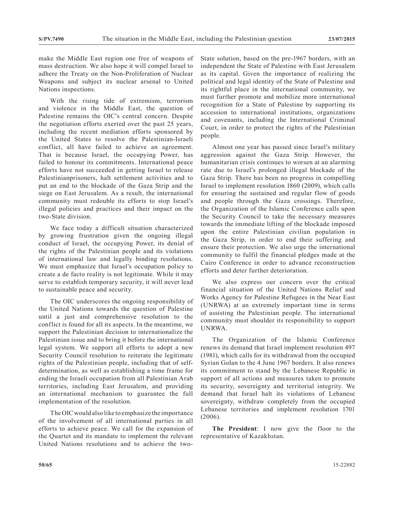make the Middle East region one free of weapons of mass destruction. We also hope it will compel Israel to adhere the Treaty on the Non-Proliferation of Nuclear Weapons and subject its nuclear arsenal to United Nations inspections.

With the rising tide of extremism, terrorism and violence in the Middle East, the question of Palestine remains the OIC's central concern. Despite the negotiation efforts exerted over the past 25 years, including the recent mediation efforts sponsored by the United States to resolve the Palestinian-Israeli conflict, all have failed to achieve an agreement. That is because Israel, the occupying Power, has failed to honour its commitments. International peace efforts have not succeeded in getting Israel to release Palestinianprisoners, halt settlement activities and to put an end to the blockade of the Gaza Strip and the siege on East Jerusalem. As a result, the international community must redouble its efforts to stop Israel's illegal policies and practices and their impact on the two-State division.

We face today a difficult situation characterized by growing frustration given the ongoing illegal conduct of Israel, the occupying Power, its denial of the rights of the Palestinian people and its violations of international law and legally binding resolutions. We must emphasize that Israel's occupation policy to create a de facto reality is not legitimate. While it may serve to establish temporary security, it will never lead to sustainable peace and security.

The OIC underscores the ongoing responsibility of the United Nations towards the question of Palestine until a just and comprehensive resolution to the conflict is found for all its aspects. In the meantime, we support the Palestinian decision to internationalize the Palestinian issue and to bring it before the international legal system. We support all efforts to adopt a new Security Council resolution to reiterate the legitimate rights of the Palestinian people, including that of selfdetermination, as well as establishing a time frame for ending the Israeli occupation from all Palestinian Arab territories, including East Jerusalem, and providing an international mechanism to guarantee the full implementation of the resolution.

The OIC would also like to emphasize the importance of the involvement of all international parties in all efforts to achieve peace. We call for the expansion of the Quartet and its mandate to implement the relevant United Nations resolutions and to achieve the twoState solution, based on the pre-1967 borders, with an independent the State of Palestine with East Jerusalem as its capital. Given the importance of realizing the political and legal identity of the State of Palestine and its rightful place in the international community, we must further promote and mobilize more international recognition for a State of Palestine by supporting its accession to international institutions, organizations and covenants, including the International Criminal Court, in order to protect the rights of the Palestinian people.

Almost one year has passed since Israel's military aggression against the Gaza Strip. However, the humanitarian crisis continues to worsen at an alarming rate due to Israel's prolonged illegal blockade of the Gaza Strip. There has been no progress in compelling Israel to implement resolution 1860 (2009), which calls for ensuring the sustained and regular flow of goods and people through the Gaza crossings. Therefore, the Organization of the Islamic Conference calls upon the Security Council to take the necessary measures towards the immediate lifting of the blockade imposed upon the entire Palestinian civilian population in the Gaza Strip, in order to end their suffering and ensure their protection. We also urge the international community to fulfil the financial pledges made at the Cairo Conference in order to advance reconstruction efforts and deter further deterioration.

We also express our concern over the critical financial situation of the United Nations Relief and Works Agency for Palestine Refugees in the Near East (UNRWA) at an extremely important time in terms of assisting the Palestinian people. The international community must shoulder its responsibility to support UNRWA.

The Organization of the Islamic Conference renews its demand that Israel implement resolution 497 (1981), which calls for its withdrawal from the occupied Syrian Golan to the 4 June 1967 borders. It also renews its commitment to stand by the Lebanese Republic in support of all actions and measures taken to promote its security, sovereignty and territorial integrity. We demand that Israel halt its violations of Lebanese sovereignty, withdraw completely from the occupied Lebanese territories and implement resolution 1701 (2006).

**The President**: I now give the floor to the representative of Kazakhstan.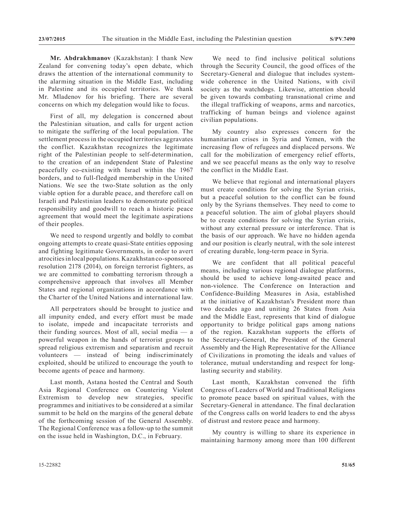**Mr. Abdrakhmanov** (Kazakhstan): I thank New Zealand for convening today's open debate, which draws the attention of the international community to the alarming situation in the Middle East, including in Palestine and its occupied territories. We thank Mr. Mladenov for his briefing. There are several concerns on which my delegation would like to focus.

First of all, my delegation is concerned about the Palestinian situation, and calls for urgent action to mitigate the suffering of the local population. The settlement process in the occupied territories aggravates the conflict. Kazakhstan recognizes the legitimate right of the Palestinian people to self-determination, to the creation of an independent State of Palestine peacefully co-existing with Israel within the 1967 borders, and to full-fledged membership in the United Nations. We see the two-State solution as the only viable option for a durable peace, and therefore call on Israeli and Palestinian leaders to demonstrate political responsibility and goodwill to reach a historic peace agreement that would meet the legitimate aspirations of their peoples.

We need to respond urgently and boldly to combat ongoing attempts to create quasi-State entities opposing and fighting legitimate Governments, in order to avert atrocities in local populations. Kazakhstan co-sponsored resolution 2178 (2014), on foreign terrorist fighters, as we are committed to combatting terrorism through a comprehensive approach that involves all Member States and regional organizations in accordance with the Charter of the United Nations and international law.

All perpetrators should be brought to justice and all impunity ended, and every effort must be made to isolate, impede and incapacitate terrorists and their funding sources. Most of all, social media — a powerful weapon in the hands of terrorist groups to spread religious extremism and separatism and recruit volunteers — instead of being indiscriminately exploited, should be utilized to encourage the youth to become agents of peace and harmony.

Last month, Astana hosted the Central and South Asia Regional Conference on Countering Violent Extremism to develop new strategies, specific programmes and initiatives to be considered at a similar summit to be held on the margins of the general debate of the forthcoming session of the General Assembly. The Regional Conference was a follow-up to the summit on the issue held in Washington, D.C., in February.

We need to find inclusive political solutions through the Security Council, the good offices of the Secretary-General and dialogue that includes systemwide coherence in the United Nations, with civil society as the watchdogs. Likewise, attention should be given towards combating transnational crime and the illegal trafficking of weapons, arms and narcotics, trafficking of human beings and violence against civilian populations.

My country also expresses concern for the humanitarian crises in Syria and Yemen, with the increasing flow of refugees and displaced persons. We call for the mobilization of emergency relief efforts, and we see peaceful means as the only way to resolve the conflict in the Middle East.

We believe that regional and international players must create conditions for solving the Syrian crisis, but a peaceful solution to the conflict can be found only by the Syrians themselves. They need to come to a peaceful solution. The aim of global players should be to create conditions for solving the Syrian crisis, without any external pressure or interference. That is the basis of our approach. We have no hidden agenda and our position is clearly neutral, with the sole interest of creating durable, long-term peace in Syria.

We are confident that all political peaceful means, including various regional dialogue platforms, should be used to achieve long-awaited peace and non-violence. The Conference on Interaction and Confidence-Building Measures in Asia, established at the initiative of Kazakhstan's President more than two decades ago and uniting 26 States from Asia and the Middle East, represents that kind of dialogue opportunity to bridge political gaps among nations of the region. Kazakhstan supports the efforts of the Secretary-General, the President of the General Assembly and the High Representative for the Alliance of Civilizations in promoting the ideals and values of tolerance, mutual understanding and respect for longlasting security and stability.

Last month, Kazakhstan convened the fifth Congress of Leaders of World and Traditional Religions to promote peace based on spiritual values, with the Secretary-General in attendance. The final declaration of the Congress calls on world leaders to end the abyss of distrust and restore peace and harmony.

My country is willing to share its experience in maintaining harmony among more than 100 different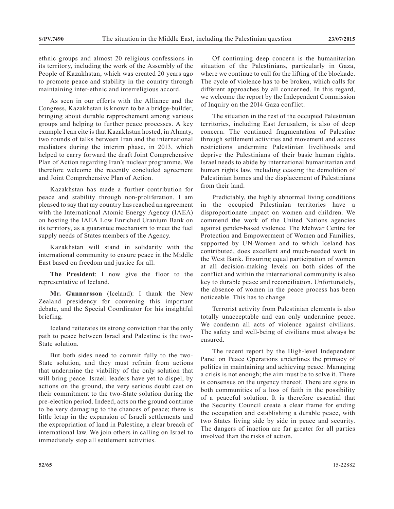ethnic groups and almost 20 religious confessions in its territory, including the work of the Assembly of the People of Kazakhstan, which was created 20 years ago to promote peace and stability in the country through maintaining inter-ethnic and interreligious accord.

As seen in our efforts with the Alliance and the Congress, Kazakhstan is known to be a bridge-builder, bringing about durable rapprochement among various groups and helping to further peace processes. A key example I can cite is that Kazakhstan hosted, in Almaty, two rounds of talks between Iran and the international mediators during the interim phase, in 2013, which helped to carry forward the draft Joint Comprehensive Plan of Action regarding Iran's nuclear programme. We therefore welcome the recently concluded agreement and Joint Comprehensive Plan of Action.

Kazakhstan has made a further contribution for peace and stability through non-proliferation. I am pleased to say that my country has reached an agreement with the International Atomic Energy Agency (IAEA) on hosting the IAEA Low Enriched Uranium Bank on its territory, as a guarantee mechanism to meet the fuel supply needs of States members of the Agency.

Kazakhstan will stand in solidarity with the international community to ensure peace in the Middle East based on freedom and justice for all.

**The President**: I now give the floor to the representative of Iceland.

**Mr. Gunnarsson** (Iceland): I thank the New Zealand presidency for convening this important debate, and the Special Coordinator for his insightful briefing.

Iceland reiterates its strong conviction that the only path to peace between Israel and Palestine is the two-State solution.

But both sides need to commit fully to the two-State solution, and they must refrain from actions that undermine the viability of the only solution that will bring peace. Israeli leaders have yet to dispel, by actions on the ground, the very serious doubt cast on their commitment to the two-State solution during the pre-election period. Indeed, acts on the ground continue to be very damaging to the chances of peace; there is little letup in the expansion of Israeli settlements and the expropriation of land in Palestine, a clear breach of international law. We join others in calling on Israel to immediately stop all settlement activities.

Of continuing deep concern is the humanitarian situation of the Palestinians, particularly in Gaza, where we continue to call for the lifting of the blockade. The cycle of violence has to be broken, which calls for different approaches by all concerned. In this regard, we welcome the report by the Independent Commission of Inquiry on the 2014 Gaza conflict.

The situation in the rest of the occupied Palestinian territories, including East Jerusalem, is also of deep concern. The continued fragmentation of Palestine through settlement activities and movement and access restrictions undermine Palestinian livelihoods and deprive the Palestinians of their basic human rights. Israel needs to abide by international humanitarian and human rights law, including ceasing the demolition of Palestinian homes and the displacement of Palestinians from their land.

Predictably, the highly abnormal living conditions in the occupied Palestinian territories have a disproportionate impact on women and children. We commend the work of the United Nations agencies against gender-based violence. The Mehwar Centre for Protection and Empowerment of Women and Families, supported by UN-Women and to which Iceland has contributed, does excellent and much-needed work in the West Bank. Ensuring equal participation of women at all decision-making levels on both sides of the conflict and within the international community is also key to durable peace and reconciliation. Unfortunately, the absence of women in the peace process has been noticeable. This has to change.

Terrorist activity from Palestinian elements is also totally unacceptable and can only undermine peace. We condemn all acts of violence against civilians. The safety and well-being of civilians must always be ensured.

The recent report by the High-level Independent Panel on Peace Operations underlines the primacy of politics in maintaining and achieving peace. Managing a crisis is not enough; the aim must be to solve it. There is consensus on the urgency thereof. There are signs in both communities of a loss of faith in the possibility of a peaceful solution. It is therefore essential that the Security Council create a clear frame for ending the occupation and establishing a durable peace, with two States living side by side in peace and security. The dangers of inaction are far greater for all parties involved than the risks of action.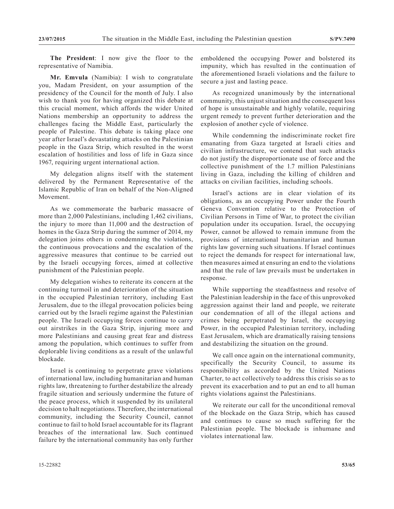**The President**: I now give the floor to the representative of Namibia.

**Mr. Emvula** (Namibia): I wish to congratulate you, Madam President, on your assumption of the presidency of the Council for the month of July. I also wish to thank you for having organized this debate at this crucial moment, which affords the wider United Nations membership an opportunity to address the challenges facing the Middle East, particularly the people of Palestine. This debate is taking place one year after Israel's devastating attacks on the Palestinian people in the Gaza Strip, which resulted in the worst escalation of hostilities and loss of life in Gaza since 1967, requiring urgent international action.

My delegation aligns itself with the statement delivered by the Permanent Representative of the Islamic Republic of Iran on behalf of the Non-Aligned Movement.

As we commemorate the barbaric massacre of more than 2,000 Palestinians, including 1,462 civilians, the injury to more than 11,000 and the destruction of homes in the Gaza Strip during the summer of 2014, my delegation joins others in condemning the violations, the continuous provocations and the escalation of the aggressive measures that continue to be carried out by the Israeli occupying forces, aimed at collective punishment of the Palestinian people.

My delegation wishes to reiterate its concern at the continuing turmoil in and deterioration of the situation in the occupied Palestinian territory, including East Jerusalem, due to the illegal provocation policies being carried out by the Israeli regime against the Palestinian people. The Israeli occupying forces continue to carry out airstrikes in the Gaza Strip, injuring more and more Palestinians and causing great fear and distress among the population, which continues to suffer from deplorable living conditions as a result of the unlawful blockade.

Israel is continuing to perpetrate grave violations of international law, including humanitarian and human rights law, threatening to further destabilize the already fragile situation and seriously undermine the future of the peace process, which it suspended by its unilateral decision to halt negotiations. Therefore, the international community, including the Security Council, cannot continue to fail to hold Israel accountable for its flagrant breaches of the international law. Such continued failure by the international community has only further

emboldened the occupying Power and bolstered its impunity, which has resulted in the continuation of the aforementioned Israeli violations and the failure to secure a just and lasting peace.

As recognized unanimously by the international community, this unjust situation and the consequent loss of hope is unsustainable and highly volatile, requiring urgent remedy to prevent further deterioration and the explosion of another cycle of violence.

While condemning the indiscriminate rocket fire emanating from Gaza targeted at Israeli cities and civilian infrastructure, we contend that such attacks do not justify the disproportionate use of force and the collective punishment of the 1.7 million Palestinians living in Gaza, including the killing of children and attacks on civilian facilities, including schools.

Israel's actions are in clear violation of its obligations, as an occupying Power under the Fourth Geneva Convention relative to the Protection of Civilian Persons in Time of War, to protect the civilian population under its occupation. Israel, the occupying Power, cannot be allowed to remain immune from the provisions of international humanitarian and human rights law governing such situations. If Israel continues to reject the demands for respect for international law, then measures aimed at ensuring an end to the violations and that the rule of law prevails must be undertaken in response.

While supporting the steadfastness and resolve of the Palestinian leadership in the face of this unprovoked aggression against their land and people, we reiterate our condemnation of all of the illegal actions and crimes being perpetrated by Israel, the occupying Power, in the occupied Palestinian territory, including East Jerusalem, which are dramatically raising tensions and destabilizing the situation on the ground.

We call once again on the international community, specifically the Security Council, to assume its responsibility as accorded by the United Nations Charter, to act collectively to address this crisis so as to prevent its exacerbation and to put an end to all human rights violations against the Palestinians.

We reiterate our call for the unconditional removal of the blockade on the Gaza Strip, which has caused and continues to cause so much suffering for the Palestinian people. The blockade is inhumane and violates international law.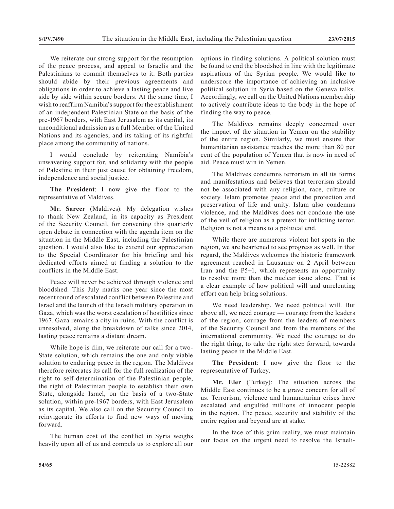We reiterate our strong support for the resumption of the peace process, and appeal to Israelis and the Palestinians to commit themselves to it. Both parties should abide by their previous agreements and obligations in order to achieve a lasting peace and live side by side within secure borders. At the same time, I wish to reaffirm Namibia's support for the establishment of an independent Palestinian State on the basis of the pre-1967 borders, with East Jerusalem as its capital, its unconditional admission as a full Member of the United Nations and its agencies, and its taking of its rightful place among the community of nations.

I would conclude by reiterating Namibia's unwavering support for, and solidarity with the people of Palestine in their just cause for obtaining freedom, independence and social justice.

**The President**: I now give the floor to the representative of Maldives.

**Mr. Sareer** (Maldives): My delegation wishes to thank New Zealand, in its capacity as President of the Security Council, for convening this quarterly open debate in connection with the agenda item on the situation in the Middle East, including the Palestinian question. I would also like to extend our appreciation to the Special Coordinator for his briefing and his dedicated efforts aimed at finding a solution to the conflicts in the Middle East.

Peace will never be achieved through violence and bloodshed. This July marks one year since the most recent round of escalated conflict between Palestine and Israel and the launch of the Israeli military operation in Gaza, which was the worst escalation of hostilities since 1967. Gaza remains a city in ruins. With the conflict is unresolved, along the breakdown of talks since 2014, lasting peace remains a distant dream.

While hope is dim, we reiterate our call for a two-State solution, which remains the one and only viable solution to enduring peace in the region. The Maldives therefore reiterates its call for the full realization of the right to self-determination of the Palestinian people, the right of Palestinian people to establish their own State, alongside Israel, on the basis of a two-State solution, within pre-1967 borders, with East Jerusalem as its capital. We also call on the Security Council to reinvigorate its efforts to find new ways of moving forward.

The human cost of the conflict in Syria weighs heavily upon all of us and compels us to explore all our options in finding solutions. A political solution must be found to end the bloodshed in line with the legitimate aspirations of the Syrian people. We would like to underscore the importance of achieving an inclusive political solution in Syria based on the Geneva talks. Accordingly, we call on the United Nations membership to actively contribute ideas to the body in the hope of finding the way to peace.

The Maldives remains deeply concerned over the impact of the situation in Yemen on the stability of the entire region. Similarly, we must ensure that humanitarian assistance reaches the more than 80 per cent of the population of Yemen that is now in need of aid. Peace must win in Yemen.

The Maldives condemns terrorism in all its forms and manifestations and believes that terrorism should not be associated with any religion, race, culture or society. Islam promotes peace and the protection and preservation of life and unity. Islam also condemns violence, and the Maldives does not condone the use of the veil of religion as a pretext for inflicting terror. Religion is not a means to a political end.

While there are numerous violent hot spots in the region, we are heartened to see progress as well. In that regard, the Maldives welcomes the historic framework agreement reached in Lausanne on 2 April between Iran and the P5+1, which represents an opportunity to resolve more than the nuclear issue alone. That is a clear example of how political will and unrelenting effort can help bring solutions.

We need leadership. We need political will. But above all, we need courage — courage from the leaders of the region, courage from the leaders of members of the Security Council and from the members of the international community. We need the courage to do the right thing, to take the right step forward, towards lasting peace in the Middle East.

**The President**: I now give the floor to the representative of Turkey.

**Mr. Eler** (Turkey): The situation across the Middle East continues to be a grave concern for all of us. Terrorism, violence and humanitarian crises have escalated and engulfed millions of innocent people in the region. The peace, security and stability of the entire region and beyond are at stake.

In the face of this grim reality, we must maintain our focus on the urgent need to resolve the Israeli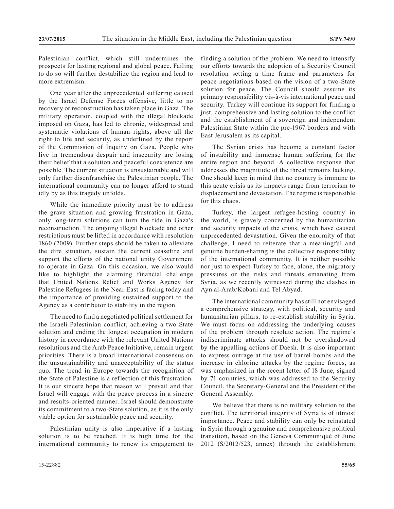Palestinian conflict, which still undermines the prospects for lasting regional and global peace. Failing to do so will further destabilize the region and lead to more extremism.

One year after the unprecedented suffering caused by the Israel Defense Forces offensive, little to no recovery or reconstruction has taken place in Gaza. The military operation, coupled with the illegal blockade imposed on Gaza, has led to chronic, widespread and systematic violations of human rights, above all the right to life and security, as underlined by the report of the Commission of Inquiry on Gaza. People who live in tremendous despair and insecurity are losing their belief that a solution and peaceful coexistence are possible. The current situation is unsustainable and will only further disenfranchise the Palestinian people. The international community can no longer afford to stand idly by as this tragedy unfolds.

While the immediate priority must be to address the grave situation and growing frustration in Gaza, only long-term solutions can turn the tide in Gaza's reconstruction. The ongoing illegal blockade and other restrictions must be lifted in accordance with resolution 1860 (2009). Further steps should be taken to alleviate the dire situation, sustain the current ceasefire and support the efforts of the national unity Government to operate in Gaza. On this occasion, we also would like to highlight the alarming financial challenge that United Nations Relief and Works Agency for Palestine Refugees in the Near East is facing today and the importance of providing sustained support to the Agency as a contributor to stability in the region.

The need to find a negotiated political settlement for the Israeli-Palestinian conflict, achieving a two-State solution and ending the longest occupation in modern history in accordance with the relevant United Nations resolutions and the Arab Peace Initiative, remain urgent priorities. There is a broad international consensus on the unsustainability and unacceptability of the status quo. The trend in Europe towards the recognition of the State of Palestine is a reflection of this frustration. It is our sincere hope that reason will prevail and that Israel will engage with the peace process in a sincere and results-oriented manner. Israel should demonstrate its commitment to a two-State solution, as it is the only viable option for sustainable peace and security.

Palestinian unity is also imperative if a lasting solution is to be reached. It is high time for the international community to renew its engagement to finding a solution of the problem. We need to intensify our efforts towards the adoption of a Security Council resolution setting a time frame and parameters for peace negotiations based on the vision of a two-State solution for peace. The Council should assume its primary responsibility vis-à-vis international peace and security. Turkey will continue its support for finding a just, comprehensive and lasting solution to the conflict and the establishment of a sovereign and independent Palestinian State within the pre-1967 borders and with East Jerusalem as its capital.

The Syrian crisis has become a constant factor of instability and immense human suffering for the entire region and beyond. A collective response that addresses the magnitude of the threat remains lacking. One should keep in mind that no country is immune to this acute crisis as its impacts range from terrorism to displacement and devastation. The regime is responsible for this chaos.

Turkey, the largest refugee-hosting country in the world, is gravely concerned by the humanitarian and security impacts of the crisis, which have caused unprecedented devastation. Given the enormity of that challenge, I need to reiterate that a meaningful and genuine burden-sharing is the collective responsibility of the international community. It is neither possible nor just to expect Turkey to face, alone, the migratory pressures or the risks and threats emanating from Syria, as we recently witnessed during the clashes in Ayn al-Arab/Kobani and Tel Abyad.

The international community has still not envisaged a comprehensive strategy, with political, security and humanitarian pillars, to re-establish stability in Syria. We must focus on addressing the underlying causes of the problem through resolute action. The regime's indiscriminate attacks should not be overshadowed by the appalling actions of Daesh. It is also important to express outrage at the use of barrel bombs and the increase in chlorine attacks by the regime forces, as was emphasized in the recent letter of 18 June, signed by 71 countries, which was addressed to the Security Council, the Secretary-General and the President of the General Assembly.

We believe that there is no military solution to the conflict. The territorial integrity of Syria is of utmost importance. Peace and stability can only be reinstated in Syria through a genuine and comprehensive political transition, based on the Geneva Communiqué of June 2012 (S/2012/523, annex) through the establishment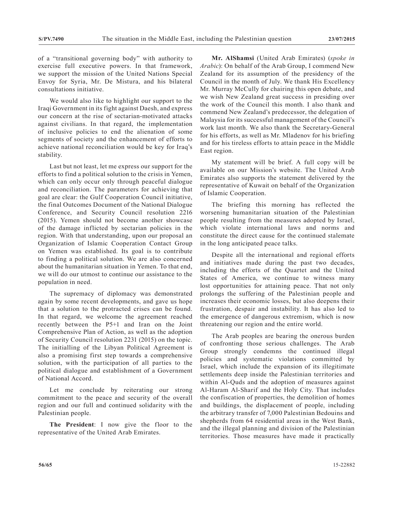of a "transitional governing body" with authority to exercise full executive powers. In that framework, we support the mission of the United Nations Special Envoy for Syria, Mr. De Mistura, and his bilateral consultations initiative.

We would also like to highlight our support to the Iraqi Government in its fight against Daesh, and express our concern at the rise of sectarian-motivated attacks against civilians. In that regard, the implementation of inclusive policies to end the alienation of some segments of society and the enhancement of efforts to achieve national reconciliation would be key for Iraq's stability.

Last but not least, let me express our support for the efforts to find a political solution to the crisis in Yemen, which can only occur only through peaceful dialogue and reconciliation. The parameters for achieving that goal are clear: the Gulf Cooperation Council initiative, the final Outcomes Document of the National Dialogue Conference, and Security Council resolution 2216 (2015). Yemen should not become another showcase of the damage inflicted by sectarian policies in the region. With that understanding, upon our proposal an Organization of Islamic Cooperation Contact Group on Yemen was established. Its goal is to contribute to finding a political solution. We are also concerned about the humanitarian situation in Yemen. To that end, we will do our utmost to continue our assistance to the population in need.

The supremacy of diplomacy was demonstrated again by some recent developments, and gave us hope that a solution to the protracted crises can be found. In that regard, we welcome the agreement reached recently between the P5+1 and Iran on the Joint Comprehensive Plan of Action, as well as the adoption of Security Council resolution 2231 (2015) on the topic. The initialling of the Libyan Political Agreement is also a promising first step towards a comprehensive solution, with the participation of all parties to the political dialogue and establishment of a Government of National Accord.

Let me conclude by reiterating our strong commitment to the peace and security of the overall region and our full and continued solidarity with the Palestinian people.

**The President**: I now give the floor to the representative of the United Arab Emirates.

**Mr. AlShamsi** (United Arab Emirates) (*spoke in Arabic*): On behalf of the Arab Group, I commend New Zealand for its assumption of the presidency of the Council in the month of July. We thank His Excellency Mr. Murray McCully for chairing this open debate, and we wish New Zealand great success in presiding over the work of the Council this month. I also thank and commend New Zealand's predecessor, the delegation of Malaysia for its successful management of the Council's work last month. We also thank the Secretary-General for his efforts, as well as Mr. Mladenov for his briefing and for his tireless efforts to attain peace in the Middle East region.

My statement will be brief. A full copy will be available on our Mission's website. The United Arab Emirates also supports the statement delivered by the representative of Kuwait on behalf of the Organization of Islamic Cooperation.

The briefing this morning has reflected the worsening humanitarian situation of the Palestinian people resulting from the measures adopted by Israel, which violate international laws and norms and constitute the direct cause for the continued stalemate in the long anticipated peace talks.

Despite all the international and regional efforts and initiatives made during the past two decades, including the efforts of the Quartet and the United States of America, we continue to witness many lost opportunities for attaining peace. That not only prolongs the suffering of the Palestinian people and increases their economic losses, but also deepens their frustration, despair and instability. It has also led to the emergence of dangerous extremism, which is now threatening our region and the entire world.

The Arab peoples are bearing the onerous burden of confronting those serious challenges. The Arab Group strongly condemns the continued illegal policies and systematic violations committed by Israel, which include the expansion of its illegitimate settlements deep inside the Palestinian territories and within Al-Quds and the adoption of measures against Al-Haram Al-Sharif and the Holy City. That includes the confiscation of properties, the demolition of homes and buildings, the displacement of people, including the arbitrary transfer of 7,000 Palestinian Bedouins and shepherds from 64 residential areas in the West Bank, and the illegal planning and division of the Palestinian territories. Those measures have made it practically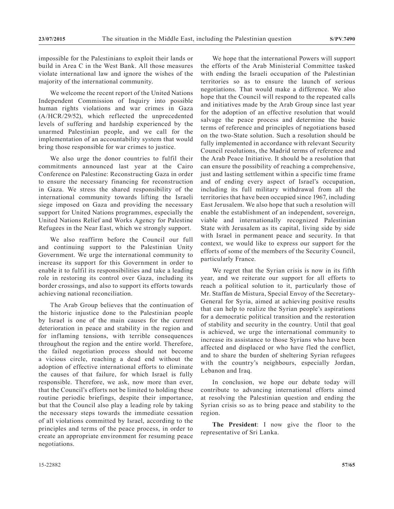impossible for the Palestinians to exploit their lands or build in Area C in the West Bank. All those measures violate international law and ignore the wishes of the majority of the international community.

We welcome the recent report of the United Nations Independent Commission of Inquiry into possible human rights violations and war crimes in Gaza (A/HCR/29/52), which reflected the unprecedented levels of suffering and hardship experienced by the unarmed Palestinian people, and we call for the implementation of an accountability system that would bring those responsible for war crimes to justice.

We also urge the donor countries to fulfil their commitments announced last year at the Cairo Conference on Palestine: Reconstructing Gaza in order to ensure the necessary financing for reconstruction in Gaza. We stress the shared responsibility of the international community towards lifting the Israeli siege imposed on Gaza and providing the necessary support for United Nations programmes, especially the United Nations Relief and Works Agency for Palestine Refugees in the Near East, which we strongly support.

We also reaffirm before the Council our full and continuing support to the Palestinian Unity Government. We urge the international community to increase its support for this Government in order to enable it to fulfil its responsibilities and take a leading role in restoring its control over Gaza, including its border crossings, and also to support its efforts towards achieving national reconciliation.

The Arab Group believes that the continuation of the historic injustice done to the Palestinian people by Israel is one of the main causes for the current deterioration in peace and stability in the region and for inflaming tensions, with terrible consequences throughout the region and the entire world. Therefore, the failed negotiation process should not become a vicious circle, reaching a dead end without the adoption of effective international efforts to eliminate the causes of that failure, for which Israel is fully responsible. Therefore, we ask, now more than ever, that the Council's efforts not be limited to holding these routine periodic briefings, despite their importance, but that the Council also play a leading role by taking the necessary steps towards the immediate cessation of all violations committed by Israel, according to the principles and terms of the peace process, in order to create an appropriate environment for resuming peace negotiations.

We hope that the international Powers will support the efforts of the Arab Ministerial Committee tasked with ending the Israeli occupation of the Palestinian territories so as to ensure the launch of serious negotiations. That would make a difference. We also hope that the Council will respond to the repeated calls and initiatives made by the Arab Group since last year for the adoption of an effective resolution that would salvage the peace process and determine the basic terms of reference and principles of negotiations based on the two-State solution. Such a resolution should be fully implemented in accordance with relevant Security Council resolutions, the Madrid terms of reference and the Arab Peace Initiative. It should be a resolution that can ensure the possibility of reaching a comprehensive, just and lasting settlement within a specific time frame and of ending every aspect of Israel's occupation, including its full military withdrawal from all the territories that have been occupied since 1967, including East Jerusalem. We also hope that such a resolution will enable the establishment of an independent, sovereign, viable and internationally recognized Palestinian State with Jerusalem as its capital, living side by side with Israel in permanent peace and security. In that context, we would like to express our support for the efforts of some of the members of the Security Council, particularly France.

We regret that the Syrian crisis is now in its fifth year, and we reiterate our support for all efforts to reach a political solution to it, particularly those of Mr. Staffan de Mistura, Special Envoy of the Secretary-General for Syria, aimed at achieving positive results that can help to realize the Syrian people's aspirations for a democratic political transition and the restoration of stability and security in the country. Until that goal is achieved, we urge the international community to increase its assistance to those Syrians who have been affected and displaced or who have fled the conflict, and to share the burden of sheltering Syrian refugees with the country's neighbours, especially Jordan, Lebanon and Iraq.

In conclusion, we hope our debate today will contribute to advancing international efforts aimed at resolving the Palestinian question and ending the Syrian crisis so as to bring peace and stability to the region.

**The President**: I now give the floor to the representative of Sri Lanka.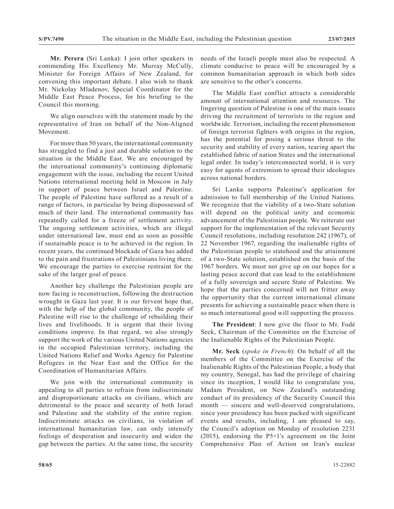**Mr. Perera** (Sri Lanka): I join other speakers in commending His Excellency Mr. Murray McCully, Minister for Foreign Affairs of New Zealand, for convening this important debate. I also wish to thank Mr. Nickolay Mladenov, Special Coordinator for the Middle East Peace Process, for his briefing to the Council this morning.

We align ourselves with the statement made by the representative of Iran on behalf of the Non-Aligned Movement.

For more than 50 years, the international community has struggled to find a just and durable solution to the situation in the Middle East. We are encouraged by the international community's continuing diplomatic engagement with the issue, including the recent United Nations international meeting held in Moscow in July in support of peace between Israel and Palestine. The people of Palestine have suffered as a result of a range of factors, in particular by being dispossessed of much of their land. The international community has repeatedly called for a freeze of settlement activity. The ongoing settlement activities, which are illegal under international law, must end as soon as possible if sustainable peace is to be achieved in the region. In recent years, the continued blockade of Gaza has added to the pain and frustrations of Palestinians living there. We encourage the parties to exercise restraint for the sake of the larger goal of peace.

Another key challenge the Palestinian people are now facing is reconstruction, following the destruction wrought in Gaza last year. It is our fervent hope that, with the help of the global community, the people of Palestine will rise to the challenge of rebuilding their lives and livelihoods. It is urgent that their living conditions improve. In that regard, we also strongly support the work of the various United Nations agencies in the occupied Palestinian territory, including the United Nations Relief and Works Agency for Palestine Refugees in the Near East and the Office for the Coordination of Humanitarian Affairs.

We join with the international community in appealing to all parties to refrain from indiscriminate and disproportionate attacks on civilians, which are detrimental to the peace and security of both Israel and Palestine and the stability of the entire region. Indiscriminate attacks on civilians, in violation of international humanitarian law, can only intensify feelings of desperation and insecurity and widen the gap between the parties. At the same time, the security needs of the Israeli people must also be respected. A climate conducive to peace will be encouraged by a common humanitarian approach in which both sides are sensitive to the other's concerns.

The Middle East conflict attracts a considerable amount of international attention and resources. The lingering question of Palestine is one of the main issues driving the recruitment of terrorists in the region and worldwide. Terrorism, including the recent phenomenon of foreign terrorist fighters with origins in the region, has the potential for posing a serious threat to the security and stability of every nation, tearing apart the established fabric of nation States and the international legal order. In today's interconnected world, it is very easy for agents of extremism to spread their ideologies across national borders.

Sri Lanka supports Palestine's application for admission to full membership of the United Nations. We recognize that the viability of a two-State solution will depend on the political unity and economic advancement of the Palestinian people. We reiterate our support for the implementation of the relevant Security Council resolutions, including resolution 242 (1967), of 22 November 1967, regarding the inalienable rights of the Palestinian people to statehood and the attainment of a two-State solution, established on the basis of the 1967 borders. We must not give up on our hopes for a lasting peace accord that can lead to the establishment of a fully sovereign and secure State of Palestine. We hope that the parties concerned will not fritter away the opportunity that the current international climate presents for achieving a sustainable peace when there is so much international good will supporting the process.

**The President**: I now give the floor to Mr. Fodé Seck, Chairman of the Committee on the Exercise of the Inalienable Rights of the Palestinian People.

**Mr. Seck** (*spoke in French*): On behalf of all the members of the Committee on the Exercise of the Inalienable Rights of the Palestinian People, a body that my country, Senegal, has had the privilege of chairing since its inception, I would like to congratulate you, Madam President, on New Zealand's outstanding conduct of its presidency of the Security Council this month — sincere and well-deserved congratulations, since your presidency has been packed with significant events and results, including, I am pleased to say, the Council's adoption on Monday of resolution 2231 (2015), endorsing the P5+1's agreement on the Joint Comprehensive Plan of Action on Iran's nuclear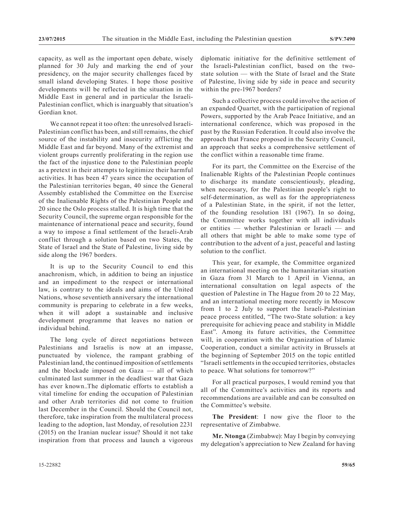capacity, as well as the important open debate, wisely planned for 30 July and marking the end of your presidency, on the major security challenges faced by small island developing States. I hope those positive developments will be reflected in the situation in the Middle East in general and in particular the Israeli-Palestinian conflict, which is inarguably that situation's Gordian knot.

We cannot repeat it too often: the unresolved Israeli-Palestinian conflict has been, and still remains, the chief source of the instability and insecurity afflicting the Middle East and far beyond. Many of the extremist and violent groups currently proliferating in the region use the fact of the injustice done to the Palestinian people as a pretext in their attempts to legitimize their harmful activities. It has been 47 years since the occupation of the Palestinian territories began, 40 since the General Assembly established the Committee on the Exercise of the Inalienable Rights of the Palestinian People and 20 since the Oslo process stalled. It is high time that the Security Council, the supreme organ responsible for the maintenance of international peace and security, found a way to impose a final settlement of the Israeli-Arab conflict through a solution based on two States, the State of Israel and the State of Palestine, living side by side along the 1967 borders.

It is up to the Security Council to end this anachronism, which, in addition to being an injustice and an impediment to the respect or international law, is contrary to the ideals and aims of the United Nations, whose seventieth anniversary the international community is preparing to celebrate in a few weeks, when it will adopt a sustainable and inclusive development programme that leaves no nation or individual behind.

The long cycle of direct negotiations between Palestinians and Israelis is now at an impasse, punctuated by violence, the rampant grabbing of Palestinian land, the continued imposition of settlements and the blockade imposed on Gaza — all of which culminated last summer in the deadliest war that Gaza has ever known..The diplomatic efforts to establish a vital timeline for ending the occupation of Palestinian and other Arab territories did not come to fruition last December in the Council. Should the Council not, therefore, take inspiration from the multilateral process leading to the adoption, last Monday, of resolution 2231 (2015) on the Iranian nuclear issue? Should it not take inspiration from that process and launch a vigorous

diplomatic initiative for the definitive settlement of the Israeli-Palestinian conflict, based on the twostate solution — with the State of Israel and the State of Palestine, living side by side in peace and security within the pre-1967 borders?

Such a collective process could involve the action of an expanded Quartet, with the participation of regional Powers, supported by the Arab Peace Initiative, and an international conference, which was proposed in the past by the Russian Federation. It could also involve the approach that France proposed in the Security Council, an approach that seeks a comprehensive settlement of the conflict within a reasonable time frame.

For its part, the Committee on the Exercise of the Inalienable Rights of the Palestinian People continues to discharge its mandate conscientiously, pleading, when necessary, for the Palestinian people's right to self-determination, as well as for the appropriateness of a Palestinian State, in the spirit, if not the letter, of the founding resolution 181 (1967). In so doing, the Committee works together with all individuals or entities — whether Palestinian or Israeli — and all others that might be able to make some type of contribution to the advent of a just, peaceful and lasting solution to the conflict.

This year, for example, the Committee organized an international meeting on the humanitarian situation in Gaza from 31 March to 1 April in Vienna, an international consultation on legal aspects of the question of Palestine in The Hague from 20 to 22 May, and an international meeting more recently in Moscow from 1 to 2 July to support the Israeli-Palestinian peace process entitled, "The two-State solution: a key prerequisite for achieving peace and stability in Middle East". Among its future activities, the Committee will, in cooperation with the Organization of Islamic Cooperation, conduct a similar activity in Brussels at the beginning of September 2015 on the topic entitled "Israeli settlements in the occupied territories, obstacles to peace. What solutions for tomorrow?"

For all practical purposes, I would remind you that all of the Committee's activities and its reports and recommendations are available and can be consulted on the Committee's website.

**The President**: I now give the floor to the representative of Zimbabwe.

**Mr. Ntonga** (Zimbabwe): May I begin by conveying my delegation's appreciation to New Zealand for having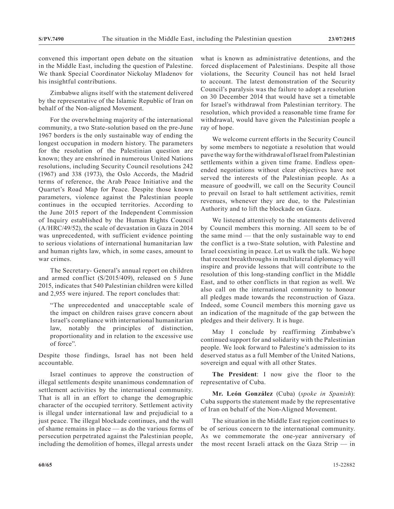convened this important open debate on the situation in the Middle East, including the question of Palestine. We thank Special Coordinator Nickolay Mladenov for his insightful contributions.

Zimbabwe aligns itself with the statement delivered by the representative of the Islamic Republic of Iran on behalf of the Non-aligned Movement.

For the overwhelming majority of the international community, a two State-solution based on the pre-June 1967 borders is the only sustainable way of ending the longest occupation in modern history. The parameters for the resolution of the Palestinian question are known; they are enshrined in numerous United Nations resolutions, including Security Council resolutions 242 (1967) and 338 (1973), the Oslo Accords, the Madrid terms of reference, the Arab Peace Initiative and the Quartet's Road Map for Peace. Despite those known parameters, violence against the Palestinian people continues in the occupied territories. According to the June 2015 report of the Independent Commission of Inquiry established by the Human Rights Council (A/HRC/49/52), the scale of devastation in Gaza in 2014 was unprecedented, with sufficient evidence pointing to serious violations of international humanitarian law and human rights law, which, in some cases, amount to war crimes.

The Secretary- General's annual report on children and armed conflict (S/2015/409), released on 5 June 2015, indicates that 540 Palestinian children were killed and 2,955 were injured. The report concludes that:

"The unprecedented and unacceptable scale of the impact on children raises grave concern about Israel's compliance with international humanitarian law, notably the principles of distinction, proportionality and in relation to the excessive use of force".

Despite those findings, Israel has not been held accountable.

Israel continues to approve the construction of illegal settlements despite unanimous condemnation of settlement activities by the international community. That is all in an effort to change the demographic character of the occupied territory. Settlement activity is illegal under international law and prejudicial to a just peace. The illegal blockade continues, and the wall of shame remains in place — as do the various forms of persecution perpetrated against the Palestinian people, including the demolition of homes, illegal arrests under

what is known as administrative detentions, and the forced displacement of Palestinians. Despite all those violations, the Security Council has not held Israel to account. The latest demonstration of the Security Council's paralysis was the failure to adopt a resolution on 30 December 2014 that would have set a timetable for Israel's withdrawal from Palestinian territory. The resolution, which provided a reasonable time frame for withdrawal, would have given the Palestinian people a ray of hope.

We welcome current efforts in the Security Council by some members to negotiate a resolution that would pave the way for the withdrawal of Israel from Palestinian settlements within a given time frame. Endless openended negotiations without clear objectives have not served the interests of the Palestinian people. As a measure of goodwill, we call on the Security Council to prevail on Israel to halt settlement activities, remit revenues, whenever they are due, to the Palestinian Authority and to lift the blockade on Gaza.

We listened attentively to the statements delivered by Council members this morning. All seem to be of the same mind — that the only sustainable way to end the conflict is a two-State solution, with Palestine and Israel coexisting in peace. Let us walk the talk. We hope that recent breakthroughs in multilateral diplomacy will inspire and provide lessons that will contribute to the resolution of this long-standing conflict in the Middle East, and to other conflicts in that region as well. We also call on the international community to honour all pledges made towards the reconstruction of Gaza. Indeed, some Council members this morning gave us an indication of the magnitude of the gap between the pledges and their delivery. It is huge.

May I conclude by reaffirming Zimbabwe's continued support for and solidarity with the Palestinian people. We look forward to Palestine's admission to its deserved status as a full Member of the United Nations, sovereign and equal with all other States.

**The President**: I now give the floor to the representative of Cuba.

**Mr. León González** (Cuba) (*spoke in Spanish*): Cuba supports the statement made by the representative of Iran on behalf of the Non-Aligned Movement.

The situation in the Middle East region continues to be of serious concern to the international community. As we commemorate the one-year anniversary of the most recent Israeli attack on the Gaza Strip — in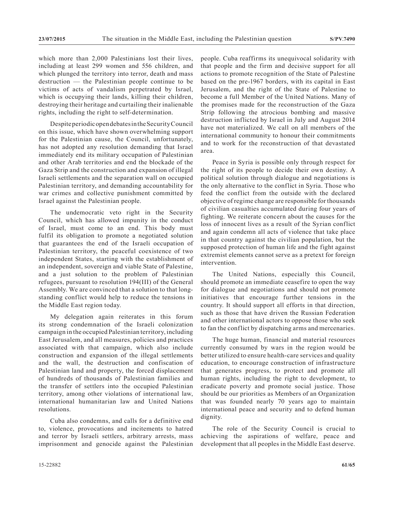which more than 2,000 Palestinians lost their lives, including at least 299 women and 556 children, and which plunged the territory into terror, death and mass destruction — the Palestinian people continue to be victims of acts of vandalism perpetrated by Israel, which is occupying their lands, killing their children, destroying their heritage and curtailing their inalienable rights, including the right to self-determination.

Despite periodic open debates in the Security Council on this issue, which have shown overwhelming support for the Palestinian cause, the Council, unfortunately, has not adopted any resolution demanding that Israel immediately end its military occupation of Palestinian and other Arab territories and end the blockade of the Gaza Strip and the construction and expansion of illegal Israeli settlements and the separation wall on occupied Palestinian territory, and demanding accountability for war crimes and collective punishment committed by Israel against the Palestinian people.

The undemocratic veto right in the Security Council, which has allowed impunity in the conduct of Israel, must come to an end. This body must fulfil its obligation to promote a negotiated solution that guarantees the end of the Israeli occupation of Palestinian territory, the peaceful coexistence of two independent States, starting with the establishment of an independent, sovereign and viable State of Palestine, and a just solution to the problem of Palestinian refugees, pursuant to resolution 194(III) of the General Assembly. We are convinced that a solution to that longstanding conflict would help to reduce the tensions in the Middle East region today.

My delegation again reiterates in this forum its strong condemnation of the Israeli colonization campaign in the occupied Palestinian territory, including East Jerusalem, and all measures, policies and practices associated with that campaign, which also include construction and expansion of the illegal settlements and the wall, the destruction and confiscation of Palestinian land and property, the forced displacement of hundreds of thousands of Palestinian families and the transfer of settlers into the occupied Palestinian territory, among other violations of international law, international humanitarian law and United Nations resolutions.

Cuba also condemns, and calls for a definitive end to, violence, provocations and incitements to hatred and terror by Israeli settlers, arbitrary arrests, mass imprisonment and genocide against the Palestinian people. Cuba reaffirms its unequivocal solidarity with that people and the firm and decisive support for all actions to promote recognition of the State of Palestine based on the pre-1967 borders, with its capital in East Jerusalem, and the right of the State of Palestine to become a full Member of the United Nations. Many of the promises made for the reconstruction of the Gaza Strip following the atrocious bombing and massive destruction inflicted by Israel in July and August 2014 have not materialized. We call on all members of the international community to honour their commitments and to work for the reconstruction of that devastated area.

Peace in Syria is possible only through respect for the right of its people to decide their own destiny. A political solution through dialogue and negotiations is the only alternative to the conflict in Syria. Those who feed the conflict from the outside with the declared objective of regime change are responsible for thousands of civilian casualties accumulated during four years of fighting. We reiterate concern about the causes for the loss of innocent lives as a result of the Syrian conflict and again condemn all acts of violence that take place in that country against the civilian population, but the supposed protection of human life and the fight against extremist elements cannot serve as a pretext for foreign intervention.

The United Nations, especially this Council, should promote an immediate ceasefire to open the way for dialogue and negotiations and should not promote initiatives that encourage further tensions in the country. It should support all efforts in that direction, such as those that have driven the Russian Federation and other international actors to oppose those who seek to fan the conflict by dispatching arms and mercenaries.

The huge human, financial and material resources currently consumed by wars in the region would be better utilized to ensure health-care services and quality education, to encourage construction of infrastructure that generates progress, to protect and promote all human rights, including the right to development, to eradicate poverty and promote social justice. Those should be our priorities as Members of an Organization that was founded nearly 70 years ago to maintain international peace and security and to defend human dignity.

The role of the Security Council is crucial to achieving the aspirations of welfare, peace and development that all peoples in the Middle East deserve.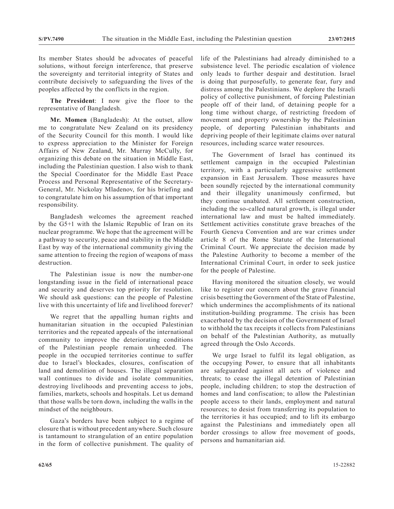Its member States should be advocates of peaceful solutions, without foreign interference, that preserve the sovereignty and territorial integrity of States and contribute decisively to safeguarding the lives of the peoples affected by the conflicts in the region.

**The President**: I now give the floor to the representative of Bangladesh.

**Mr. Momen** (Bangladesh): At the outset, allow me to congratulate New Zealand on its presidency of the Security Council for this month. I would like to express appreciation to the Minister for Foreign Affairs of New Zealand, Mr. Murray McCully, for organizing this debate on the situation in Middle East, including the Palestinian question. I also wish to thank the Special Coordinator for the Middle East Peace Process and Personal Representative of the Secretary-General, Mr. Nickolay Mladenov, for his briefing and to congratulate him on his assumption of that important responsibility.

Bangladesh welcomes the agreement reached by the G5+1 with the Islamic Republic of Iran on its nuclear programme. We hope that the agreement will be a pathway to security, peace and stability in the Middle East by way of the international community giving the same attention to freeing the region of weapons of mass destruction.

The Palestinian issue is now the number-one longstanding issue in the field of international peace and security and deserves top priority for resolution. We should ask questions: can the people of Palestine live with this uncertainty of life and livelihood forever?

We regret that the appalling human rights and humanitarian situation in the occupied Palestinian territories and the repeated appeals of the international community to improve the deteriorating conditions of the Palestinian people remain unheeded. The people in the occupied territories continue to suffer due to Israel's blockades, closures, confiscation of land and demolition of houses. The illegal separation wall continues to divide and isolate communities, destroying livelihoods and preventing access to jobs, families, markets, schools and hospitals. Let us demand that those walls be torn down, including the walls in the mindset of the neighbours.

Gaza's borders have been subject to a regime of closure that is without precedent anywhere. Such closure is tantamount to strangulation of an entire population in the form of collective punishment. The quality of life of the Palestinians had already diminished to a subsistence level. The periodic escalation of violence only leads to further despair and destitution. Israel is doing that purposefully, to generate fear, fury and distress among the Palestinians. We deplore the Israeli policy of collective punishment, of forcing Palestinian people off of their land, of detaining people for a long time without charge, of restricting freedom of movement and property ownership by the Palestinian people, of deporting Palestinian inhabitants and depriving people of their legitimate claims over natural resources, including scarce water resources.

The Government of Israel has continued its settlement campaign in the occupied Palestinian territory, with a particularly aggressive settlement expansion in East Jerusalem. Those measures have been soundly rejected by the international community and their illegality unanimously confirmed, but they continue unabated. All settlement construction, including the so-called natural growth, is illegal under international law and must be halted immediately. Settlement activities constitute grave breaches of the Fourth Geneva Convention and are war crimes under article 8 of the Rome Statute of the International Criminal Court. We appreciate the decision made by the Palestine Authority to become a member of the International Criminal Court, in order to seek justice for the people of Palestine.

Having monitored the situation closely, we would like to register our concern about the grave financial crisis besetting the Government of the State of Palestine, which undermines the accomplishments of its national institution-building programme. The crisis has been exacerbated by the decision of the Government of Israel to withhold the tax receipts it collects from Palestinians on behalf of the Palestinian Authority, as mutually agreed through the Oslo Accords.

We urge Israel to fulfil its legal obligation, as the occupying Power, to ensure that all inhabitants are safeguarded against all acts of violence and threats; to cease the illegal detention of Palestinian people, including children; to stop the destruction of homes and land confiscation; to allow the Palestinian people access to their lands, employment and natural resources; to desist from transferring its population to the territories it has occupied; and to lift its embargo against the Palestinians and immediately open all border crossings to allow free movement of goods, persons and humanitarian aid.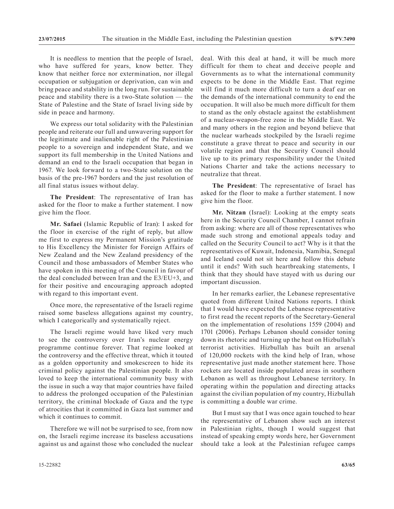It is needless to mention that the people of Israel, who have suffered for years, know better. They know that neither force nor extermination, nor illegal occupation or subjugation or deprivation, can win and bring peace and stability in the long run. For sustainable peace and stability there is a two-State solution — the State of Palestine and the State of Israel living side by side in peace and harmony.

We express our total solidarity with the Palestinian people and reiterate our full and unwavering support for the legitimate and inalienable right of the Palestinian people to a sovereign and independent State, and we support its full membership in the United Nations and demand an end to the Israeli occupation that began in 1967. We look forward to a two-State solution on the basis of the pre-1967 borders and the just resolution of all final status issues without delay.

**The President**: The representative of Iran has asked for the floor to make a further statement. I now give him the floor.

**Mr. Safaei** (Islamic Republic of Iran): I asked for the floor in exercise of the right of reply, but allow me first to express my Permanent Mission's gratitude to His Excellency the Minister for Foreign Affairs of New Zealand and the New Zealand presidency of the Council and those ambassadors of Member States who have spoken in this meeting of the Council in favour of the deal concluded between Iran and the E3/EU+3, and for their positive and encouraging approach adopted with regard to this important event.

Once more, the representative of the Israeli regime raised some baseless allegations against my country, which I categorically and systematically reject.

The Israeli regime would have liked very much to see the controversy over Iran's nuclear energy programme continue forever. That regime looked at the controversy and the effective threat, which it touted as a golden opportunity and smokescreen to hide its criminal policy against the Palestinian people. It also loved to keep the international community busy with the issue in such a way that major countries have failed to address the prolonged occupation of the Palestinian territory, the criminal blockade of Gaza and the type of atrocities that it committed in Gaza last summer and which it continues to commit.

Therefore we will not be surprised to see, from now on, the Israeli regime increase its baseless accusations against us and against those who concluded the nuclear deal. With this deal at hand, it will be much more difficult for them to cheat and deceive people and Governments as to what the international community expects to be done in the Middle East. That regime will find it much more difficult to turn a deaf ear on the demands of the international community to end the occupation. It will also be much more difficult for them to stand as the only obstacle against the establishment of a nuclear-weapon-free zone in the Middle East. We and many others in the region and beyond believe that the nuclear warheads stockpiled by the Israeli regime constitute a grave threat to peace and security in our volatile region and that the Security Council should live up to its primary responsibility under the United Nations Charter and take the actions necessary to neutralize that threat.

**The President**: The representative of Israel has asked for the floor to make a further statement. I now give him the floor.

**Mr. Nitzan** (Israel): Looking at the empty seats here in the Security Council Chamber, I cannot refrain from asking: where are all of those representatives who made such strong and emotional appeals today and called on the Security Council to act? Why is it that the representatives of Kuwait, Indonesia, Namibia, Senegal and Iceland could not sit here and follow this debate until it ends? With such heartbreaking statements, I think that they should have stayed with us during our important discussion.

In her remarks earlier, the Lebanese representative quoted from different United Nations reports. I think that I would have expected the Lebanese representative to first read the recent reports of the Secretary-General on the implementation of resolutions 1559 (2004) and 1701 (2006). Perhaps Lebanon should consider toning down its rhetoric and turning up the heat on Hizbullah's terrorist activities. Hizbullah has built an arsenal of 120,000 rockets with the kind help of Iran, whose representative just made another statement here. Those rockets are located inside populated areas in southern Lebanon as well as throughout Lebanese territory. In operating within the population and directing attacks against the civilian population of my country, Hizbullah is committing a double war crime.

But I must say that I was once again touched to hear the representative of Lebanon show such an interest in Palestinian rights, though I would suggest that instead of speaking empty words here, her Government should take a look at the Palestinian refugee camps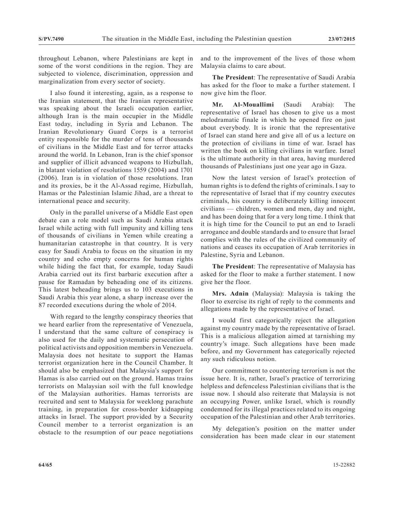throughout Lebanon, where Palestinians are kept in some of the worst conditions in the region. They are subjected to violence, discrimination, oppression and marginalization from every sector of society.

I also found it interesting, again, as a response to the Iranian statement, that the Iranian representative was speaking about the Israeli occupation earlier, although Iran is the main occupier in the Middle East today, including in Syria and Lebanon. The Iranian Revolutionary Guard Corps is a terrorist entity responsible for the murder of tens of thousands of civilians in the Middle East and for terror attacks around the world. In Lebanon, Iran is the chief sponsor and supplier of illicit advanced weapons to Hizbullah, in blatant violation of resolutions 1559 (2004) and 1701 (2006). Iran is in violation of those resolutions. Iran and its proxies, be it the Al-Assad regime, Hizbullah, Hamas or the Palestinian Islamic Jihad, are a threat to international peace and security.

Only in the parallel universe of a Middle East open debate can a role model such as Saudi Arabia attack Israel while acting with full impunity and killing tens of thousands of civilians in Yemen while creating a humanitarian catastrophe in that country. It is very easy for Saudi Arabia to focus on the situation in my country and echo empty concerns for human rights while hiding the fact that, for example, today Saudi Arabia carried out its first barbaric execution after a pause for Ramadan by beheading one of its citizens. This latest beheading brings us to 103 executions in Saudi Arabia this year alone, a sharp increase over the 87 recorded executions during the whole of 2014.

With regard to the lengthy conspiracy theories that we heard earlier from the representative of Venezuela, I understand that the same culture of conspiracy is also used for the daily and systematic persecution of political activists and opposition members in Venezuela. Malaysia does not hesitate to support the Hamas terrorist organization here in the Council Chamber. It should also be emphasized that Malaysia's support for Hamas is also carried out on the ground. Hamas trains terrorists on Malaysian soil with the full knowledge of the Malaysian authorities. Hamas terrorists are recruited and sent to Malaysia for weeklong parachute training, in preparation for cross-border kidnapping attacks in Israel. The support provided by a Security Council member to a terrorist organization is an obstacle to the resumption of our peace negotiations

and to the improvement of the lives of those whom Malaysia claims to care about.

**The President**: The representative of Saudi Arabia has asked for the floor to make a further statement. I now give him the floor.

**Mr. Al-Mouallimi** (Saudi Arabia): The representative of Israel has chosen to give us a most melodramatic finale in which he opened fire on just about everybody. It is ironic that the representative of Israel can stand here and give all of us a lecture on the protection of civilians in time of war. Israel has written the book on killing civilians in warfare. Israel is the ultimate authority in that area, having murdered thousands of Palestinians just one year ago in Gaza.

Now the latest version of Israel's protection of human rights is to defend the rights of criminals. I say to the representative of Israel that if my country executes criminals, his country is deliberately killing innocent civilians — children, women and men, day and night, and has been doing that for a very long time. I think that it is high time for the Council to put an end to Israeli arrogance and double standards and to ensure that Israel complies with the rules of the civilized community of nations and ceases its occupation of Arab territories in Palestine, Syria and Lebanon.

**The President**: The representative of Malaysia has asked for the floor to make a further statement. I now give her the floor.

**Mrs. Adnin** (Malaysia): Malaysia is taking the floor to exercise its right of reply to the comments and allegations made by the representative of Israel.

I would first categorically reject the allegation against my country made by the representative of Israel. This is a malicious allegation aimed at tarnishing my country's image. Such allegations have been made before, and my Government has categorically rejected any such ridiculous notion.

Our commitment to countering terrorism is not the issue here. It is, rather, Israel's practice of terrorizing helpless and defenceless Palestinian civilians that is the issue now. I should also reiterate that Malaysia is not an occupying Power, unlike Israel, which is roundly condemned for its illegal practices related to its ongoing occupation of the Palestinian and other Arab territories.

My delegation's position on the matter under consideration has been made clear in our statement